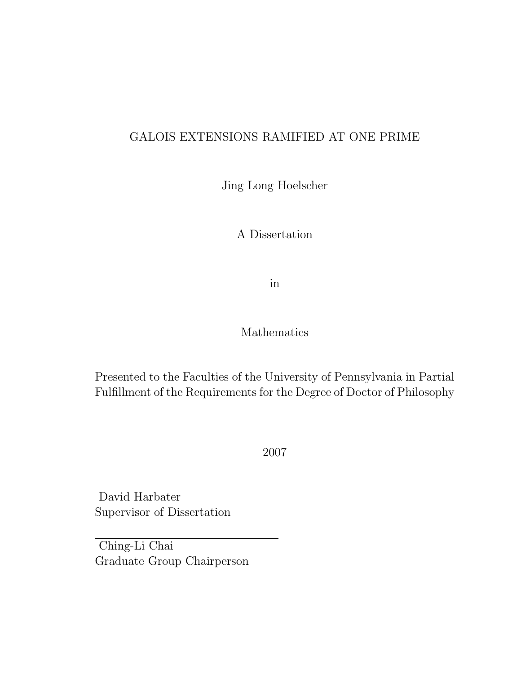## GALOIS EXTENSIONS RAMIFIED AT ONE PRIME

Jing Long Hoelscher

A Dissertation

in

## Mathematics

Presented to the Faculties of the University of Pennsylvania in Partial Fulfillment of the Requirements for the Degree of Doctor of Philosophy

2007

David Harbater Supervisor of Dissertation

Ching-Li Chai Graduate Group Chairperson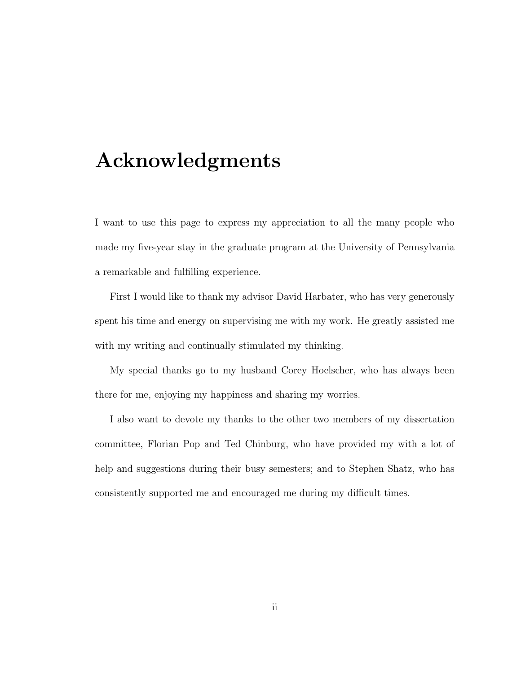# Acknowledgments

I want to use this page to express my appreciation to all the many people who made my five-year stay in the graduate program at the University of Pennsylvania a remarkable and fulfilling experience.

First I would like to thank my advisor David Harbater, who has very generously spent his time and energy on supervising me with my work. He greatly assisted me with my writing and continually stimulated my thinking.

My special thanks go to my husband Corey Hoelscher, who has always been there for me, enjoying my happiness and sharing my worries.

I also want to devote my thanks to the other two members of my dissertation committee, Florian Pop and Ted Chinburg, who have provided my with a lot of help and suggestions during their busy semesters; and to Stephen Shatz, who has consistently supported me and encouraged me during my difficult times.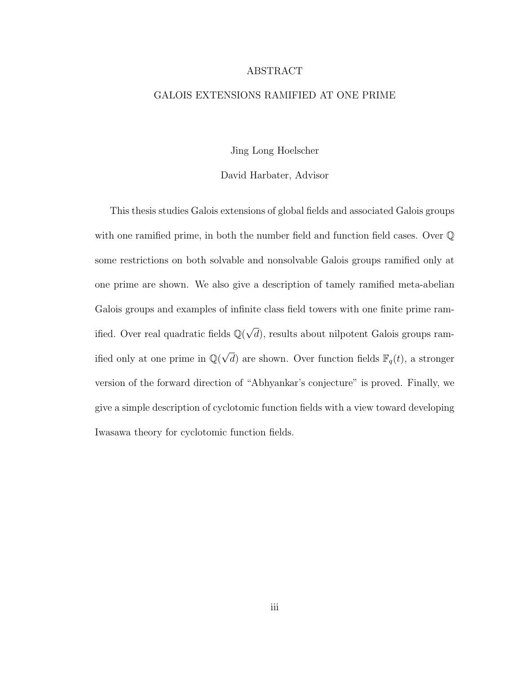#### ABSTRACT

#### GALOIS EXTENSIONS RAMIFIED AT ONE PRIME

Jing Long Hoelscher

#### David Harbater, Advisor

This thesis studies Galois extensions of global fields and associated Galois groups with one ramified prime, in both the number field and function field cases. Over  $\mathbb Q$ some restrictions on both solvable and nonsolvable Galois groups ramified only at one prime are shown. We also give a description of tamely ramified meta-abelian Galois groups and examples of infinite class field towers with one finite prime ramified. Over real quadratic fields  $\mathbb{Q}(\sqrt{2})$ d), results about nilpotent Galois groups ramified only at one prime in  $\mathbb{Q}(\sqrt{d})$  are shown. Over function fields  $\mathbb{F}_q(t)$ , a stronger version of the forward direction of "Abhyankar's conjecture" is proved. Finally, we give a simple description of cyclotomic function fields with a view toward developing Iwasawa theory for cyclotomic function fields.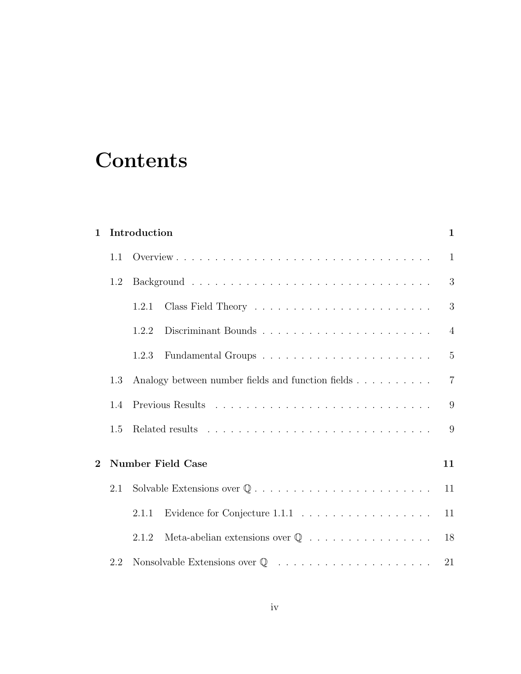# **Contents**

| $\mathbf 1$    |     | Introduction                                                                          | 1              |
|----------------|-----|---------------------------------------------------------------------------------------|----------------|
|                | 1.1 |                                                                                       | $\mathbf{1}$   |
|                | 1.2 |                                                                                       | 3              |
|                |     | 1.2.1                                                                                 | 3              |
|                |     | 1.2.2                                                                                 | $\overline{4}$ |
|                |     | Fundamental Groups $\ldots \ldots \ldots \ldots \ldots \ldots \ldots \ldots$<br>1.2.3 | $\overline{5}$ |
|                | 1.3 | Analogy between number fields and function fields                                     | $\overline{7}$ |
|                | 1.4 |                                                                                       | 9              |
|                | 1.5 |                                                                                       | 9              |
| $\overline{2}$ |     | <b>Number Field Case</b>                                                              | 11             |
|                | 2.1 |                                                                                       | 11             |
|                |     | Evidence for Conjecture $1.1.1 \ldots \ldots \ldots \ldots \ldots \ldots$<br>2.1.1    | 11             |
|                |     | Meta-abelian extensions over $\mathbb Q$<br>2.1.2                                     | 18             |
|                | 2.2 |                                                                                       | 21             |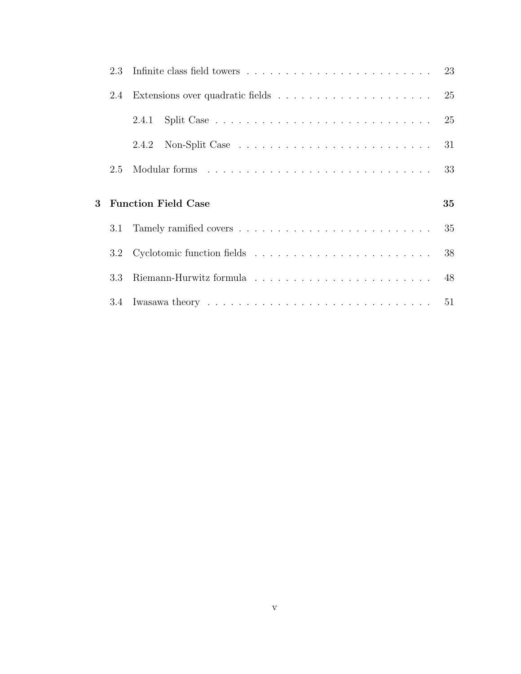|          | 2.4 |                            | 25 |
|----------|-----|----------------------------|----|
|          |     |                            | 25 |
|          |     |                            | 31 |
|          | 2.5 |                            | 33 |
|          |     |                            |    |
|          |     |                            |    |
| $\bf{3}$ |     | <b>Function Field Case</b> | 35 |
|          | 3.1 |                            | 35 |
|          |     |                            | 38 |
|          | 3.3 |                            |    |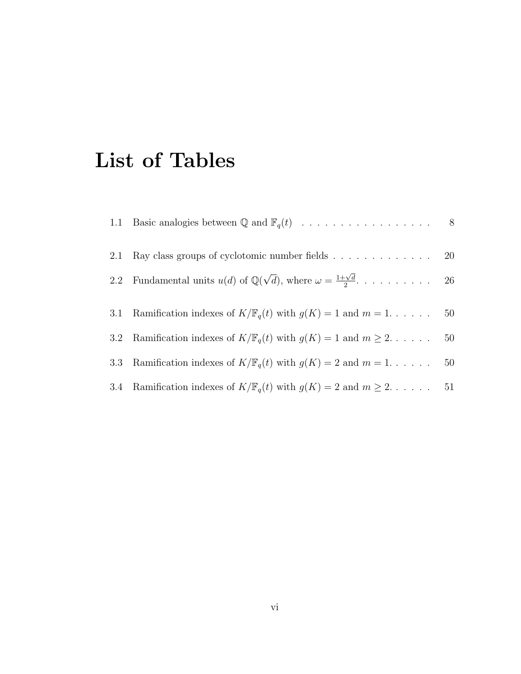# List of Tables

| 2.1              | Ray class groups of cyclotomic number fields $\ldots \ldots \ldots \ldots \ldots$ 20            |    |
|------------------|-------------------------------------------------------------------------------------------------|----|
| 2.2              | Fundamental units $u(d)$ of $\mathbb{Q}(\sqrt{d})$ , where $\omega = \frac{1+\sqrt{d}}{2}$ . 26 |    |
|                  | 3.1 Ramification indexes of $K/\mathbb{F}_q(t)$ with $g(K) = 1$ and $m = 1, \ldots$ .           | 50 |
| 3.2 <sub>1</sub> | Ramification indexes of $K/\mathbb{F}_q(t)$ with $g(K) = 1$ and $m \geq 2$                      | 50 |
| 3.3              | Ramification indexes of $K/\mathbb{F}_q(t)$ with $g(K) = 2$ and $m = 1, \ldots$ .               | 50 |
|                  | 3.4 Ramification indexes of $K/\mathbb{F}_q(t)$ with $g(K) = 2$ and $m \geq 2$                  | 51 |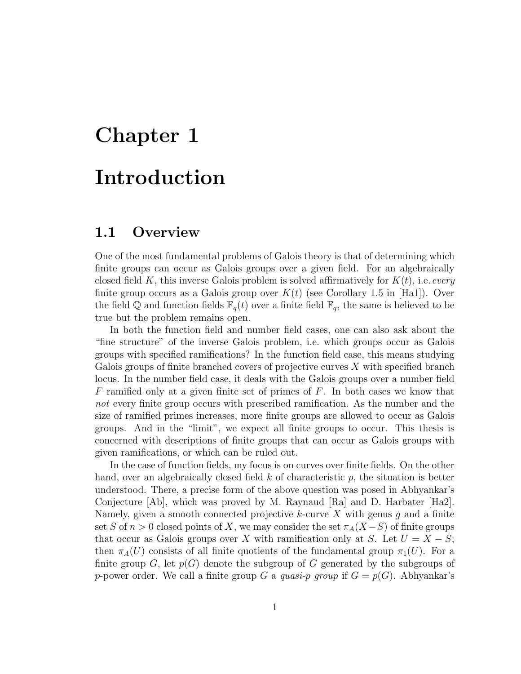# Chapter 1 Introduction

# 1.1 Overview

One of the most fundamental problems of Galois theory is that of determining which finite groups can occur as Galois groups over a given field. For an algebraically closed field K, this inverse Galois problem is solved affirmatively for  $K(t)$ , i.e. every finite group occurs as a Galois group over  $K(t)$  (see Corollary 1.5 in [Ha1]). Over the field Q and function fields  $\mathbb{F}_q(t)$  over a finite field  $\mathbb{F}_q$ , the same is believed to be true but the problem remains open.

In both the function field and number field cases, one can also ask about the "fine structure" of the inverse Galois problem, i.e. which groups occur as Galois groups with specified ramifications? In the function field case, this means studying Galois groups of finite branched covers of projective curves  $X$  with specified branch locus. In the number field case, it deals with the Galois groups over a number field F ramified only at a given finite set of primes of  $F$ . In both cases we know that not every finite group occurs with prescribed ramification. As the number and the size of ramified primes increases, more finite groups are allowed to occur as Galois groups. And in the "limit", we expect all finite groups to occur. This thesis is concerned with descriptions of finite groups that can occur as Galois groups with given ramifications, or which can be ruled out.

In the case of function fields, my focus is on curves over finite fields. On the other hand, over an algebraically closed field  $k$  of characteristic  $p$ , the situation is better understood. There, a precise form of the above question was posed in Abhyankar's Conjecture [Ab], which was proved by M. Raynaud [Ra] and D. Harbater [Ha2]. Namely, given a smooth connected projective  $k$ -curve X with genus  $g$  and a finite set S of  $n > 0$  closed points of X, we may consider the set  $\pi_A(X-S)$  of finite groups that occur as Galois groups over X with ramification only at S. Let  $U = X - S$ ; then  $\pi_A(U)$  consists of all finite quotients of the fundamental group  $\pi_1(U)$ . For a finite group G, let  $p(G)$  denote the subgroup of G generated by the subgroups of p-power order. We call a finite group G a quasi-p group if  $G = p(G)$ . Abhyankar's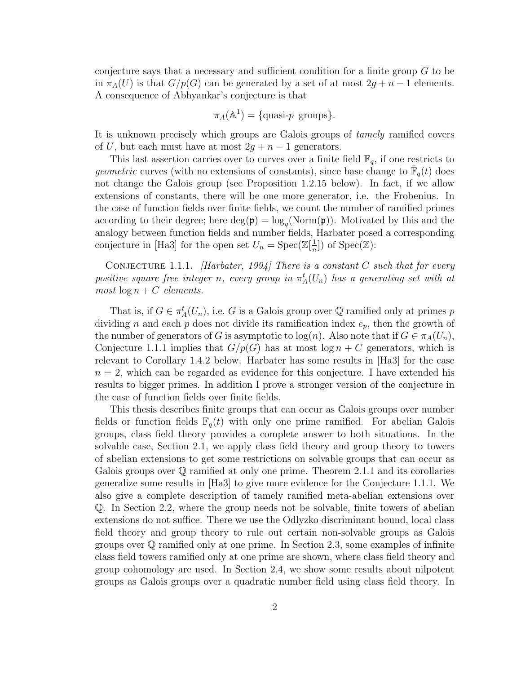conjecture says that a necessary and sufficient condition for a finite group  $G$  to be in  $\pi_A(U)$  is that  $G/p(G)$  can be generated by a set of at most  $2g + n - 1$  elements. A consequence of Abhyankar's conjecture is that

$$
\pi_A(\mathbb{A}^1) = \{ \text{quasi-}p \text{ groups} \}.
$$

It is unknown precisely which groups are Galois groups of tamely ramified covers of U, but each must have at most  $2g + n - 1$  generators.

This last assertion carries over to curves over a finite field  $\mathbb{F}_q$ , if one restricts to *geometric* curves (with no extensions of constants), since base change to  $\overline{\mathbb{F}}_q(t)$  does not change the Galois group (see Proposition 1.2.15 below). In fact, if we allow extensions of constants, there will be one more generator, i.e. the Frobenius. In the case of function fields over finite fields, we count the number of ramified primes according to their degree; here  $\deg(\mathfrak{p}) = \log_q(\text{Norm}(\mathfrak{p}))$ . Motivated by this and the analogy between function fields and number fields, Harbater posed a corresponding conjecture in [Ha3] for the open set  $U_n = \text{Spec}(\mathbb{Z}[\frac{1}{n}])$  $\frac{1}{n}]$ ) of Spec(Z):

CONJECTURE 1.1.1. [Harbater, 1994] There is a constant C such that for every positive square free integer n, every group in  $\pi_A^t(U_n)$  has a generating set with at most  $\log n + C$  elements.

That is, if  $G \in \pi_A^t(U_n)$ , i.e. G is a Galois group over  $\mathbb Q$  ramified only at primes p dividing n and each p does not divide its ramification index  $e_p$ , then the growth of the number of generators of G is asymptotic to  $log(n)$ . Also note that if  $G \in \pi<sub>A</sub>(U<sub>n</sub>)$ , Conjecture 1.1.1 implies that  $G/p(G)$  has at most  $\log n + C$  generators, which is relevant to Corollary 1.4.2 below. Harbater has some results in [Ha3] for the case  $n = 2$ , which can be regarded as evidence for this conjecture. I have extended his results to bigger primes. In addition I prove a stronger version of the conjecture in the case of function fields over finite fields.

This thesis describes finite groups that can occur as Galois groups over number fields or function fields  $\mathbb{F}_q(t)$  with only one prime ramified. For abelian Galois groups, class field theory provides a complete answer to both situations. In the solvable case, Section 2.1, we apply class field theory and group theory to towers of abelian extensions to get some restrictions on solvable groups that can occur as Galois groups over  $\mathbb Q$  ramified at only one prime. Theorem 2.1.1 and its corollaries generalize some results in [Ha3] to give more evidence for the Conjecture 1.1.1. We also give a complete description of tamely ramified meta-abelian extensions over Q. In Section 2.2, where the group needs not be solvable, finite towers of abelian extensions do not suffice. There we use the Odlyzko discriminant bound, local class field theory and group theory to rule out certain non-solvable groups as Galois groups over Q ramified only at one prime. In Section 2.3, some examples of infinite class field towers ramified only at one prime are shown, where class field theory and group cohomology are used. In Section 2.4, we show some results about nilpotent groups as Galois groups over a quadratic number field using class field theory. In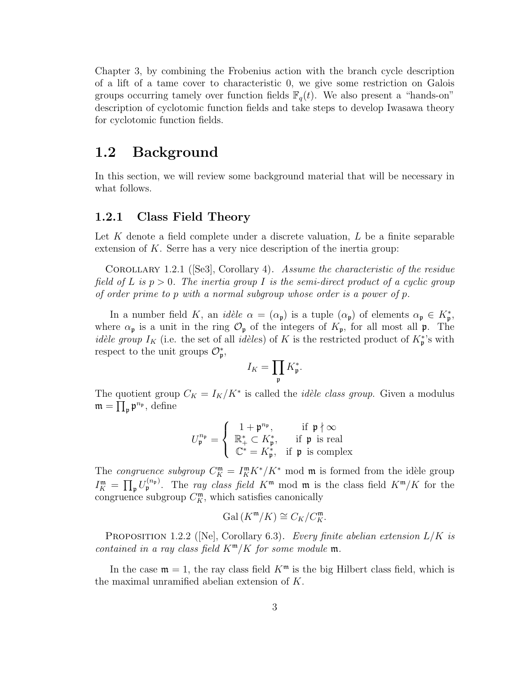Chapter 3, by combining the Frobenius action with the branch cycle description of a lift of a tame cover to characteristic 0, we give some restriction on Galois groups occurring tamely over function fields  $\mathbb{F}_q(t)$ . We also present a "hands-on" description of cyclotomic function fields and take steps to develop Iwasawa theory for cyclotomic function fields.

## 1.2 Background

In this section, we will review some background material that will be necessary in what follows.

#### 1.2.1 Class Field Theory

Let  $K$  denote a field complete under a discrete valuation,  $L$  be a finite separable extension of  $K$ . Serre has a very nice description of the inertia group:

Corollary 1.2.1 ([Se3], Corollary 4). Assume the characteristic of the residue field of L is  $p > 0$ . The inertia group I is the semi-direct product of a cyclic group of order prime to p with a normal subgroup whose order is a power of p.

In a number field K, an idèle  $\alpha = (\alpha_{\mathfrak{p}})$  is a tuple  $(\alpha_{\mathfrak{p}})$  of elements  $\alpha_{\mathfrak{p}} \in K_{\mathfrak{p}}^*$ , where  $\alpha_{\mathfrak{p}}$  is a unit in the ring  $\mathcal{O}_{\mathfrak{p}}$  of the integers of  $K_{\mathfrak{p}}$ , for all most all  $\mathfrak{p}$ . The *idèle group*  $I_K$  (i.e. the set of all *idèles*) of K is the restricted product of  $K_p^*$ 's with respect to the unit groups  $\mathcal{O}_{\mathfrak{p}}^*$ ,

$$
I_K = \prod_{\mathfrak{p}} K_{\mathfrak{p}}^*.
$$

The quotient group  $C_K = I_K/K^*$  is called the *idèle class group*. Given a modulus  $\mathfrak{m} = \prod_{\mathfrak{p}} \mathfrak{p}^{n_{\mathfrak{p}}}, \, \text{define}$ 

$$
U_{\mathfrak{p}}^{n_{\mathfrak{p}}} = \left\{ \begin{array}{ll} 1 + \mathfrak{p}^{n_{\mathfrak{p}}}, & \text{if } \mathfrak{p} \nmid \infty \\ \mathbb{R}_{+}^{*} \subset K_{\mathfrak{p}}^{*}, & \text{if } \mathfrak{p} \text{ is real} \\ \mathbb{C}^{*} = K_{\mathfrak{p}}^{*}, & \text{if } \mathfrak{p} \text{ is complex} \end{array} \right.
$$

The congruence subgroup  $C_K^{\mathfrak{m}} = I_K^{\mathfrak{m}} K^* / K^*$  mod  $\mathfrak{m}$  is formed from the idèle group  $I_K^{\mathfrak{m}} = \prod_{\mathfrak{p}} U_{\mathfrak{p}}^{(n_{\mathfrak{p}})}$ . The *ray class field*  $K^{\mathfrak{m}}$  mod  $\mathfrak{m}$  is the class field  $K^{\mathfrak{m}}/K$  for the congruence subgroup  $C_K^{\mathfrak{m}}$ , which satisfies canonically

$$
\mathrm{Gal}(K^{\mathfrak{m}}/K) \cong C_K/C_K^{\mathfrak{m}}.
$$

PROPOSITION 1.2.2 ([Ne], Corollary 6.3). Every finite abelian extension  $L/K$  is contained in a ray class field  $K^m/K$  for some module  $m$ .

In the case  $m = 1$ , the ray class field  $K<sup>m</sup>$  is the big Hilbert class field, which is the maximal unramified abelian extension of K.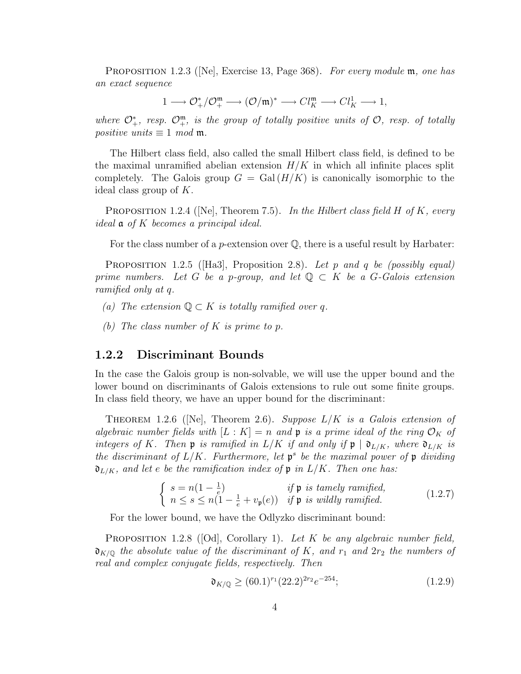PROPOSITION 1.2.3 ([Ne], Exercise 13, Page 368). For every module  $\mathfrak{m}$ , one has an exact sequence

$$
1 \longrightarrow \mathcal{O}_{+}^{*}/\mathcal{O}_{+}^{\mathfrak{m}} \longrightarrow (\mathcal{O}/\mathfrak{m})^{*} \longrightarrow Cl_{K}^{\mathfrak{m}} \longrightarrow Cl_{K}^{1} \longrightarrow 1,
$$

where  $\mathcal{O}_{+}^{*}$ , resp.  $\mathcal{O}_{+}^{\mathfrak{m}}$ , is the group of totally positive units of  $\mathcal{O}_{+}$ , resp. of totally positive units  $\equiv 1 \mod m$ .

The Hilbert class field, also called the small Hilbert class field, is defined to be the maximal unramified abelian extension  $H/K$  in which all infinite places split completely. The Galois group  $G = \text{Gal}(H/K)$  is canonically isomorphic to the ideal class group of K.

**PROPOSITION** 1.2.4 ([Ne], Theorem 7.5). In the Hilbert class field H of K, every ideal a of K becomes a principal ideal.

For the class number of a *p*-extension over  $\mathbb{O}$ , there is a useful result by Harbater:

**PROPOSITION** 1.2.5 (Ha3), Proposition 2.8). Let p and q be (possibly equal) prime numbers. Let G be a p-group, and let  $\mathbb{Q} \subset K$  be a G-Galois extension ramified only at q.

- (a) The extension  $\mathbb{Q} \subset K$  is totally ramified over q.
- (b) The class number of K is prime to p.

#### 1.2.2 Discriminant Bounds

In the case the Galois group is non-solvable, we will use the upper bound and the lower bound on discriminants of Galois extensions to rule out some finite groups. In class field theory, we have an upper bound for the discriminant:

THEOREM 1.2.6 ( $[Ne]$ , Theorem 2.6). Suppose  $L/K$  is a Galois extension of algebraic number fields with  $[L: K] = n$  and **p** is a prime ideal of the ring  $\mathcal{O}_K$  of integers of K. Then **p** is ramified in  $L/K$  if and only if  $\mathfrak{p} \mid \mathfrak{d}_{L/K}$ , where  $\mathfrak{d}_{L/K}$  is the discriminant of  $L/K$ . Furthermore, let  $\mathfrak{p}^s$  be the maximal power of  $\mathfrak{p}$  dividing  $\mathfrak{d}_{L/K}$ , and let e be the ramification index of  $\mathfrak{p}$  in  $L/K$ . Then one has:

$$
\begin{cases}\ns = n(1 - \frac{1}{e}) & \text{if } \mathfrak{p} \text{ is } tamely ramified, \\
n \leq s \leq n(1 - \frac{1}{e} + v_{\mathfrak{p}}(e)) & \text{if } \mathfrak{p} \text{ is wildly ramified.} \n\end{cases}
$$
\n(1.2.7)

For the lower bound, we have the Odlyzko discriminant bound:

PROPOSITION 1.2.8 ([Od], Corollary 1). Let  $K$  be any algebraic number field,  $\mathfrak{d}_{K/\mathbb{Q}}$  the absolute value of the discriminant of K, and  $r_1$  and  $2r_2$  the numbers of real and complex conjugate fields, respectively. Then

$$
\mathfrak{d}_{K/\mathbb{Q}} \ge (60.1)^{r_1} (22.2)^{2r_2} e^{-254};\tag{1.2.9}
$$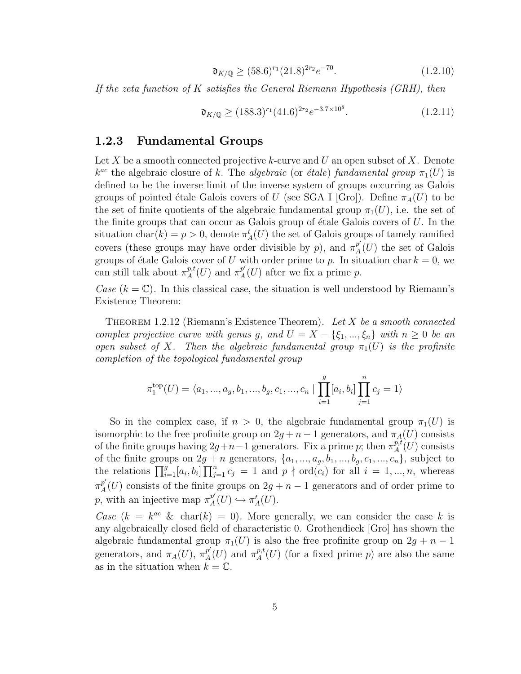$$
\mathfrak{d}_{K/\mathbb{Q}} \ge (58.6)^{r_1} (21.8)^{2r_2} e^{-70}.
$$
\n(1.2.10)

If the zeta function of  $K$  satisfies the General Riemann Hypothesis (GRH), then

$$
\mathfrak{d}_{K/\mathbb{Q}} \ge (188.3)^{r_1} (41.6)^{2r_2} e^{-3.7 \times 10^8}.
$$
 (1.2.11)

#### 1.2.3 Fundamental Groups

Let X be a smooth connected projective k-curve and U an open subset of X. Denote  $k^{ac}$  the algebraic closure of k. The algebraic (or étale) fundamental group  $\pi_1(U)$  is defined to be the inverse limit of the inverse system of groups occurring as Galois groups of pointed étale Galois covers of U (see SGA I [Gro]). Define  $\pi_A(U)$  to be the set of finite quotients of the algebraic fundamental group  $\pi_1(U)$ , i.e. the set of the finite groups that can occur as Galois group of étale Galois covers of  $U$ . In the situation char $(k) = p > 0$ , denote  $\pi_A^t(U)$  the set of Galois groups of tamely ramified covers (these groups may have order divisible by p), and  $\pi_A^{p'}$  $_{A}^{p}(U)$  the set of Galois groups of étale Galois cover of U with order prime to p. In situation char  $k = 0$ , we can still talk about  $\pi^{p,t}_A$  $_{A}^{p,t}(U)$  and  $\pi_{A}^{p'}$  $_{A}^{p}(U)$  after we fix a prime p.

Case  $(k = \mathbb{C})$ . In this classical case, the situation is well understood by Riemann's Existence Theorem:

THEOREM 1.2.12 (Riemann's Existence Theorem). Let  $X$  be a smooth connected complex projective curve with genus g, and  $U = X - \{\xi_1, ..., \xi_n\}$  with  $n \geq 0$  be an open subset of X. Then the algebraic fundamental group  $\pi_1(U)$  is the profinite completion of the topological fundamental group

$$
\pi_1^{\text{top}}(U) = \langle a_1, ..., a_g, b_1, ..., b_g, c_1, ..., c_n \mid \prod_{i=1}^g [a_i, b_i] \prod_{j=1}^n c_j = 1 \rangle
$$

So in the complex case, if  $n > 0$ , the algebraic fundamental group  $\pi_1(U)$  is isomorphic to the free profinite group on  $2g + n - 1$  generators, and  $\pi_A(U)$  consists of the finite groups having  $2g+n-1$  generators. Fix a prime p; then  $\pi_A^{p,t}$  $_{A}^{p,t}(U)$  consists of the finite groups on  $2g + n$  generators,  $\{a_1, ..., a_g, b_1, ..., b_g, c_1, ..., c_n\}$ , subject to the relations  $\prod_{i=1}^g [a_i, b_i] \prod_{j=1}^n c_j = 1$  and  $p \nmid \text{ord}(c_i)$  for all  $i = 1, ..., n$ , whereas  $\pi^{p'}_A$  $\frac{p}{A}(U)$  consists of the finite groups on  $2g + n - 1$  generators and of order prime to p, with an injective map  $\pi^{p'}_A$  $_{A}^{p'}(U) \hookrightarrow \pi_{A}^{t}(U).$ 

Case  $(k = k^{ac} \& \text{char}(k) = 0)$ . More generally, we can consider the case k is any algebraically closed field of characteristic 0. Grothendieck [Gro] has shown the algebraic fundamental group  $\pi_1(U)$  is also the free profinite group on  $2g + n - 1$ generators, and  $\pi_A(U)$ ,  $\pi_A^{p'}$  $p'_A(U)$  and  $\pi^{p,t}_A$  $_{A}^{p,t}(U)$  (for a fixed prime p) are also the same as in the situation when  $k = \mathbb{C}$ .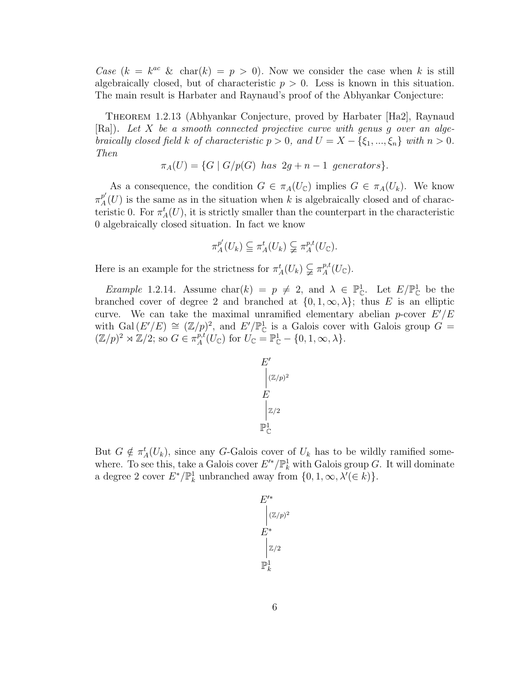Case  $(k = k^{ac} \& \text{char}(k) = p > 0)$ . Now we consider the case when k is still algebraically closed, but of characteristic  $p > 0$ . Less is known in this situation. The main result is Harbater and Raynaud's proof of the Abhyankar Conjecture:

Theorem 1.2.13 (Abhyankar Conjecture, proved by Harbater [Ha2], Raynaud  $[Ra]$ . Let X be a smooth connected projective curve with genus g over an algebraically closed field k of characteristic  $p > 0$ , and  $U = X - \{\xi_1, ..., \xi_n\}$  with  $n > 0$ . Then

$$
\pi_A(U) = \{ G \mid G/p(G) \text{ has } 2g + n - 1 \text{ generators} \}.
$$

As a consequence, the condition  $G \in \pi_A(U_{\mathbb{C}})$  implies  $G \in \pi_A(U_k)$ . We know  $\pi^{p'}_{\scriptscriptstyle{A}}$  $\frac{p}{A}(U)$  is the same as in the situation when k is algebraically closed and of characteristic 0. For  $\pi_A^t(U)$ , it is strictly smaller than the counterpart in the characteristic 0 algebraically closed situation. In fact we know

$$
\pi_A^{p'}(U_k) \subseteqq \pi_A^t(U_k) \subsetneq \pi_A^{p,t}(U_{\mathbb{C}}).
$$

Here is an example for the strictness for  $\pi_A^t(U_k) \subsetneq \pi_A^{p,t}$  ${}_{A}^{p,t}(U_{\mathbb{C}}).$ 

*Example* 1.2.14. Assume char(k) =  $p \neq 2$ , and  $\lambda \in \mathbb{P}_{\mathbb{C}}^1$ . Let  $E/\mathbb{P}_{\mathbb{C}}^1$  be the branched cover of degree 2 and branched at  $\{0, 1, \infty, \lambda\}$ ; thus E is an elliptic curve. We can take the maximal unramified elementary abelian *p*-cover  $E'/E$ with Gal $(E'/E) \cong (\mathbb{Z}/p)^2$ , and  $E'/\mathbb{P}_{\mathbb{C}}^1$  is a Galois cover with Galois group  $G =$  $(\mathbb{Z}/p)^2 \rtimes \mathbb{Z}/2$ ; so  $G \in \pi_A^{p,t}$  $P_A^{\bar{p},t}(U_{\mathbb{C}})$  for  $U_{\mathbb{C}} = \mathbb{P}_{\mathbb{C}}^1 - \{0,1,\infty,\lambda\}.$ 

$$
\begin{array}{c}\nE' \\
\Big| (\mathbb{Z}/p)^2 \\
E \\
\Big| \mathbb{Z}/2 \\
\mathbb{P}^1_{\mathbb{C}}\n\end{array}
$$

But  $G \notin \pi_A^t(U_k)$ , since any G-Galois cover of  $U_k$  has to be wildly ramified somewhere. To see this, take a Galois cover  $E'^*/\mathbb{P}^1_k$  with Galois group G. It will dominate a degree 2 cover  $E^*/\mathbb{P}^1_k$  unbranched away from  $\{0, 1, \infty, \lambda' \in k\}$ .

$$
E'^{*}
$$
  
\n
$$
|Z/p)^2
$$
  
\n
$$
E^*
$$
  
\n
$$
|Z/2
$$
  
\n
$$
\mathbb{P}^1_k
$$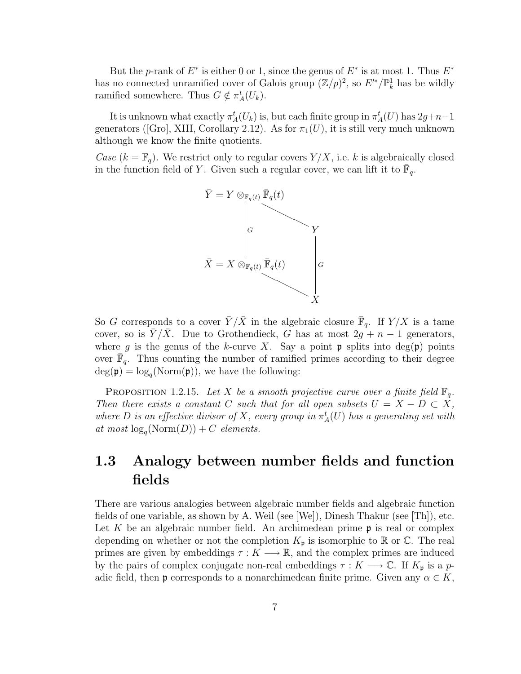But the p-rank of  $E^*$  is either 0 or 1, since the genus of  $E^*$  is at most 1. Thus  $E^*$ has no connected unramified cover of Galois group  $(\mathbb{Z}/p)^2$ , so  $E'^*/\mathbb{P}^1_k$  has be wildly ramified somewhere. Thus  $G \notin \pi_A^t(U_k)$ .

It is unknown what exactly  $\pi_A^t(U_k)$  is, but each finite group in  $\pi_A^t(U)$  has  $2g+n-1$ generators ([Gro], XIII, Corollary 2.12). As for  $\pi_1(U)$ , it is still very much unknown although we know the finite quotients.

Case  $(k = \mathbb{F}_q)$ . We restrict only to regular covers  $Y/X$ , i.e. k is algebraically closed in the function field of Y. Given such a regular cover, we can lift it to  $\bar{\mathbb{F}}_q$ .



So G corresponds to a cover  $\bar{Y}/\bar{X}$  in the algebraic closure  $\bar{\mathbb{F}}_q$ . If  $Y/X$  is a tame cover, so is  $Y/X$ . Due to Grothendieck, G has at most  $2g + n - 1$  generators, where g is the genus of the k-curve X. Say a point p splits into  $deg(\mathfrak{p})$  points over  $\overline{\mathbb{F}}_q$ . Thus counting the number of ramified primes according to their degree  $deg(\mathfrak{p}) = log<sub>q</sub>(Norm(\mathfrak{p}))$ , we have the following:

PROPOSITION 1.2.15. Let X be a smooth projective curve over a finite field  $\mathbb{F}_q$ . Then there exists a constant C such that for all open subsets  $U = X - D \subset X$ , where D is an effective divisor of X, every group in  $\pi_A^t(U)$  has a generating set with at most  $\log_q(\text{Norm}(D)) + C$  elements.

# 1.3 Analogy between number fields and function fields

There are various analogies between algebraic number fields and algebraic function fields of one variable, as shown by A. Weil (see  $[We]$ ), Dinesh Thakur (see  $[Th]$ ), etc. Let K be an algebraic number field. An archimedean prime  $\mathfrak p$  is real or complex depending on whether or not the completion  $K_{\mathfrak{p}}$  is isomorphic to  $\mathbb R$  or  $\mathbb C$ . The real primes are given by embeddings  $\tau : K \longrightarrow \mathbb{R}$ , and the complex primes are induced by the pairs of complex conjugate non-real embeddings  $\tau : K \longrightarrow \mathbb{C}$ . If  $K_{\mathfrak{p}}$  is a padic field, then **p** corresponds to a nonarchimedean finite prime. Given any  $\alpha \in K$ ,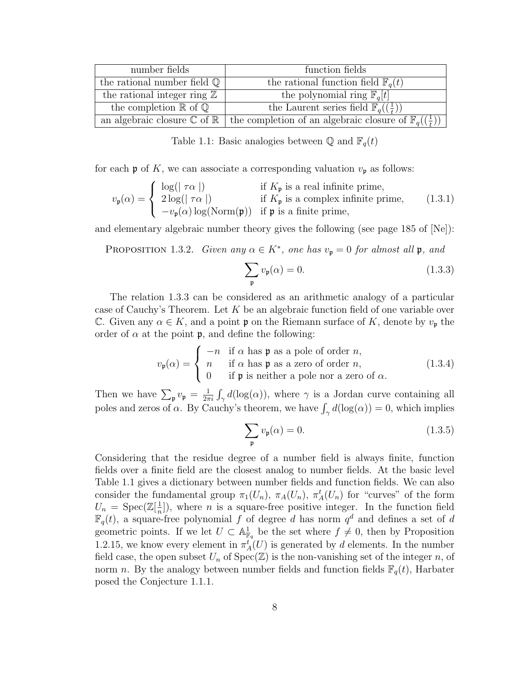| number fields                                   | function fields                                                                    |  |  |
|-------------------------------------------------|------------------------------------------------------------------------------------|--|--|
| the rational number field $\mathbb{Q}$          | the rational function field $\mathbb{F}_q(t)$                                      |  |  |
| the rational integer ring $\mathbb{Z}$          | the polynomial ring $\mathbb{F}_q[t]$                                              |  |  |
| the completion $\mathbb R$ of $\mathbb Q$       | the Laurent series field $\mathbb{F}_q(\left(\frac{1}{t}\right))$                  |  |  |
| an algebraic closure $\mathbb C$ of $\mathbb R$ | the completion of an algebraic closure of $\mathbb{F}_q(\left(\frac{1}{t}\right))$ |  |  |

Table 1.1: Basic analogies between  $\mathbb{Q}$  and  $\mathbb{F}_q(t)$ 

for each  $\mathfrak p$  of K, we can associate a corresponding valuation  $v_{\mathfrak p}$  as follows:

$$
v_{\mathfrak{p}}(\alpha) = \begin{cases} \log(|\tau\alpha|) & \text{if } K_{\mathfrak{p}} \text{ is a real infinite prime,} \\ 2\log(|\tau\alpha|) & \text{if } K_{\mathfrak{p}} \text{ is a complex infinite prime,} \\ -v_{\mathfrak{p}}(\alpha)\log(\text{Norm}(\mathfrak{p})) & \text{if } \mathfrak{p} \text{ is a finite prime,} \end{cases}
$$
(1.3.1)

and elementary algebraic number theory gives the following (see page 185 of [Ne]):

PROPOSITION 1.3.2. Given any  $\alpha \in K^*$ , one has  $v_{\mathfrak{p}} = 0$  for almost all  $\mathfrak{p}$ , and

$$
\sum_{\mathfrak{p}} v_{\mathfrak{p}}(\alpha) = 0. \tag{1.3.3}
$$

The relation 1.3.3 can be considered as an arithmetic analogy of a particular case of Cauchy's Theorem. Let  $K$  be an algebraic function field of one variable over C. Given any  $\alpha \in K$ , and a point  $\mathfrak p$  on the Riemann surface of K, denote by  $v_{\mathfrak p}$  the order of  $\alpha$  at the point **p**, and define the following:

$$
v_{\mathfrak{p}}(\alpha) = \begin{cases} -n & \text{if } \alpha \text{ has } \mathfrak{p} \text{ as a pole of order } n, \\ n & \text{if } \alpha \text{ has } \mathfrak{p} \text{ as a zero of order } n, \\ 0 & \text{if } \mathfrak{p} \text{ is neither a pole nor a zero of } \alpha. \end{cases}
$$
(1.3.4)

Then we have  $\sum_{\mathfrak{p}} v_{\mathfrak{p}} = \frac{1}{2\pi}$  $\frac{1}{2\pi i}\int_{\gamma} d(\log(\alpha))$ , where  $\gamma$  is a Jordan curve containing all poles and zeros of  $\alpha$ . By Cauchy's theorem, we have  $\int_{\gamma} d(\log(\alpha)) = 0$ , which implies

$$
\sum_{\mathfrak{p}} v_{\mathfrak{p}}(\alpha) = 0. \tag{1.3.5}
$$

Considering that the residue degree of a number field is always finite, function fields over a finite field are the closest analog to number fields. At the basic level Table 1.1 gives a dictionary between number fields and function fields. We can also consider the fundamental group  $\pi_1(U_n)$ ,  $\pi_A(U_n)$ ,  $\pi_A^t(U_n)$  for "curves" of the form  $U_n = \text{Spec}(\mathbb{Z}[\frac{1}{n}$  $\frac{1}{n}$ ), where *n* is a square-free positive integer. In the function field  $\mathbb{F}_q(t)$ , a square-free polynomial f of degree d has norm  $q^d$  and defines a set of d geometric points. If we let  $U \subset \mathbb{A}^1_{\mathbb{F}_q}$  be the set where  $f \neq 0$ , then by Proposition 1.2.15, we know every element in  $\pi_A^i(U)$  is generated by d elements. In the number field case, the open subset  $U_n$  of  $Spec(\mathbb{Z})$  is the non-vanishing set of the integer n, of norm n. By the analogy between number fields and function fields  $\mathbb{F}_q(t)$ , Harbater posed the Conjecture 1.1.1.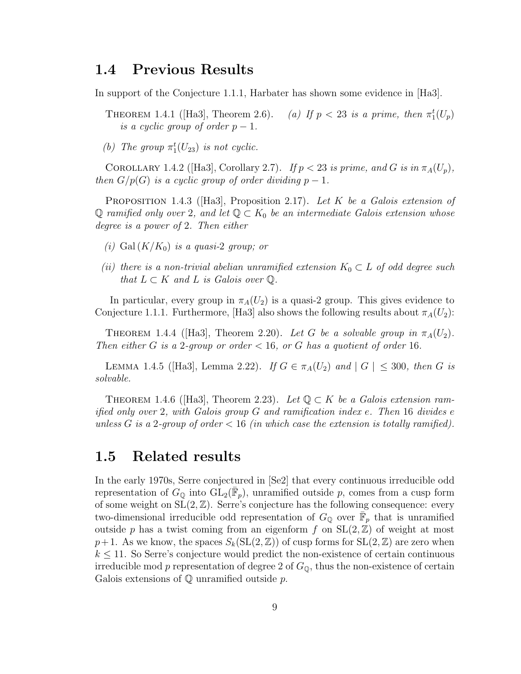## 1.4 Previous Results

In support of the Conjecture 1.1.1, Harbater has shown some evidence in [Ha3].

THEOREM 1.4.1 ([Ha3], Theorem 2.6). (a) If  $p < 23$  is a prime, then  $\pi_1^t(U_p)$ is a cyclic group of order  $p-1$ .

(b) The group  $\pi_1^t(U_{23})$  is not cyclic.

COROLLARY 1.4.2 ([Ha3], Corollary 2.7). If  $p < 23$  is prime, and G is in  $\pi_A(U_p)$ , then  $G/p(G)$  is a cyclic group of order dividing  $p-1$ .

PROPOSITION 1.4.3 ([Ha3], Proposition 2.17). Let K be a Galois extension of Q ramified only over 2, and let  $\mathbb{Q} \subset K_0$  be an intermediate Galois extension whose degree is a power of 2. Then either

- (i) Gal $(K/K_0)$  is a quasi-2 group; or
- (ii) there is a non-trivial abelian unramified extension  $K_0 \subset L$  of odd degree such that  $L \subset K$  and  $L$  is Galois over  $\mathbb{Q}$ .

In particular, every group in  $\pi_A(U_2)$  is a quasi-2 group. This gives evidence to Conjecture 1.1.1. Furthermore, [Ha3] also shows the following results about  $\pi_A(U_2)$ :

THEOREM 1.4.4 ([Ha3], Theorem 2.20). Let G be a solvable group in  $\pi_A(U_2)$ . Then either G is a 2-group or order  $< 16$ , or G has a quotient of order 16.

LEMMA 1.4.5 ([Ha3], Lemma 2.22). If  $G \in \pi_A(U_2)$  and  $|G| \leq 300$ , then G is solvable.

THEOREM 1.4.6 ([Ha3], Theorem 2.23). Let  $\mathbb{Q} \subset K$  be a Galois extension ramified only over 2, with Galois group  $G$  and ramification index e. Then 16 divides e unless G is a 2-group of order  $< 16$  (in which case the extension is totally ramified).

## 1.5 Related results

In the early 1970s, Serre conjectured in [Se2] that every continuous irreducible odd representation of  $G_{\mathbb{Q}}$  into  $GL_2(\bar{\mathbb{F}}_p)$ , unramified outside p, comes from a cusp form of some weight on  $SL(2, \mathbb{Z})$ . Serre's conjecture has the following consequence: every two-dimensional irreducible odd representation of  $G_{\mathbb{Q}}$  over  $\overline{\mathbb{F}}_p$  that is unramified outside p has a twist coming from an eigenform f on  $SL(2,\mathbb{Z})$  of weight at most  $p+1$ . As we know, the spaces  $S_k(SL(2,\mathbb{Z}))$  of cusp forms for  $SL(2,\mathbb{Z})$  are zero when  $k \leq 11$ . So Serre's conjecture would predict the non-existence of certain continuous irreducible mod p representation of degree 2 of  $G_{\mathbb{Q}}$ , thus the non-existence of certain Galois extensions of  $\mathbb Q$  unramified outside p.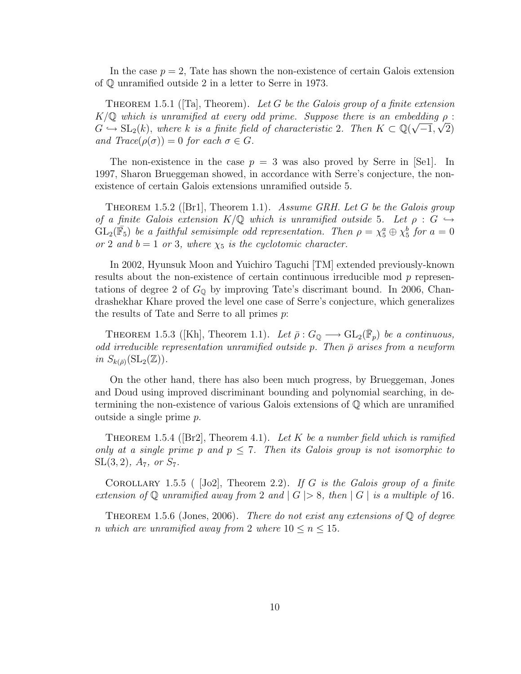In the case  $p = 2$ , Tate has shown the non-existence of certain Galois extension of Q unramified outside 2 in a letter to Serre in 1973.

THEOREM 1.5.1 ([Ta], Theorem). Let G be the Galois group of a finite extension  $K/\mathbb{Q}$  which is unramified at every odd prime. Suppose there is an embedding  $\rho$ :  $G \hookrightarrow SL_2(k)$ , where k is a finite field of characteristic 2. Then  $K \subset \mathbb{Q}(\sqrt{-1}, \sqrt{2})$ and  $Trace(\rho(\sigma)) = 0$  for each  $\sigma \in G$ .

The non-existence in the case  $p = 3$  was also proved by Serre in [Se1]. In 1997, Sharon Brueggeman showed, in accordance with Serre's conjecture, the nonexistence of certain Galois extensions unramified outside 5.

THEOREM 1.5.2 ([Br1], Theorem 1.1). Assume GRH. Let G be the Galois group of a finite Galois extension  $K/\mathbb{Q}$  which is unramified outside 5. Let  $\rho : G \hookrightarrow$  $GL_2(\bar{\mathbb{F}}_5)$  be a faithful semisimple odd representation. Then  $\rho = \chi_5^a \oplus \chi_5^b$  for  $a = 0$ or 2 and  $b = 1$  or 3, where  $\chi_5$  is the cyclotomic character.

In 2002, Hyunsuk Moon and Yuichiro Taguchi [TM] extended previously-known results about the non-existence of certain continuous irreducible mod p representations of degree 2 of  $G_{\mathbb{Q}}$  by improving Tate's discrimant bound. In 2006, Chandrashekhar Khare proved the level one case of Serre's conjecture, which generalizes the results of Tate and Serre to all primes  $p$ .

THEOREM 1.5.3 ([Kh], Theorem 1.1). Let  $\bar{\rho}: G_{\mathbb{Q}} \longrightarrow GL_2(\overline{\mathbb{F}}_p)$  be a continuous, odd irreducible representation unramified outside p. Then  $\bar{\rho}$  arises from a newform in  $S_{k(\bar{\rho})}(\mathrm{SL}_2(\mathbb{Z}))$ .

On the other hand, there has also been much progress, by Brueggeman, Jones and Doud using improved discriminant bounding and polynomial searching, in determining the non-existence of various Galois extensions of Q which are unramified outside a single prime p.

THEOREM 1.5.4 ( $[Br2]$ , Theorem 4.1). Let K be a number field which is ramified only at a single prime p and  $p \leq 7$ . Then its Galois group is not isomorphic to  $SL(3, 2)$ ,  $A_7$ , or  $S_7$ .

COROLLARY 1.5.5 (  $[Jo2]$ , Theorem 2.2). If G is the Galois group of a finite extension of Q unramified away from 2 and  $|G| > 8$ , then  $|G|$  is a multiple of 16.

THEOREM 1.5.6 (Jones, 2006). There do not exist any extensions of  $\mathbb Q$  of degree n which are unramified away from 2 where  $10 \le n \le 15$ .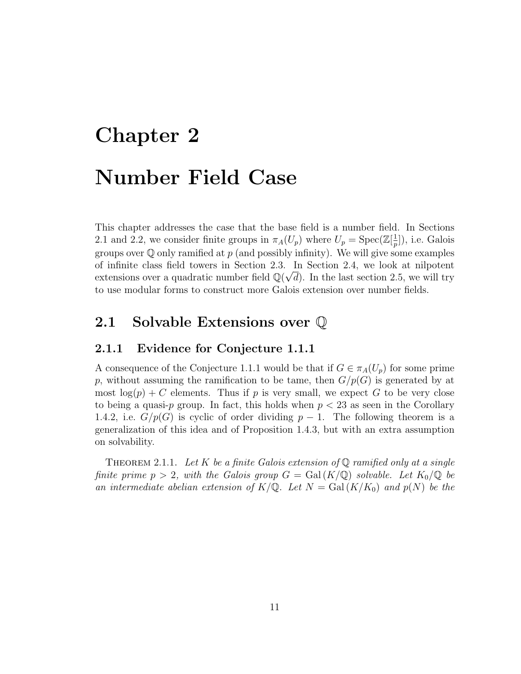# Chapter 2 Number Field Case

This chapter addresses the case that the base field is a number field. In Sections 2.1 and 2.2, we consider finite groups in  $\pi_A(U_p)$  where  $U_p = \text{Spec}(\mathbb{Z}[\frac{1}{n}])$  $\frac{1}{p}$ ]), i.e. Galois groups over  $\mathbb Q$  only ramified at  $p$  (and possibly infinity). We will give some examples of infinite class field towers in Section 2.3. In Section 2.4, we look at nilpotent extensions over a quadratic number field  $\mathbb{Q}(\sqrt{d})$ . In the last section 2.5, we will try to use modular forms to construct more Galois extension over number fields.

# 2.1 Solvable Extensions over Q

#### 2.1.1 Evidence for Conjecture 1.1.1

A consequence of the Conjecture 1.1.1 would be that if  $G \in \pi_A(U_p)$  for some prime p, without assuming the ramification to be tame, then  $G/p(G)$  is generated by at most  $log(p) + C$  elements. Thus if p is very small, we expect G to be very close to being a quasi-p group. In fact, this holds when  $p < 23$  as seen in the Corollary 1.4.2, i.e.  $G/p(G)$  is cyclic of order dividing  $p-1$ . The following theorem is a generalization of this idea and of Proposition 1.4.3, but with an extra assumption on solvability.

THEOREM 2.1.1. Let K be a finite Galois extension of  $\mathbb Q$  ramified only at a single finite prime  $p > 2$ , with the Galois group  $G = \text{Gal}(K/\mathbb{Q})$  solvable. Let  $K_0/\mathbb{Q}$  be an intermediate abelian extension of  $K/\mathbb{Q}$ . Let  $N = \text{Gal}(K/K_0)$  and  $p(N)$  be the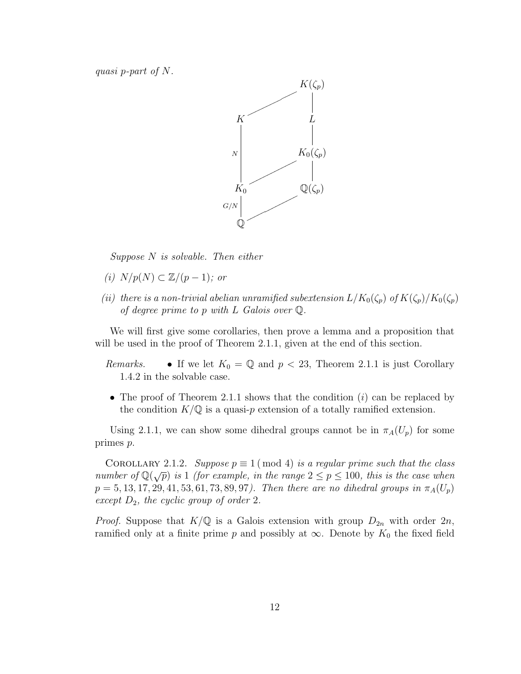quasi p-part of N.



 $Suppose \ N is solvable.$  Then either

- (i)  $N/p(N) \subset \mathbb{Z}/(p-1)$ ; or
- (ii) there is a non-trivial abelian unramified subextension  $L/K_0(\zeta_p)$  of  $K(\zeta_p)/K_0(\zeta_p)$ of degree prime to p with  $L$  Galois over  $\mathbb Q$ .

We will first give some corollaries, then prove a lemma and a proposition that will be used in the proof of Theorem 2.1.1, given at the end of this section.

- *Remarks.* If we let  $K_0 = \mathbb{Q}$  and  $p < 23$ , Theorem 2.1.1 is just Corollary 1.4.2 in the solvable case.
- The proof of Theorem 2.1.1 shows that the condition  $(i)$  can be replaced by the condition  $K/\mathbb{Q}$  is a quasi-p extension of a totally ramified extension.

Using 2.1.1, we can show some dihedral groups cannot be in  $\pi_A(U_p)$  for some primes p.

COROLLARY 2.1.2. Suppose  $p \equiv 1 \pmod{4}$  is a regular prime such that the class COROLLART 2.1.2. Suppose  $p = 1 \pmod{4}$  is a regular prime such that the cases<br>number of  $\mathbb{Q}(\sqrt{p})$  is 1 (for example, in the range  $2 \le p \le 100$ , this is the case when  $p = 5, 13, 17, 29, 41, 53, 61, 73, 89, 97$ . Then there are no dihedral groups in  $\pi_A(U_p)$ except  $D_2$ , the cyclic group of order 2.

*Proof.* Suppose that  $K/\mathbb{Q}$  is a Galois extension with group  $D_{2n}$  with order  $2n$ , ramified only at a finite prime p and possibly at  $\infty$ . Denote by  $K_0$  the fixed field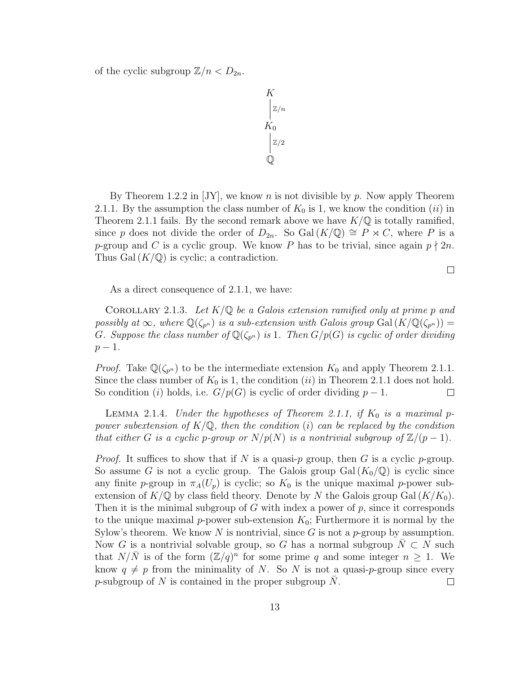of the cyclic subgroup  $\mathbb{Z}/n < D_{2n}$ .

$$
K\n\begin{bmatrix}\n\mathbb{Z}/n \\
K_0 \\
\mathbb{Z}/2\n\end{bmatrix}
$$

By Theorem 1.2.2 in [JY], we know n is not divisible by p. Now apply Theorem 2.1.1. By the assumption the class number of  $K_0$  is 1, we know the condition *(ii)* in Theorem 2.1.1 fails. By the second remark above we have  $K/\mathbb{Q}$  is totally ramified, since p does not divide the order of  $D_{2n}$ . So Gal  $(K/\mathbb{Q}) \cong P \rtimes C$ , where P is a p-group and C is a cyclic group. We know P has to be trivial, since again  $p \nmid 2n$ . Thus Gal  $(K/\mathbb{Q})$  is cyclic; a contradiction.

 $\Box$ 

As a direct consequence of 2.1.1, we have:

COROLLARY 2.1.3. Let  $K/\mathbb{Q}$  be a Galois extension ramified only at prime p and possibly at  $\infty$ , where  $\mathbb{Q}(\zeta_{p^n})$  is a sub-extension with Galois group Gal  $(K/\mathbb{Q}(\zeta_{p^n})) =$ G. Suppose the class number of  $\mathbb{Q}(\zeta_{p^n})$  is 1. Then  $G/p(G)$  is cyclic of order dividing  $p - 1$ .

*Proof.* Take  $\mathbb{Q}(\zeta_{p^n})$  to be the intermediate extension  $K_0$  and apply Theorem 2.1.1. Since the class number of  $K_0$  is 1, the condition (ii) in Theorem 2.1.1 does not hold. So condition (i) holds, i.e.  $G/p(G)$  is cyclic of order dividing  $p-1$ .  $\Box$ 

LEMMA 2.1.4. Under the hypotheses of Theorem 2.1.1, if  $K_0$  is a maximal ppower subextension of  $K/\mathbb{Q}$ , then the condition (i) can be replaced by the condition that either G is a cyclic p-group or  $N/p(N)$  is a nontrivial subgroup of  $\mathbb{Z}/(p-1)$ .

*Proof.* It suffices to show that if N is a quasi-p group, then G is a cyclic p-group. So assume G is not a cyclic group. The Galois group Gal $(K_0/\mathbb{Q})$  is cyclic since any finite p-group in  $\pi_A(U_p)$  is cyclic; so  $K_0$  is the unique maximal p-power subextension of  $K/\mathbb{Q}$  by class field theory. Denote by N the Galois group Gal $(K/K_0)$ . Then it is the minimal subgroup of G with index a power of  $p$ , since it corresponds to the unique maximal p-power sub-extension  $K_0$ ; Furthermore it is normal by the Sylow's theorem. We know N is nontrivial, since G is not a  $p$ -group by assumption. Now G is a nontrivial solvable group, so G has a normal subgroup  $N \subset N$  such that  $N/\bar{N}$  is of the form  $(\mathbb{Z}/q)^n$  for some prime q and some integer  $n \geq 1$ . We know  $q \neq p$  from the minimality of N. So N is not a quasi-p-group since every p-subgroup of N is contained in the proper subgroup N.  $\Box$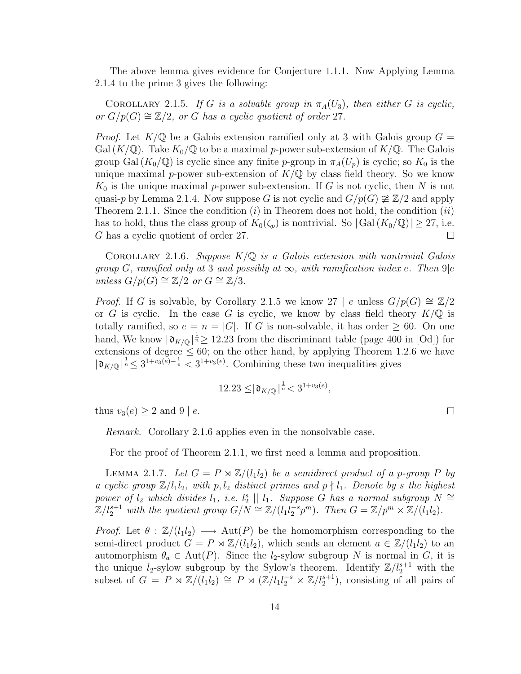The above lemma gives evidence for Conjecture 1.1.1. Now Applying Lemma 2.1.4 to the prime 3 gives the following:

COROLLARY 2.1.5. If G is a solvable group in  $\pi_A(U_3)$ , then either G is cyclic, or  $G/p(G) \cong \mathbb{Z}/2$ , or G has a cyclic quotient of order 27.

*Proof.* Let  $K/\mathbb{Q}$  be a Galois extension ramified only at 3 with Galois group  $G =$ Gal  $(K/\mathbb{Q})$ . Take  $K_0/\mathbb{Q}$  to be a maximal p-power sub-extension of  $K/\mathbb{Q}$ . The Galois group Gal  $(K_0/\mathbb{Q})$  is cyclic since any finite p-group in  $\pi_A(U_p)$  is cyclic; so  $K_0$  is the unique maximal p-power sub-extension of  $K/\mathbb{Q}$  by class field theory. So we know  $K_0$  is the unique maximal p-power sub-extension. If G is not cyclic, then N is not quasi-p by Lemma 2.1.4. Now suppose G is not cyclic and  $G/p(G) \not\cong \mathbb{Z}/2$  and apply Theorem 2.1.1. Since the condition  $(i)$  in Theorem does not hold, the condition  $(ii)$ has to hold, thus the class group of  $K_0(\zeta_p)$  is nontrivial. So  $|\text{Gal}(K_0/\mathbb{Q})| \geq 27$ , i.e. G has a cyclic quotient of order 27.  $\Box$ 

COROLLARY 2.1.6. Suppose  $K/\mathbb{Q}$  is a Galois extension with nontrivial Galois group G, ramified only at 3 and possibly at  $\infty$ , with ramification index e. Then 9|e unless  $G/p(G) \cong \mathbb{Z}/2$  or  $G \cong \mathbb{Z}/3$ .

*Proof.* If G is solvable, by Corollary 2.1.5 we know 27 | e unless  $G/p(G) \cong \mathbb{Z}/2$ or G is cyclic. In the case G is cyclic, we know by class field theory  $K/\mathbb{Q}$  is totally ramified, so  $e = n = |G|$ . If G is non-solvable, it has order  $\geq 60$ . On one hand, We know  $|\mathfrak{d}_{K/\mathbb{Q}}|^{\frac{1}{n}} \geq 12.23$  from the discriminant table (page 400 in [Od]) for extensions of degree  $\leq 60$ ; on the other hand, by applying Theorem 1.2.6 we have  $|\mathfrak{d}_{K/\mathbb{Q}}|^{\frac{1}{n}} \leq 3^{1+v_3(e)-\frac{1}{e}} < 3^{1+v_3(e)}$ . Combining these two inequalities gives

$$
12.23 \leq |\mathfrak{d}_{K/\mathbb{Q}}|^{\frac{1}{n}} < 3^{1+v_3(e)},
$$

 $\Box$ 

thus  $v_3(e) \geq 2$  and  $9 \mid e$ .

Remark. Corollary 2.1.6 applies even in the nonsolvable case.

For the proof of Theorem 2.1.1, we first need a lemma and proposition.

LEMMA 2.1.7. Let  $G = P \rtimes \mathbb{Z}/(l_1 l_2)$  be a semidirect product of a p-group P by a cyclic group  $\mathbb{Z}/l_1l_2$ , with p,  $l_2$  distinct primes and  $p \nmid l_1$ . Denote by s the highest power of  $l_2$  which divides  $l_1$ , i.e.  $l_2^s \parallel l_1$ . Suppose  $\tilde{G}$  has a normal subgroup  $N \cong$  $\mathbb{Z}/l_2^{s+1}$  with the quotient group  $G/N \cong \mathbb{Z}/(l_1 l_2^{-s} p^m)$ . Then  $G = \mathbb{Z}/p^m \times \mathbb{Z}/(\overline{l_1 l_2})$ .

*Proof.* Let  $\theta : \mathbb{Z}/(l_1l_2) \longrightarrow \text{Aut}(P)$  be the homomorphism corresponding to the semi-direct product  $G = P \rtimes \mathbb{Z}/(l_1l_2)$ , which sends an element  $a \in \mathbb{Z}/(l_1l_2)$  to an automorphism  $\theta_a \in \text{Aut}(P)$ . Since the *l*<sub>2</sub>-sylow subgroup N is normal in G, it is the unique  $l_2$ -sylow subgroup by the Sylow's theorem. Identify  $\mathbb{Z}/l_2^{s+1}$  with the subset of  $G = P \rtimes \mathbb{Z}/(l_1 l_2) \cong P \rtimes (\mathbb{Z}/l_1 l_2^{-s} \times \mathbb{Z}/l_2^{s+1}),$  consisting of all pairs of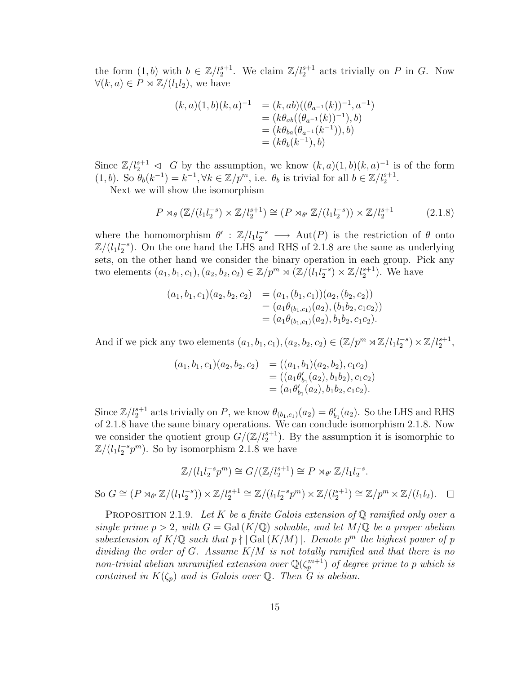the form  $(1, b)$  with  $b \in \mathbb{Z}/l_2^{s+1}$ . We claim  $\mathbb{Z}/l_2^{s+1}$  acts trivially on P in G. Now  $\forall (k, a) \in P \rtimes \mathbb{Z}/(l_1l_2)$ , we have

$$
(k, a)(1, b)(k, a)^{-1} = (k, ab)((\theta_{a^{-1}}(k))^{-1}, a^{-1})
$$
  
=  $(k\theta_{ab}((\theta_{a^{-1}}(k))^{-1}), b)$   
=  $(k\theta_{ba}(\theta_{a^{-1}}(k^{-1})), b)$   
=  $(k\theta_b(k^{-1}), b)$ 

Since  $\mathbb{Z}/l_2^{s+1} \leq G$  by the assumption, we know  $(k, a)(1, b)(k, a)^{-1}$  is of the form  $(1, b)$ . So  $\theta_b(k^{-1}) = k^{-1}, \forall k \in \mathbb{Z}/p^m$ , i.e.  $\theta_b$  is trivial for all  $b \in \mathbb{Z}/l_2^{s+1}$ .

Next we will show the isomorphism

$$
P \rtimes_{\theta} (\mathbb{Z}/(l_1 l_2^{-s}) \times \mathbb{Z}/l_2^{s+1}) \cong (P \rtimes_{\theta'} \mathbb{Z}/(l_1 l_2^{-s})) \times \mathbb{Z}/l_2^{s+1} \tag{2.1.8}
$$

where the homomorphism  $\theta' : \mathbb{Z}/l_1 l_2^{-s} \longrightarrow \text{Aut}(P)$  is the restriction of  $\theta$  onto  $\mathbb{Z}/(l_1 l_2^{-s})$ . On the one hand the LHS and RHS of 2.1.8 are the same as underlying sets, on the other hand we consider the binary operation in each group. Pick any two elements  $(a_1, b_1, c_1), (a_2, b_2, c_2) \in \mathbb{Z}/p^m \rtimes (\mathbb{Z}/(l_1l_2^{-s}) \times \mathbb{Z}/l_2^{s+1})$ . We have

$$
(a_1, b_1, c_1)(a_2, b_2, c_2) = (a_1, (b_1, c_1))(a_2, (b_2, c_2))
$$
  
=  $(a_1\theta_{(b_1, c_1)}(a_2), (b_1b_2, c_1c_2))$   
=  $(a_1\theta_{(b_1, c_1)}(a_2), b_1b_2, c_1c_2).$ 

And if we pick any two elements  $(a_1, b_1, c_1), (a_2, b_2, c_2) \in (\mathbb{Z}/p^m \rtimes \mathbb{Z}/l_1l_2^{-s}) \times \mathbb{Z}/l_2^{s+1}$ ,

$$
(a_1, b_1, c_1)(a_2, b_2, c_2) = ((a_1, b_1)(a_2, b_2), c_1c_2)
$$
  
= ((a<sub>1</sub>θ'<sub>b<sub>1</sub></sub>(a<sub>2</sub>), b<sub>1</sub>b<sub>2</sub>), c<sub>1</sub>c<sub>2</sub>)  
= (a<sub>1</sub>θ'<sub>b<sub>1</sub></sub>(a<sub>2</sub>), b<sub>1</sub>b<sub>2</sub>, c<sub>1</sub>c<sub>2</sub>).

Since  $\mathbb{Z}/l_2^{s+1}$  acts trivially on P, we know  $\theta_{(b_1,c_1)}(a_2) = \theta'_{b_1}(a_2)$ . So the LHS and RHS of 2.1.8 have the same binary operations. We can conclude isomorphism 2.1.8. Now we consider the quotient group  $G/(\mathbb{Z}/l_2^{s+1})$ . By the assumption it is isomorphic to  $\mathbb{Z}/(l_1 l_2^{-s} p^m)$ . So by isomorphism 2.1.8 we have

$$
\mathbb{Z}/(l_1 l_2^{-s} p^m) \cong G/(\mathbb{Z}/l_2^{s+1}) \cong P \rtimes_{\theta'} \mathbb{Z}/l_1 l_2^{-s}.
$$

So  $G \cong (P \rtimes_{\theta'} \mathbb{Z}/(l_1 l_2^{-s})) \times \mathbb{Z}/l_2^{s+1} \cong \mathbb{Z}/(l_1 l_2^{-s} p^m) \times \mathbb{Z}/(l_2^{s+1}) \cong \mathbb{Z}/p^m \times \mathbb{Z}/(l_1 l_2).$ 

PROPOSITION 2.1.9. Let K be a finite Galois extension of  $\mathbb Q$  ramified only over a single prime  $p > 2$ , with  $G = \text{Gal}(K/\mathbb{Q})$  solvable, and let  $M/\mathbb{Q}$  be a proper abelian subextension of  $K/\mathbb{Q}$  such that  $p \nmid |\text{Gal}(K/M)|$ . Denote  $p^m$  the highest power of p dividing the order of  $G$ . Assume  $K/M$  is not totally ramified and that there is no non-trivial abelian unramified extension over  $\mathbb{Q}(\zeta_p^{m+1})$  of degree prime to p which is contained in  $K(\zeta_p)$  and is Galois over Q. Then G is abelian.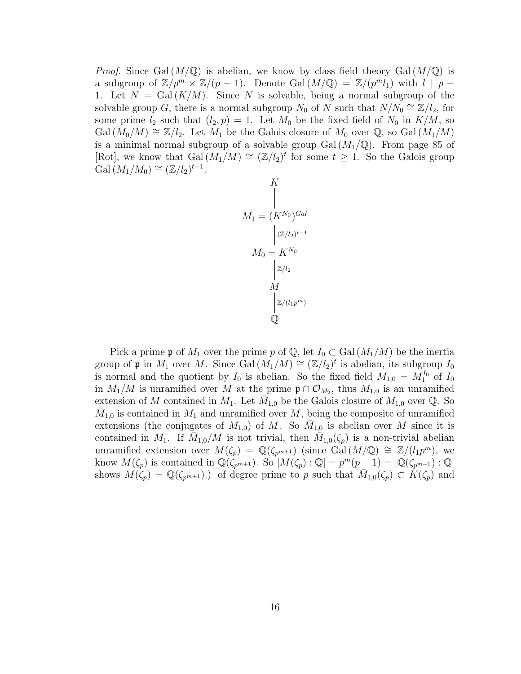*Proof.* Since Gal  $(M/\mathbb{Q})$  is abelian, we know by class field theory Gal  $(M/\mathbb{Q})$  is a subgroup of  $\mathbb{Z}/p^m \times \mathbb{Z}/(p-1)$ . Denote Gal $(M/\mathbb{Q}) = \mathbb{Z}/(p^m l_1)$  with  $l \mid p -$ 1. Let  $N = \text{Gal}(K/M)$ . Since N is solvable, being a normal subgroup of the solvable group G, there is a normal subgroup  $N_0$  of N such that  $N/N_0 \cong \mathbb{Z}/l_2$ , for some prime  $l_2$  such that  $(l_2, p) = 1$ . Let  $M_0$  be the fixed field of  $N_0$  in  $K/M$ , so  $Gal(M_0/M) \cong \mathbb{Z}/l_2$ . Let  $M_1$  be the Galois closure of  $M_0$  over  $\mathbb{Q}$ , so  $Gal(M_1/M)$ is a minimal normal subgroup of a solvable group  $Gal(M_1/\mathbb{Q})$ . From page 85 of [Rot], we know that  $Gal(M_1/M) \cong (\mathbb{Z}/l_2)^t$  for some  $t \geq 1$ . So the Galois group Gal  $(M_1/M_0) \cong (\mathbb{Z}/l_2)^{t-1}$ .

$$
K
$$
\n
$$
M_1 = (K^{N_0})^{Gal}
$$
\n
$$
M_0 = K^{N_0}
$$
\n
$$
M_2
$$
\n
$$
M
$$
\n
$$
Z/(l_1 p^m)
$$
\n
$$
Q
$$

Pick a prime p of  $M_1$  over the prime p of  $\mathbb{Q}$ , let  $I_0 \subset \text{Gal}(M_1/M)$  be the inertia group of p in  $M_1$  over M. Since Gal  $(M_1/M) \cong (\mathbb{Z}/l_2)^t$  is abelian, its subgroup  $I_0$ is normal and the quotient by  $I_0$  is abelian. So the fixed field  $M_{1,0} = M_1^{I_0}$  of  $I_0$ in  $M_1/M$  is unramified over M at the prime  $\mathfrak{p} \cap \mathcal{O}_{M_2}$ , thus  $M_{1,0}$  is an unramified extension of M contained in  $M_1$ . Let  $\overline{M}_{1,0}$  be the Galois closure of  $M_{1,0}$  over Q. So  $\bar{M}_{1,0}$  is contained in  $M_1$  and unramified over M, being the composite of unramified extensions (the conjugates of  $M_{1,0}$ ) of M. So  $\bar{M}_{1,0}$  is abelian over M since it is contained in  $M_1$ . If  $\overline{M}_{1,0}/M$  is not trivial, then  $\overline{M}_{1,0}(\zeta_p)$  is a non-trivial abelian unramified extension over  $M(\zeta_p) = \mathbb{Q}(\zeta_{p^{m+1}})$  (since Gal $(M/\mathbb{Q}) \cong \mathbb{Z}/(l_1p^m)$ , we know  $M(\zeta_p)$  is contained in  $\mathbb{Q}(\zeta_{p^{m+1}})$ . So  $[M(\zeta_p):\mathbb{Q}]=p^m(p-1)=[\mathbb{Q}(\zeta_{p^{m+1}}):\mathbb{Q}]$ shows  $M(\zeta_p) = \mathbb{Q}(\zeta_{p^{m+1}})$ . of degree prime to p such that  $\overline{M}_{1,0}(\zeta_p) \subset \overline{K}(\zeta_p)$  and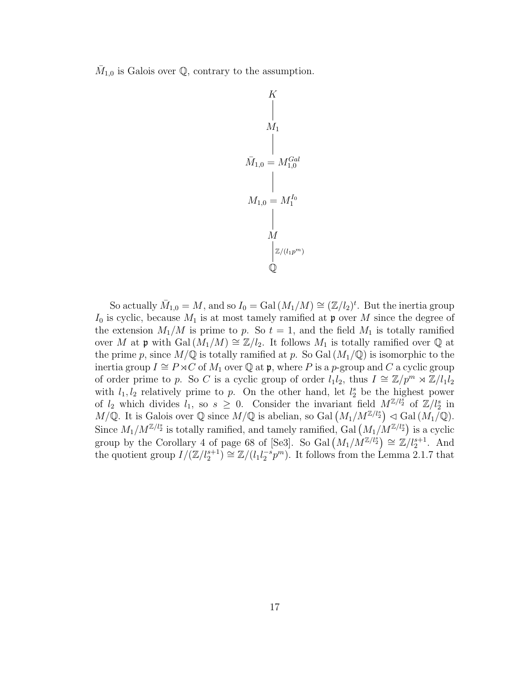$\overline{M}_{1,0}$  is Galois over Q, contrary to the assumption.



So actually  $\bar{M}_{1,0} = M$ , and so  $I_0 = \text{Gal}(M_1/M) \cong (\mathbb{Z}/l_2)^t$ . But the inertia group  $I_0$  is cyclic, because  $M_1$  is at most tamely ramified at p over M since the degree of the extension  $M_1/M$  is prime to p. So  $t = 1$ , and the field  $M_1$  is totally ramified over M at p with Gal  $(M_1/M) \cong \mathbb{Z}/l_2$ . It follows  $M_1$  is totally ramified over Q at the prime p, since  $M/\mathbb{Q}$  is totally ramified at p. So Gal  $(M_1/\mathbb{Q})$  is isomorphic to the inertia group  $I \cong P \rtimes C$  of  $M_1$  over  $\mathbb Q$  at p, where P is a p-group and C a cyclic group of order prime to p. So C is a cyclic group of order  $l_1l_2$ , thus  $I \cong \mathbb{Z}/p^m \rtimes \mathbb{Z}/l_1l_2$ with  $l_1, l_2$  relatively prime to p. On the other hand, let  $l_2^s$  be the highest power of  $l_2$  which divides  $l_1$ , so  $s \geq 0$ . Consider the invariant field  $M^{\mathbb{Z}/l_2^s}$  of  $\mathbb{Z}/l_2^s$  in  $M/\mathbb{Q}$ . It is Galois over  $\mathbb{Q}$  since  $M/\mathbb{Q}$  is abelian, so Gal  $(M_1/M^{\mathbb{Z}/l_2}) \lhd$  Gal  $(M_1/\mathbb{Q})$ . Since  $M_1/M^{\mathbb{Z}/l_2^s}$  is totally ramified, and tamely ramified, Gal  $(M_1/M^{\mathbb{Z}/l_2^s})$  is a cyclic group by the Corollary 4 of page 68 of [Se3]. So Gal  $(M_1/M^{\mathbb{Z}/l_2^s}) \cong \mathbb{Z}/l_2^{s+1}$ . And the quotient group  $I/(\mathbb{Z}/l_2^{s+1}) \cong \mathbb{Z}/(l_1l_2^{-s}p^m)$ . It follows from the Lemma 2.1.7 that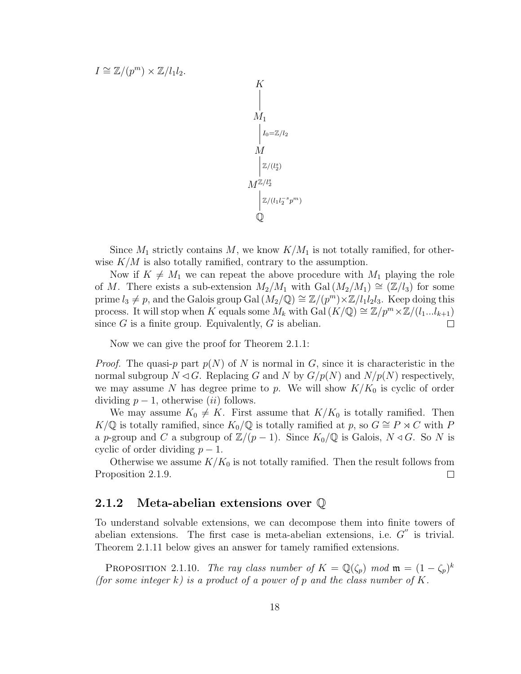$$
I \cong \mathbb{Z}/(p^m) \times \mathbb{Z}/l_1 l_2.
$$
  
\n  
\n  
\n  
\n  
\n  
\n  
\n  
\n  
\n  
\n
$$
M_1
$$
  
\n
$$
I_0 = \mathbb{Z}/l_2
$$
  
\n
$$
M
$$
  
\n
$$
\mathbb{Z}/(l_2^s)
$$
  
\n
$$
\mathbb{Z}/(l_1 l_2^{-s} p^m)
$$
  
\n
$$
\mathbb{Q}
$$

Since  $M_1$  strictly contains M, we know  $K/M_1$  is not totally ramified, for otherwise  $K/M$  is also totally ramified, contrary to the assumption.

Now if  $K \neq M_1$  we can repeat the above procedure with  $M_1$  playing the role of M. There exists a sub-extension  $M_2/M_1$  with  $Gal (M_2/M_1) \cong (\mathbb{Z}/l_3)$  for some prime  $l_3 \neq p$ , and the Galois group Gal  $(M_2/\mathbb{Q}) \cong \mathbb{Z}/(p^m) \times \mathbb{Z}/l_1l_2l_3$ . Keep doing this process. It will stop when K equals some  $M_k$  with Gal  $(K/\mathbb{Q}) \cong \mathbb{Z}/p^m \times \mathbb{Z}/(l_1...l_{k+1})$ since  $G$  is a finite group. Equivalently,  $G$  is abelian.  $\Box$ 

Now we can give the proof for Theorem 2.1.1:

*Proof.* The quasi-p part  $p(N)$  of N is normal in G, since it is characteristic in the normal subgroup  $N \triangleleft G$ . Replacing G and N by  $G/p(N)$  and  $N/p(N)$  respectively, we may assume N has degree prime to p. We will show  $K/K_0$  is cyclic of order dividing  $p-1$ , otherwise (ii) follows.

We may assume  $K_0 \neq K$ . First assume that  $K/K_0$  is totally ramified. Then K/Q is totally ramified, since  $K_0/\mathbb{Q}$  is totally ramified at p, so  $G \cong P \rtimes C$  with P a p-group and C a subgroup of  $\mathbb{Z}/(p-1)$ . Since  $K_0/\mathbb{Q}$  is Galois,  $N \triangleleft G$ . So N is cyclic of order dividing  $p-1$ .

Otherwise we assume  $K/K_0$  is not totally ramified. Then the result follows from Proposition 2.1.9.  $\Box$ 

#### 2.1.2 Meta-abelian extensions over Q

To understand solvable extensions, we can decompose them into finite towers of abelian extensions. The first case is meta-abelian extensions, i.e.  $G''$  is trivial. Theorem 2.1.11 below gives an answer for tamely ramified extensions.

PROPOSITION 2.1.10. The ray class number of  $K = \mathbb{Q}(\zeta_p)$  mod  $\mathfrak{m} = (1 - \zeta_p)^k$ (for some integer k) is a product of a power of p and the class number of K.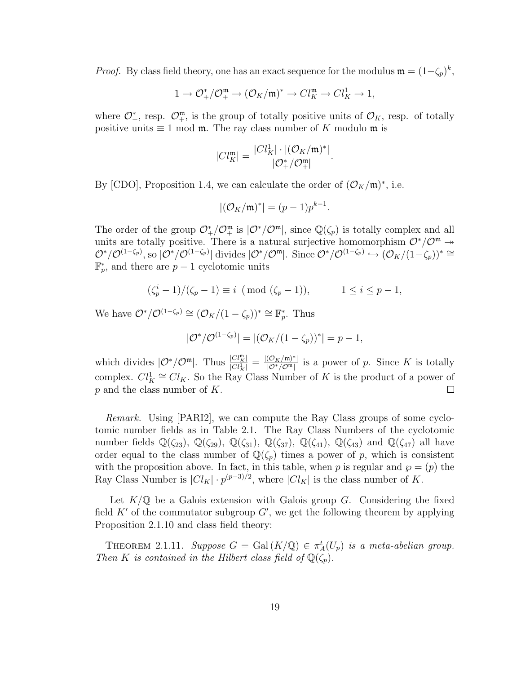*Proof.* By class field theory, one has an exact sequence for the modulus  $\mathfrak{m} = (1 - \zeta_p)^k$ ,

$$
1 \rightarrow \mathcal{O}_+^*/\mathcal{O}_+^{\mathfrak{m}} \rightarrow (\mathcal{O}_K/\mathfrak{m})^* \rightarrow Cl_K^{\mathfrak{m}} \rightarrow Cl_K^1 \rightarrow 1,
$$

where  $\mathcal{O}_{+}^{*}$ , resp.  $\mathcal{O}_{+}^{m}$ , is the group of totally positive units of  $\mathcal{O}_{K}$ , resp. of totally positive units  $\equiv 1 \mod \mathfrak{m}$ . The ray class number of K modulo  $\mathfrak{m}$  is

$$
|Cl_K^{\mathfrak{m}}| = \frac{|Cl_K^1| \cdot |(\mathcal{O}_K/\mathfrak{m})^*|}{|\mathcal{O}^*_+/\mathcal{O}^{\mathfrak{m}}_+|}.
$$

By [CDO], Proposition 1.4, we can calculate the order of  $(\mathcal{O}_K/\mathfrak{m})^*$ , i.e.

$$
|(\mathcal{O}_K/\mathfrak{m})^*| = (p-1)p^{k-1}.
$$

The order of the group  $\mathcal{O}^*_+/\mathcal{O}^m_+$  is  $|\mathcal{O}^*/\mathcal{O}^m|$ , since  $\mathbb{Q}(\zeta_p)$  is totally complex and all units are totally positive. There is a natural surjective homomorphism  $\mathcal{O}^*/\mathcal{O}^m \rightarrow$  $\mathcal{O}^*/\mathcal{O}^{(1-\zeta_p)},$  so  $|\mathcal{O}^*/\mathcal{O}^{(1-\zeta_p)}|$  divides  $|\mathcal{O}^*/\mathcal{O}^{\mathfrak{m}}|$ . Since  $\mathcal{O}^*/\mathcal{O}^{(1-\zeta_p)} \hookrightarrow (\mathcal{O}_K/(1-\zeta_p))^* \cong$  $\mathbb{F}_p^*$ , and there are  $p-1$  cyclotomic units

$$
(\zeta_p^i - 1) / (\zeta_p - 1) \equiv i \pmod{(\zeta_p - 1)}, \qquad 1 \le i \le p - 1,
$$

We have  $\mathcal{O}^*/\mathcal{O}^{(1-\zeta_p)} \cong (\mathcal{O}_K/(1-\zeta_p))^* \cong \mathbb{F}_p^*$ . Thus

$$
|\mathcal{O}^*/\mathcal{O}^{(1-\zeta_p)}| = |(\mathcal{O}_K/(1-\zeta_p))^*| = p-1,
$$

which divides  $|\mathcal{O}^*/\mathcal{O}^m|$ . Thus  $\frac{|Cl_K^m|}{|Cl^1|}$  $\frac{|Cl_K^{\mathfrak{m}}|}{|Cl_K^1|} = \frac{|(\mathcal{O}_K/\mathfrak{m})^*|}{|\mathcal{O}^*/\mathcal{O}^{\mathfrak{m}}|}$  $\frac{(\mathcal{O}_K/\mathfrak{m})^*}{|\mathcal{O}^*/\mathcal{O}^*\mathfrak{m}|}$  is a power of p. Since K is totally complex.  $Cl_K^1 \cong Cl_K$ . So the Ray Class Number of K is the product of a power of p and the class number of K.  $\Box$ 

Remark. Using [PARI2], we can compute the Ray Class groups of some cyclotomic number fields as in Table 2.1. The Ray Class Numbers of the cyclotomic number fields  $\mathbb{Q}(\zeta_{23}), \mathbb{Q}(\zeta_{29}), \mathbb{Q}(\zeta_{31}), \mathbb{Q}(\zeta_{37}), \mathbb{Q}(\zeta_{41}), \mathbb{Q}(\zeta_{43})$  and  $\mathbb{Q}(\zeta_{47})$  all have order equal to the class number of  $\mathbb{Q}(\zeta_p)$  times a power of p, which is consistent with the proposition above. In fact, in this table, when p is regular and  $\wp = (p)$  the Ray Class Number is  $|Cl_K| \cdot p^{(p-3)/2}$ , where  $|Cl_K|$  is the class number of K.

Let  $K/\mathbb{Q}$  be a Galois extension with Galois group G. Considering the fixed field  $K'$  of the commutator subgroup  $G'$ , we get the following theorem by applying Proposition 2.1.10 and class field theory:

THEOREM 2.1.11. Suppose  $G = \text{Gal}(K/\mathbb{Q}) \in \pi_A^t(U_p)$  is a meta-abelian group. Then K is contained in the Hilbert class field of  $\mathbb{Q}(\zeta_p)$ .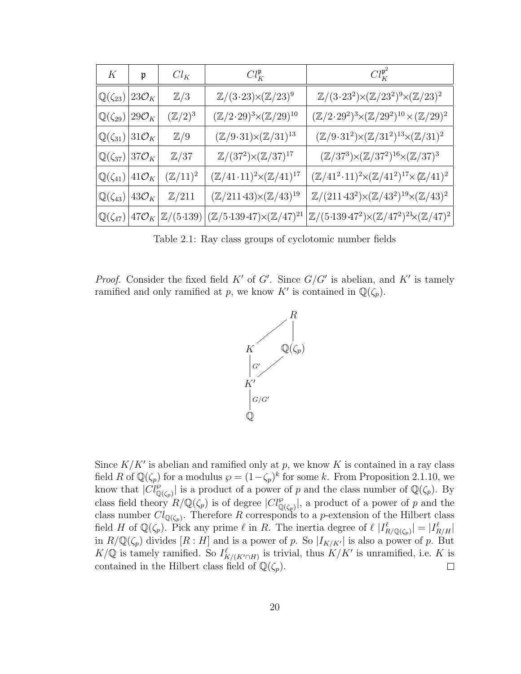| $K_{\parallel}$                                      | $\mathfrak{p}$      | $Cl_K$              | $Cl_K^{\mathfrak{p}}$                                                                                                                          | $Cl_K^{\mathfrak{p}^2}$                                                                      |
|------------------------------------------------------|---------------------|---------------------|------------------------------------------------------------------------------------------------------------------------------------------------|----------------------------------------------------------------------------------------------|
| $\mathbb{Q}(\zeta_{23})$                             | $ 23\mathcal{O}_K $ | $\mathbb{Z}/3$      | $\mathbb{Z}/(3\cdot 23)\times (\mathbb{Z}/23)^9$                                                                                               | $\mathbb{Z}/(3\cdot 23^2){\times}(\mathbb{Z}/23^2)^9{\times}(\mathbb{Z}/23)^2$               |
| $\mathbb{Q}(\zeta_{29}) 29\mathcal{O}_K$             |                     | $(\mathbb{Z}/2)^3$  | $(\mathbb{Z}/2\cdot 29)^3 \!\!\times\!\! (\mathbb{Z}/29)^{10}$                                                                                 | $(\mathbb{Z}/2 \cdot 29^2)^3 \times (\mathbb{Z}/29^2)^{10} \times (\mathbb{Z}/29)^2$         |
| $\mathbb{Q}(\zeta_{31}) 31\mathcal{O}_K $            |                     | $\mathbb{Z}/9$      | $(\mathbb{Z}/9\!\cdot\!31)\!\!\times\!\! (\mathbb{Z}/31)^{13}$                                                                                 | $(\mathbb{Z}/9\cdot 31^2){\times}(\mathbb{Z}/31^2)^{13}{\times}(\mathbb{Z}/31)^2$            |
| $\mathbb{Q}(\zeta_{37})$ 37 $\mathcal{O}_K$          |                     | $\mathbb{Z}/37$     | $\mathbb{Z}/(37^2){\times}(\mathbb{Z}/37)^{17}$                                                                                                | $(\mathbb{Z}/37^3){\times}(\mathbb{Z}/37^2)^{16}{\times}(\mathbb{Z}/37)^3$                   |
| $\mathbb{Q}(\zeta_{41}) 41\mathcal{O}_K$             |                     | $(\mathbb{Z}/11)^2$ | $(\mathbb{Z}/41\cdot 11)^2 \times (\mathbb{Z}/41)^{17}$                                                                                        | $(\mathbb{Z}/41^2 \cdot 11)^2 \times (\mathbb{Z}/41^2)^{17} \times (\mathbb{Z}/41)^2$        |
| $\mathbb{Q}(\zeta_{43})\left 43\mathcal{O}_K\right $ |                     | $\mathbb{Z}/211$    | $(\mathbb{Z}/211\,43)\times(\mathbb{Z}/43)^{19}$                                                                                               | $\mathbb{Z}/(211\cdot 43^2){\times}(\mathbb{Z}/43^2)^{19}{\times}(\mathbb{Z}/43)^2$          |
|                                                      |                     |                     | $\mathbb{Q}(\zeta_{47})\left[47\mathcal{O}_K\right]\mathbb{Z}/(5\cdot139)\left[(\mathbb{Z}/5\cdot139\cdot47)\times(\mathbb{Z}/47)^{21}\right]$ | $\mathbb{Z}/(5 \cdot 139 \cdot 47^2) \times (\mathbb{Z}/47^2)^{21} \times (\mathbb{Z}/47)^2$ |

Table 2.1: Ray class groups of cyclotomic number fields

*Proof.* Consider the fixed field  $K'$  of  $G'$ . Since  $G/G'$  is abelian, and  $K'$  is tamely ramified and only ramified at p, we know K' is contained in  $\mathbb{Q}(\zeta_p)$ .



Since  $K/K'$  is abelian and ramified only at p, we know K is contained in a ray class field R of  $\mathbb{Q}(\zeta_p)$  for a modulus  $\wp = (1-\zeta_p)^k$  for some k. From Proposition 2.1.10, we know that  $|\widetilde{Cl}_{\mathbb{Q}(\zeta_p)}^{\wp}|$  is a product of a power of p and the class number of  $\mathbb{Q}(\zeta_p)$ . By class field theory  $R/\mathbb{Q}(\zeta_p)$  is of degree  $|Cl_{\mathbb{Q}(\zeta_p)}^{\wp}|$ , a product of a power of p and the class number  $Cl_{\mathbb{Q}(\zeta_p)}$ . Therefore R corresponds to a p-extension of the Hilbert class field H of  $\mathbb{Q}(\zeta_p)$ . Pick any prime  $\ell$  in R. The inertia degree of  $\ell |I_{R/\mathbb{Q}(\zeta_p)}^{\ell}| = |I_{R/H}^{\ell}|$ in  $R/\mathbb{Q}(\zeta_p)$  divides  $[R:H]$  and is a power of p. So  $|I_{K/K'}|$  is also a power of p. But  $K/\mathbb{Q}$  is tamely ramified. So  $I_{K/(K'\cap H)}^{\ell}$  is trivial, thus  $K/K'$  is unramified, i.e. K is contained in the Hilbert class field of  $\mathbb{Q}(\zeta_p)$ .  $\Box$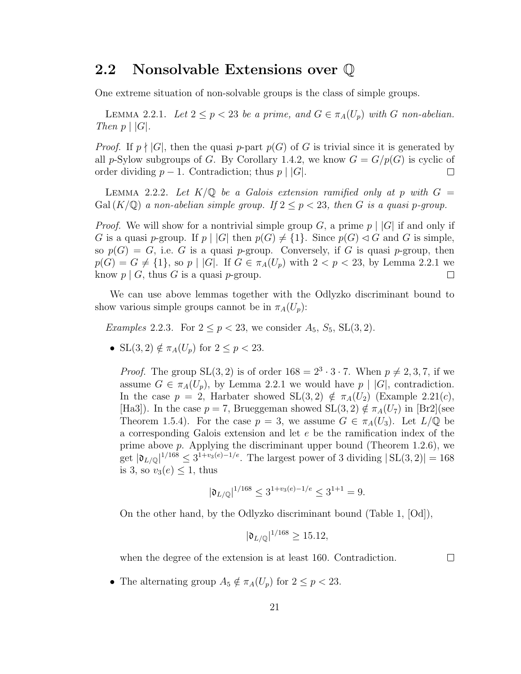#### 2.2 Nonsolvable Extensions over Q

One extreme situation of non-solvable groups is the class of simple groups.

LEMMA 2.2.1. Let  $2 \le p < 23$  be a prime, and  $G \in \pi_A(U_p)$  with G non-abelian. Then  $p \mid |G|$ .

*Proof.* If  $p \nmid |G|$ , then the quasi p-part  $p(G)$  of G is trivial since it is generated by all p-Sylow subgroups of G. By Corollary 1.4.2, we know  $G = G/p(G)$  is cyclic of order dividing  $p-1$ . Contradiction; thus  $p \mid |G|$ .  $\Box$ 

LEMMA 2.2.2. Let  $K/\mathbb{Q}$  be a Galois extension ramified only at p with  $G =$  $Gal (K/\mathbb{Q})$  a non-abelian simple group. If  $2 \leq p < 23$ , then G is a quasi p-group.

*Proof.* We will show for a nontrivial simple group G, a prime  $p \mid |G|$  if and only if G is a quasi p-group. If  $p \mid |G|$  then  $p(G) \neq \{1\}$ . Since  $p(G) \lhd G$  and G is simple, so  $p(G) = G$ , i.e. G is a quasi p-group. Conversely, if G is quasi p-group, then  $p(G) = G \neq \{1\}$ , so  $p \mid |G|$ . If  $G \in \pi_A(U_p)$  with  $2 < p < 23$ , by Lemma 2.2.1 we know  $p \mid G$ , thus G is a quasi  $p$ -group.  $\Box$ 

We can use above lemmas together with the Odlyzko discriminant bound to show various simple groups cannot be in  $\pi_A(U_p)$ :

*Examples* 2.2.3. For  $2 \le p < 23$ , we consider  $A_5$ ,  $S_5$ ,  $SL(3, 2)$ .

• SL(3, 2)  $\notin \pi_A(U_p)$  for  $2 \leq p < 23$ .

*Proof.* The group  $SL(3, 2)$  is of order  $168 = 2^3 \cdot 3 \cdot 7$ . When  $p \neq 2, 3, 7$ , if we assume  $G \in \pi_A(U_p)$ , by Lemma 2.2.1 we would have  $p \mid |G|$ , contradiction. In the case  $p = 2$ , Harbater showed  $SL(3,2) \notin \pi_A(U_2)$  (Example 2.21(c), [Ha3]). In the case  $p = 7$ , Brueggeman showed  $SL(3, 2) \notin \pi_A(U_7)$  in [Br2](see Theorem 1.5.4). For the case  $p = 3$ , we assume  $G \in \pi<sub>A</sub>(U_3)$ . Let  $L/\mathbb{Q}$  be a corresponding Galois extension and let e be the ramification index of the prime above  $p$ . Applying the discriminant upper bound (Theorem 1.2.6), we get  $|\mathfrak{d}_{L/\mathbb{Q}}|^{1/168} \leq 3^{1+v_3(e)-1/e}$ . The largest power of 3 dividing  $|SL(3, 2)| = 168$ is 3, so  $v_3(e) \leq 1$ , thus

$$
|\mathfrak{d}_{L/\mathbb{Q}}|^{1/168} \le 3^{1+v_3(e)-1/e} \le 3^{1+1} = 9.
$$

On the other hand, by the Odlyzko discriminant bound (Table 1, [Od]),

$$
|\mathfrak{d}_{L/\mathbb{Q}}|^{1/168} \ge 15.12,
$$

when the degree of the extension is at least 160. Contradiction.

 $\Box$ 

• The alternating group  $A_5 \notin \pi_A(U_p)$  for  $2 \leq p < 23$ .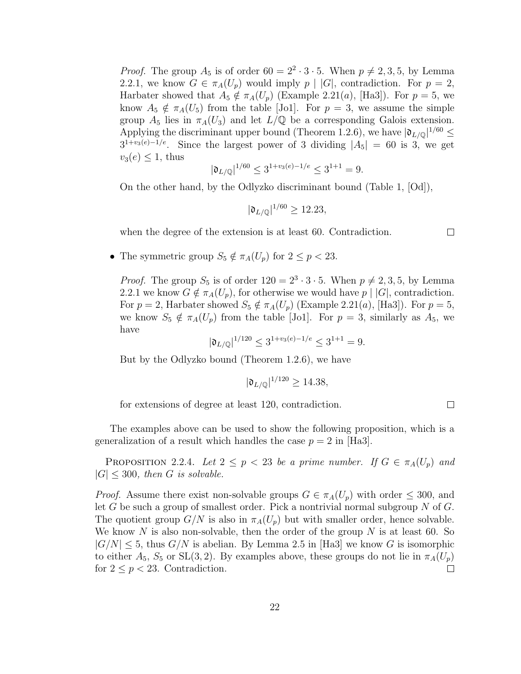*Proof.* The group  $A_5$  is of order  $60 = 2^2 \cdot 3 \cdot 5$ . When  $p \neq 2, 3, 5$ , by Lemma 2.2.1, we know  $G \in \pi_A(U_p)$  would imply  $p \mid |G|$ , contradiction. For  $p = 2$ , Harbater showed that  $A_5 \notin \pi_A(U_p)$  (Example 2.21(a), [Ha3]). For  $p = 5$ , we know  $A_5 \notin \pi_A(U_5)$  from the table [Jo1]. For  $p = 3$ , we assume the simple group  $A_5$  lies in  $\pi_A(U_3)$  and let  $L/\mathbb{Q}$  be a corresponding Galois extension. Applying the discriminant upper bound (Theorem 1.2.6), we have  $|\mathfrak{d}_{L/\mathbb{Q}}|^{1/60} \leq$  $3^{1+v_3(e)-1/e}$ . Since the largest power of 3 dividing  $|A_5| = 60$  is 3, we get  $v_3(e) \leq 1$ , thus

$$
|\mathfrak{d}_{L/\mathbb{Q}}|^{1/60} \le 3^{1+v_3(e)-1/e} \le 3^{1+1} = 9.
$$

On the other hand, by the Odlyzko discriminant bound (Table 1, [Od]),

$$
|\mathfrak{d}_{L/\mathbb{Q}}|^{1/60} \ge 12.23,
$$

when the degree of the extension is at least 60. Contradiction.

• The symmetric group  $S_5 \notin \pi_A(U_p)$  for  $2 \leq p < 23$ .

*Proof.* The group  $S_5$  is of order  $120 = 2^3 \cdot 3 \cdot 5$ . When  $p \neq 2, 3, 5$ , by Lemma 2.2.1 we know  $G \notin \pi_A(U_p)$ , for otherwise we would have  $p \mid |G|$ , contradiction. For  $p = 2$ , Harbater showed  $S_5 \notin \pi_A(U_p)$  (Example 2.21(a), [Ha3]). For  $p = 5$ , we know  $S_5 \notin \pi_A(U_p)$  from the table [Jo1]. For  $p = 3$ , similarly as  $A_5$ , we have

$$
|\mathfrak{d}_{L/\mathbb{Q}}|^{1/120} \le 3^{1+v_3(e)-1/e} \le 3^{1+1} = 9.
$$

But by the Odlyzko bound (Theorem 1.2.6), we have

$$
|\mathfrak{d}_{L/\mathbb{Q}}|^{1/120} \ge 14.38,
$$

for extensions of degree at least 120, contradiction.

The examples above can be used to show the following proposition, which is a generalization of a result which handles the case  $p = 2$  in [Ha3].

**PROPOSITION** 2.2.4. Let  $2 \leq p < 23$  be a prime number. If  $G \in \pi_A(U_p)$  and  $|G| \leq 300$ , then G is solvable.

*Proof.* Assume there exist non-solvable groups  $G \in \pi_A(U_p)$  with order  $\leq 300$ , and let G be such a group of smallest order. Pick a nontrivial normal subgroup N of  $G$ . The quotient group  $G/N$  is also in  $\pi_A(U_p)$  but with smaller order, hence solvable. We know N is also non-solvable, then the order of the group N is at least 60. So  $|G/N| \leq 5$ , thus  $G/N$  is abelian. By Lemma 2.5 in [Ha3] we know G is isomorphic to either  $A_5$ ,  $S_5$  or  $SL(3, 2)$ . By examples above, these groups do not lie in  $\pi_A(U_p)$ for  $2 \leq p < 23$ . Contradiction.  $\Box$ 

 $\Box$ 

 $\Box$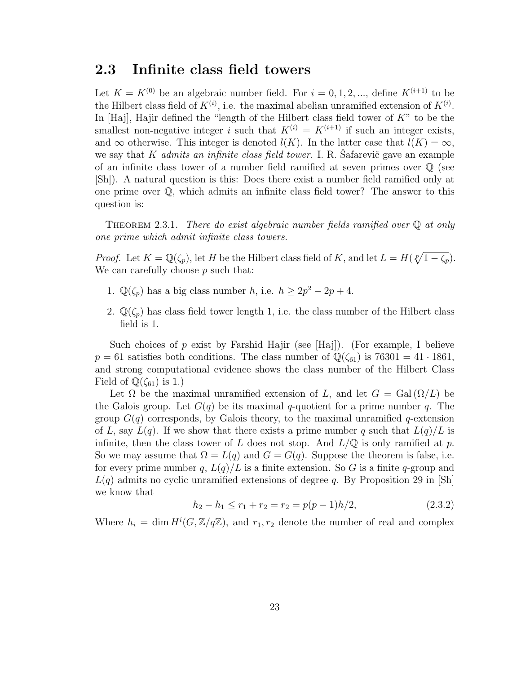#### 2.3 Infinite class field towers

Let  $K = K^{(0)}$  be an algebraic number field. For  $i = 0, 1, 2, \dots$ , define  $K^{(i+1)}$  to be the Hilbert class field of  $K^{(i)}$ , i.e. the maximal abelian unramified extension of  $K^{(i)}$ . In [Haj], Hajir defined the "length of the Hilbert class field tower of  $K$ " to be the smallest non-negative integer i such that  $K^{(i)} = K^{(i+1)}$  if such an integer exists, and  $\infty$  otherwise. This integer is denoted  $l(K)$ . In the latter case that  $l(K) = \infty$ , we say that K *admits an infinite class field tower*. I. R. Safarevič gave an example of an infinite class tower of a number field ramified at seven primes over  $\mathbb Q$  (see [Sh]). A natural question is this: Does there exist a number field ramified only at one prime over Q, which admits an infinite class field tower? The answer to this question is:

THEOREM 2.3.1. There do exist algebraic number fields ramified over  $\mathbb Q$  at only one prime which admit infinite class towers.

*Proof.* Let  $K = \mathbb{Q}(\zeta_p)$ , let H be the Hilbert class field of K, and let  $L = H(\sqrt[p]{1 - \zeta_p})$ . We can carefully choose  $p$  such that:

- 1.  $\mathbb{Q}(\zeta_p)$  has a big class number h, i.e.  $h \geq 2p^2 2p + 4$ .
- 2.  $\mathbb{Q}(\zeta_p)$  has class field tower length 1, i.e. the class number of the Hilbert class field is 1.

Such choices of p exist by Farshid Hajir (see [Haj]). (For example, I believe  $p = 61$  satisfies both conditions. The class number of  $\mathbb{Q}(\zeta_{61})$  is 76301 = 41 · 1861, and strong computational evidence shows the class number of the Hilbert Class Field of  $\mathbb{Q}(\zeta_{61})$  is 1.)

Let  $\Omega$  be the maximal unramified extension of L, and let  $G = \text{Gal}(\Omega/L)$  be the Galois group. Let  $G(q)$  be its maximal q-quotient for a prime number q. The group  $G(q)$  corresponds, by Galois theory, to the maximal unramified q-extension of L, say  $L(q)$ . If we show that there exists a prime number q such that  $L(q)/L$  is infinite, then the class tower of L does not stop. And  $L/\mathbb{Q}$  is only ramified at p. So we may assume that  $\Omega = L(q)$  and  $G = G(q)$ . Suppose the theorem is false, i.e. for every prime number q,  $L(q)/L$  is a finite extension. So G is a finite q-group and  $L(q)$  admits no cyclic unramified extensions of degree q. By Proposition 29 in  $[\text{Sh}]$ we know that

$$
h_2 - h_1 \le r_1 + r_2 = r_2 = p(p - 1)h/2,\tag{2.3.2}
$$

Where  $h_i = \dim H^i(G, \mathbb{Z}/q\mathbb{Z})$ , and  $r_1, r_2$  denote the number of real and complex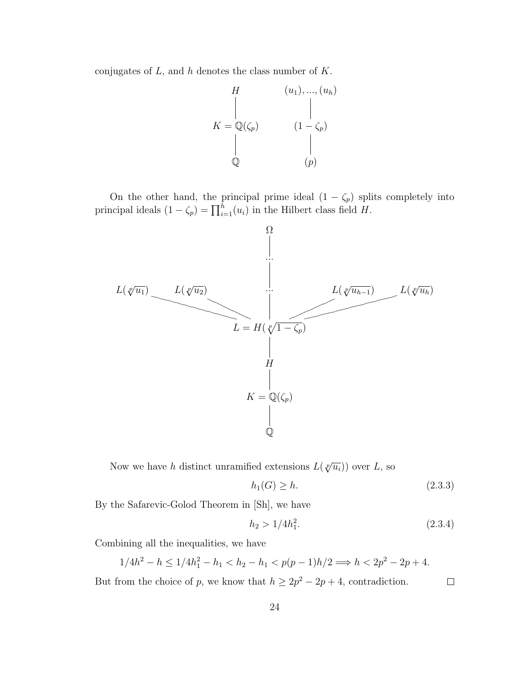conjugates of  $L$ , and  $h$  denotes the class number of  $K$ .

$$
K = \mathbb{Q}(\zeta_p) \qquad (1 - \zeta_p)
$$
\n
$$
\mathbb{Q} \qquad (1 - \zeta_p)
$$
\n
$$
\begin{array}{c}\n\downarrow \\
\downarrow \\
\downarrow \\
\mathbb{Q}\n\end{array}
$$

On the other hand, the principal prime ideal  $(1 - \zeta_p)$  splits completely into principal ideals  $(1 - \zeta_p) = \prod_{i=1}^h (u_i)$  in the Hilbert class field H.  $\binom{n}{i=1}(u_i)$  in the Hilbert class field H.



Now we have h distinct unramified extensions  $L(\sqrt[p]{u_i})$  over L, so

$$
h_1(G) \ge h. \tag{2.3.3}
$$

By the Safarevic-Golod Theorem in [Sh], we have

$$
h_2 > 1/4h_1^2. \tag{2.3.4}
$$

 $\Box$ 

Combining all the inequalities, we have

$$
1/4h^2 - h \le 1/4h_1^2 - h_1 < h_2 - h_1 < p(p-1)h/2 \Longrightarrow h < 2p^2 - 2p + 4.
$$

But from the choice of p, we know that  $h \geq 2p^2 - 2p + 4$ , contradiction.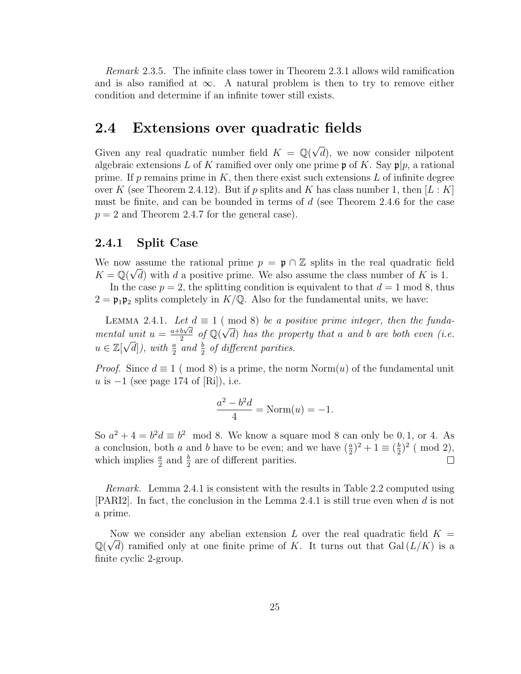Remark 2.3.5. The infinite class tower in Theorem 2.3.1 allows wild ramification and is also ramified at  $\infty$ . A natural problem is then to try to remove either condition and determine if an infinite tower still exists.

## 2.4 Extensions over quadratic fields

Given any real quadratic number field  $K = \mathbb{Q}(\sqrt{2})$ d), we now consider nilpotent algebraic extensions L of K ramified over only one prime  $\mathfrak{p}$  of K. Say  $\mathfrak{p}|p$ , a rational prime. If p remains prime in  $K$ , then there exist such extensions  $L$  of infinite degree over K (see Theorem 2.4.12). But if p splits and K has class number 1, then  $[L:K]$ must be finite, and can be bounded in terms of d (see Theorem 2.4.6 for the case  $p = 2$  and Theorem 2.4.7 for the general case).

#### 2.4.1 Split Case

We now assume the rational prime  $p = \mathfrak{p} \cap \mathbb{Z}$  splits in the real quadratic field  $K = \mathbb{Q}(\sqrt{d})$  with d a positive prime. We also assume the class number of K is 1.

In the case  $p = 2$ , the splitting condition is equivalent to that  $d = 1 \text{ mod } 8$ , thus  $2 = \mathfrak{p}_1 \mathfrak{p}_2$  splits completely in  $K/\mathbb{Q}$ . Also for the fundamental units, we have:

LEMMA 2.4.1. Let  $d \equiv 1 \pmod{8}$  be a positive prime integer, then the fundamental unit  $u = \frac{a+b\sqrt{d}}{2}$  $\frac{b\sqrt{d}}{2}$  of  $\mathbb{Q}(\sqrt{d})$ l unit  $u = \frac{a+b\sqrt{d}}{2}$  of  $\mathbb{Q}(\sqrt{d})$  has the property that a and b are both even (i.e.  $u \in \mathbb{Z}[\sqrt{d}]),$  with  $\frac{a}{2}$  and  $\frac{b}{2}$  of different parities.

*Proof.* Since  $d \equiv 1 \pmod{8}$  is a prime, the norm Norm $(u)$  of the fundamental unit u is  $-1$  (see page 174 of [Ri]), i.e.

$$
\frac{a^2 - b^2 d}{4} = \text{Norm}(u) = -1.
$$

So  $a^2 + 4 = b^2 d \equiv b^2 \mod 8$ . We know a square mod 8 can only be 0, 1, or 4. As a conclusion, both a and b have to be even; and we have  $(\frac{a}{2})^2 + 1 \equiv (\frac{b}{2})$  $(\mod 2),$ which implies  $\frac{a}{2}$  and  $\frac{b}{2}$  are of different parities.  $\Box$ 

Remark. Lemma 2.4.1 is consistent with the results in Table 2.2 computed using [PARI2]. In fact, the conclusion in the Lemma 2.4.1 is still true even when  $d$  is not a prime.

Now we consider any abelian extension L over the real quadratic field  $K = \sqrt{2}$  $\mathbb{Q}(\sqrt{d})$  ramified only at one finite prime of K. It turns out that  $Gal(L/K)$  is a finite cyclic 2-group.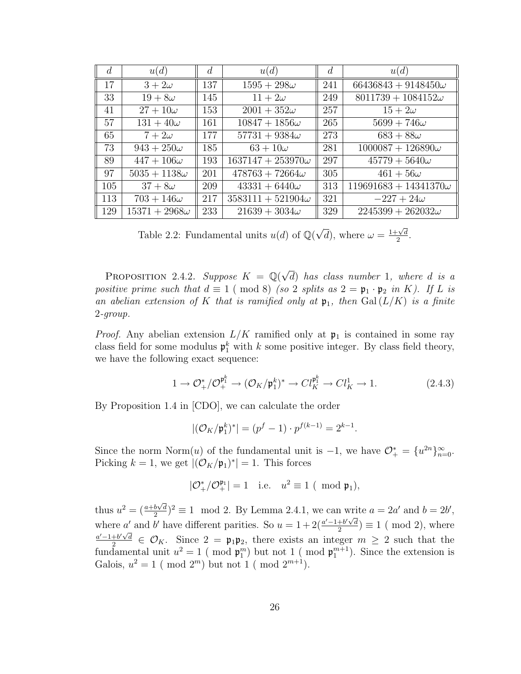| $\overline{d}$ | u(d)                 | d   | u(d)                     | d   | u(d)                         |
|----------------|----------------------|-----|--------------------------|-----|------------------------------|
| <sup>17</sup>  | $3+2\omega$          | 137 | $1595 + 298\omega$       | 241 | $66436843 + 9148450\omega$   |
| 33             | $19+8\omega$         | 145 | $11+2\omega$             | 249 | $8011739 + 1084152\omega$    |
| 41             | $27+10\omega$        | 153 | $2001 + 352\omega$       | 257 | $15+2\omega$                 |
| 57             | $131 + 40\omega$     | 161 | $10847 + 1856\omega$     | 265 | $5699 + 746\omega$           |
| 65             | $7+2\omega$          | 177 | $57731 + 9384\omega$     | 273 | $683 + 88\omega$             |
| 73             | $943 + 250\omega$    | 185 | $63 + 10\omega$          | 281 | $1000087 + 126890\omega$     |
| 89             | $447+106\omega$      | 193 | $1637147 + 253970\omega$ | 297 | $45779 + 5640\omega$         |
| 97             | $5035 + 1138\omega$  | 201 | $478763 + 72664\omega$   | 305 | $461+56\omega$               |
| 105            | $37+8\omega$         | 209 | $43331 + 6440\omega$     | 313 | $119691683 + 14341370\omega$ |
| 113            | $703 + 146\omega$    | 217 | $3583111 + 521904\omega$ | 321 | $-227 + 24\omega$            |
| 129            | $15371 + 2968\omega$ | 233 | $21639 + 3034\omega$     | 329 | $2245399 + 262032\omega$     |

Table 2.2: Fundamental units  $u(d)$  of  $\mathbb{Q}(\sqrt{d})$  $\overline{d}$ , where  $\omega = \frac{1+\sqrt{d}}{2}$  $\frac{\sqrt{d}}{2}$ .

PROPOSITION 2.4.2. Suppose  $K = \mathbb{Q}(\sqrt{2})$ d) has class number 1, where d is a positive prime such that  $d \equiv 1 \pmod{8}$  (so 2 splits as  $2 = \mathfrak{p}_1 \cdot \mathfrak{p}_2$  in K). If L is an abelian extension of K that is ramified only at  $\mathfrak{p}_1$ , then Gal( $L/K$ ) is a finite 2-group.

*Proof.* Any abelian extension  $L/K$  ramified only at  $\mathfrak{p}_1$  is contained in some ray class field for some modulus  $\mathfrak{p}_1^k$  with k some positive integer. By class field theory, we have the following exact sequence:

$$
1 \to \mathcal{O}_{+}^{*}/\mathcal{O}_{+}^{\mathfrak{p}_1^k} \to (\mathcal{O}_K/\mathfrak{p}_1^k)^* \to Cl_K^{\mathfrak{p}_1^k} \to Cl_K^1 \to 1. \tag{2.4.3}
$$

By Proposition 1.4 in [CDO], we can calculate the order

$$
|(\mathcal{O}_K/\mathfrak{p}_1^k)^*| = (p^f - 1) \cdot p^{f(k-1)} = 2^{k-1}.
$$

Since the norm Norm $(u)$  of the fundamental unit is  $-1$ , we have  $\mathcal{O}^*_+ = \{u^{2n}\}_{n=0}^\infty$ . Picking  $k = 1$ , we get  $|(\mathcal{O}_K/\mathfrak{p}_1)^*| = 1$ . This forces

$$
|\mathcal{O}^*_+/\mathcal{O}^{\mathfrak{p}_1}_+|=1 \quad \text{i.e.} \quad u^2\equiv 1 \ (\!\!\!\mod \mathfrak{p}_1),
$$

thus  $u^2 = \left(\frac{a+b\sqrt{d}}{2}\right)$  $\frac{b\sqrt{d}}{2}$ )<sup>2</sup>  $\equiv$  1 mod 2. By Lemma 2.4.1, we can write  $a = 2a'$  and  $b = 2b'$ , where a' and b' have different parities. So  $u = 1 + 2\left(\frac{a'-1+b'}{2}\right)$  $\frac{1+b'\sqrt{d}}{2}$  = 1 ( mod 2), where  $a' - 1 + b' \sqrt{d}$  $\frac{e^{+\beta}\sqrt{d}}{2} \in \mathcal{O}_K$ . Since  $2 = \mathfrak{p}_1 \mathfrak{p}_2$ , there exists an integer  $m \geq 2$  such that the fundamental unit  $u^2 = 1$  (mod  $\mathfrak{p}_1^m$ ) but not 1 (mod  $\mathfrak{p}_1^{m+1}$ ). Since the extension is Galois,  $u^2 = 1 \pmod{2^m}$  but not  $1 \pmod{2^{m+1}}$ .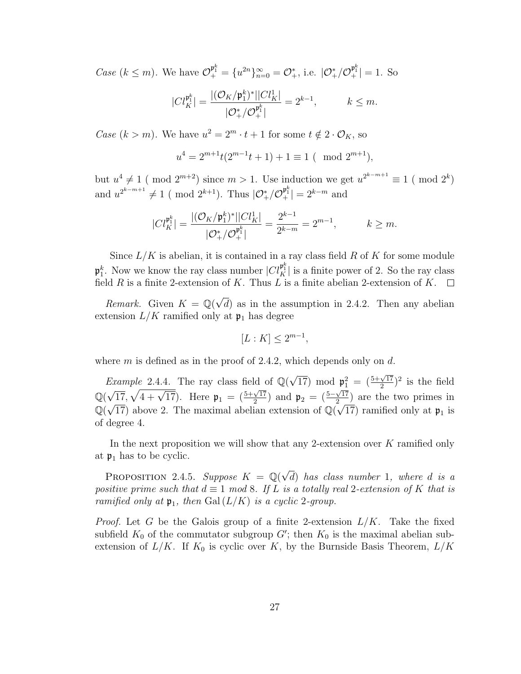*Case*  $(k \leq m)$ . We have  $\mathcal{O}_{+}^{\mathfrak{p}_{1}^{k}} = \{u^{2n}\}_{n=0}^{\infty} = \mathcal{O}_{+}^{*}$ , i.e.  $|\mathcal{O}_{+}^{*}/\mathcal{O}_{+}^{\mathfrak{p}_{1}^{k}}| = 1$ . So

$$
|Cl_K^{\mathfrak{p}_1^k}| = \frac{|(\mathcal{O}_K/\mathfrak{p}_1^k)^*||Cl_K^1|}{|\mathcal{O}_+^*/\mathcal{O}_+^{\mathfrak{p}_1^k}|} = 2^{k-1}, \qquad k \leq m.
$$

Case  $(k > m)$ . We have  $u^2 = 2^m \cdot t + 1$  for some  $t \notin 2 \cdot \mathcal{O}_K$ , so

$$
u^4 = 2^{m+1}t(2^{m-1}t + 1) + 1 \equiv 1 \pmod{2^{m+1}},
$$

but  $u^4 \neq 1 \pmod{2^{m+2}}$  since  $m > 1$ . Use induction we get  $u^{2^{k-m+1}} \equiv 1 \pmod{2^k}$ and  $u^{2^{k-m+1}} \neq 1 \pmod{2^{k+1}}$ . Thus  $|\mathcal{O}_+^*/\mathcal{O}_+^{p_1^k}| = 2^{k-m}$  and

$$
|Cl_K^{p_1^k}| = \frac{|(\mathcal{O}_K/p_1^k)^*||Cl_K^1|}{|\mathcal{O}_+^*/\mathcal{O}_+^{p_1^k}|} = \frac{2^{k-1}}{2^{k-m}} = 2^{m-1}, \qquad k \ge m.
$$

Since  $L/K$  is abelian, it is contained in a ray class field R of K for some module  $\mathfrak{p}_1^k$ . Now we know the ray class number  $|Cl_K^{\mathfrak{p}_1^k}|$  is a finite power of 2. So the ray class field R is a finite 2-extension of K. Thus L is a finite abelian 2-extension of K.  $\Box$ 

*Remark.* Given  $K = \mathbb{Q}(\sqrt{2})$ d) as in the assumption in 2.4.2. Then any abelian extension  $L/K$  ramified only at  $\mathfrak{p}_1$  has degree

$$
[L:K] \le 2^{m-1},
$$

where m is defined as in the proof of 2.4.2, which depends only on  $d$ .

Example 2.4.4. The ray class field of  $\mathbb{Q}(\sqrt{2})$  $\overline{17}$ ) mod  $\mathfrak{p}_1^2 = (\frac{5+\sqrt{17}}{2})^2$  is the field 2 Q( √  $\frac{1}{17}$ ,  $\sqrt{4 + \sqrt{17}}$ . Here  $\mathfrak{p}_1 = \left(\frac{5 + \sqrt{17}}{2}\right)$  $\frac{\sqrt{17}}{2}$ ) and  $\mathfrak{p}_2 = \left(\frac{5-\sqrt{17}}{2}\right)$  $\sqrt{17}$ ,  $\sqrt{4} + \sqrt{17}$ . Here  $\mathfrak{p}_1 = \left(\frac{5 + \sqrt{17}}{2}\right)$  and  $\mathfrak{p}_2 = \left(\frac{5 - \sqrt{17}}{2}\right)$  are the two primes in  $\mathbb{Q}(\sqrt{17})$  above 2. The maximal abelian extension of  $\mathbb{Q}(\sqrt{17})$  ramified only at  $\mathfrak{p}_1$  is of degree 4.

In the next proposition we will show that any 2-extension over  $K$  ramified only at  $\mathfrak{p}_1$  has to be cyclic.

PROPOSITION 2.4.5. Suppose  $K = \mathbb{Q}(\sqrt{2})$ d) has class number 1, where d is a positive prime such that  $d \equiv 1 \mod 8$ . If L is a totally real 2-extension of K that is ramified only at  $\mathfrak{p}_1$ , then Gal  $(L/K)$  is a cyclic 2-group.

*Proof.* Let G be the Galois group of a finite 2-extension  $L/K$ . Take the fixed subfield  $K_0$  of the commutator subgroup  $G'$ ; then  $K_0$  is the maximal abelian subextension of  $L/K$ . If  $K_0$  is cyclic over K, by the Burnside Basis Theorem,  $L/K$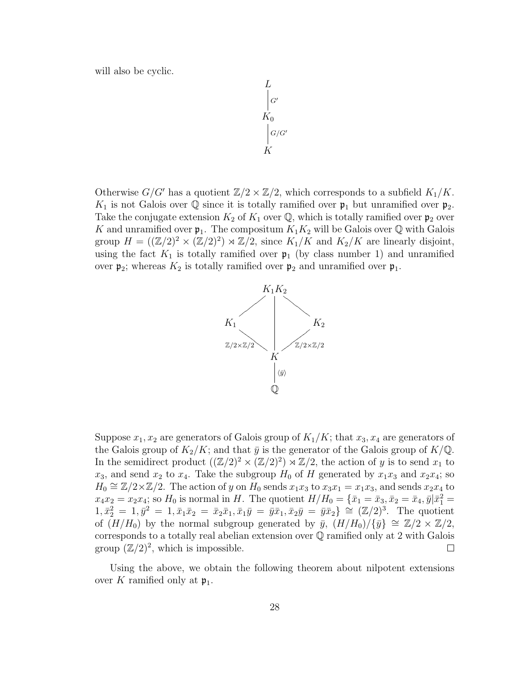will also be cyclic.

$$
\begin{array}{c}\nL \\
C \\
K_0 \\
G/G' \\
K\n\end{array}
$$

Otherwise  $G/G'$  has a quotient  $\mathbb{Z}/2 \times \mathbb{Z}/2$ , which corresponds to a subfield  $K_1/K$ .  $K_1$  is not Galois over Q since it is totally ramified over  $\mathfrak{p}_1$  but unramified over  $\mathfrak{p}_2$ . Take the conjugate extension  $K_2$  of  $K_1$  over  $\mathbb{Q}$ , which is totally ramified over  $\mathfrak{p}_2$  over K and unramified over  $\mathfrak{p}_1$ . The compositum  $K_1K_2$  will be Galois over Q with Galois group  $H = ((\mathbb{Z}/2)^2 \times (\mathbb{Z}/2)^2) \rtimes \mathbb{Z}/2$ , since  $K_1/K$  and  $K_2/K$  are linearly disjoint, using the fact  $K_1$  is totally ramified over  $\mathfrak{p}_1$  (by class number 1) and unramified over  $\mathfrak{p}_2$ ; whereas  $K_2$  is totally ramified over  $\mathfrak{p}_2$  and unramified over  $\mathfrak{p}_1$ .



Suppose  $x_1, x_2$  are generators of Galois group of  $K_1/K$ ; that  $x_3, x_4$  are generators of the Galois group of  $K_2/K$ ; and that  $\bar{y}$  is the generator of the Galois group of  $K/\mathbb{Q}$ . In the semidirect product  $((\mathbb{Z}/2)^2 \times (\mathbb{Z}/2)^2) \rtimes \mathbb{Z}/2$ , the action of y is to send  $x_1$  to  $x_3$ , and send  $x_2$  to  $x_4$ . Take the subgroup  $H_0$  of H generated by  $x_1x_3$  and  $x_2x_4$ ; so  $H_0 \cong \mathbb{Z}/2 \times \mathbb{Z}/2$ . The action of y on  $H_0$  sends  $x_1x_3$  to  $x_3x_1 = x_1x_3$ , and sends  $x_2x_4$  to  $x_4x_2 = x_2x_4$ ; so  $H_0$  is normal in H. The quotient  $H/H_0 = \{\bar{x}_1 = \bar{x}_3, \bar{x}_2 = \bar{x}_4, \bar{y}|\bar{x}_1^2 =$  $1, \bar{x}_2^2 = 1, \bar{y}^2 = 1, \bar{x}_1 \bar{x}_2 = \bar{x}_2 \bar{x}_1, \bar{x}_1 \bar{y} = \bar{y} \bar{x}_1, \bar{x}_2 \bar{y} = \bar{y} \bar{x}_2$   $\cong (\mathbb{Z}/2)^3$ . The quotient of  $(H/H_0)$  by the normal subgroup generated by  $\bar{y}$ ,  $(H/H_0)/\{\bar{y}\}\cong \mathbb{Z}/2 \times \mathbb{Z}/2$ , corresponds to a totally real abelian extension over Q ramified only at 2 with Galois group  $(\mathbb{Z}/2)^2$ , which is impossible.  $\Box$ 

Using the above, we obtain the following theorem about nilpotent extensions over K ramified only at  $\mathfrak{p}_1$ .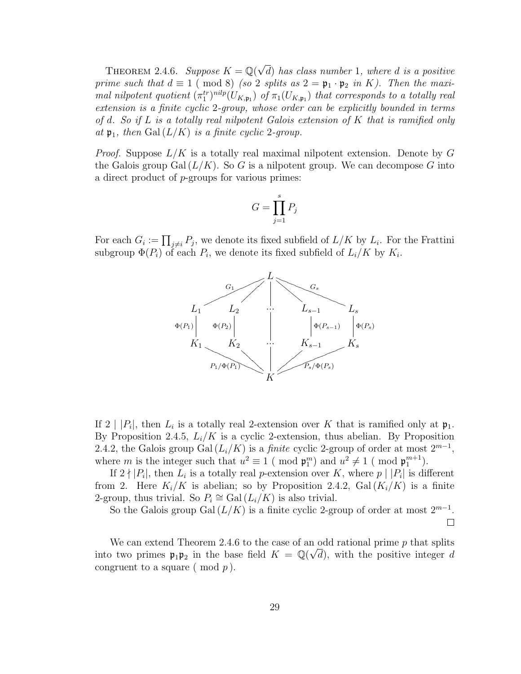THEOREM 2.4.6. Suppose  $K = \mathbb{Q}(\sqrt{2})$ d) has class number 1, where d is a positive prime such that  $d \equiv 1 \pmod{8}$  (so 2 splits as  $2 = \mathfrak{p}_1 \cdot \mathfrak{p}_2$  in K). Then the maximal nilpotent quotient  $(\pi_1^{tr})^{nilp}(U_{K,\mathfrak{p}_1})$  of  $\pi_1(U_{K,\mathfrak{p}_1})$  that corresponds to a totally real extension is a finite cyclic 2-group, whose order can be explicitly bounded in terms of d. So if L is a totally real nilpotent Galois extension of K that is ramified only at  $\mathfrak{p}_1$ , then Gal  $(L/K)$  is a finite cyclic 2-group.

*Proof.* Suppose  $L/K$  is a totally real maximal nilpotent extension. Denote by G the Galois group Gal  $(L/K)$ . So G is a nilpotent group. We can decompose G into a direct product of p-groups for various primes:

$$
G = \prod_{j=1}^{s} P_j
$$

For each  $G_i := \prod_{j \neq i} P_j$ , we denote its fixed subfield of  $L/K$  by  $L_i$ . For the Frattini subgroup  $\Phi(P_i)$  of each  $P_i$ , we denote its fixed subfield of  $L_i/K$  by  $K_i$ .



If  $2 \mid |P_i|$ , then  $L_i$  is a totally real 2-extension over K that is ramified only at  $\mathfrak{p}_1$ . By Proposition 2.4.5,  $L_i/K$  is a cyclic 2-extension, thus abelian. By Proposition 2.4.2, the Galois group Gal  $(L_i/K)$  is a *finite* cyclic 2-group of order at most  $2^{m-1}$ , where *m* is the integer such that  $u^2 \equiv 1 \pmod{\mathfrak{p}_1^m}$  and  $u^2 \neq 1 \pmod{\mathfrak{p}_1^{m+1}}$ .

If  $2 \nmid |P_i|$ , then  $\overline{L}_i$  is a totally real *p*-extension over K, where  $p \mid |P_i|$  is different from 2. Here  $K_i/K$  is abelian; so by Proposition 2.4.2,  $Gal(K_i/K)$  is a finite 2-group, thus trivial. So  $P_i \cong \text{Gal}(L_i/K)$  is also trivial.

So the Galois group Gal  $(L/K)$  is a finite cyclic 2-group of order at most  $2^{m-1}$ .  $\Box$ 

We can extend Theorem 2.4.6 to the case of an odd rational prime p that splits into two primes  $\mathfrak{p}_1 \mathfrak{p}_2$  in the base field  $K = \mathbb{Q}(\sqrt{d})$ , with the positive integer d congruent to a square (mod  $p$ ).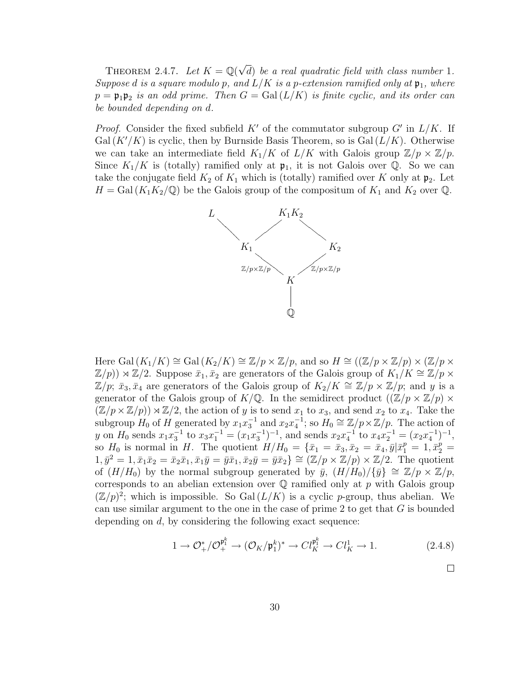THEOREM 2.4.7. Let  $K = \mathbb{Q}(\sqrt{2})$ d) be a real quadratic field with class number 1. Suppose d is a square modulo p, and  $L/K$  is a p-extension ramified only at  $\mathfrak{p}_1$ , where  $p = \mathfrak{p}_1 \mathfrak{p}_2$  is an odd prime. Then  $G = \text{Gal}(L/K)$  is finite cyclic, and its order can be bounded depending on d.

*Proof.* Consider the fixed subfield  $K'$  of the commutator subgroup  $G'$  in  $L/K$ . If  $Gal (K'/K)$  is cyclic, then by Burnside Basis Theorem, so is  $Gal (L/K)$ . Otherwise we can take an intermediate field  $K_1/K$  of  $L/K$  with Galois group  $\mathbb{Z}/p \times \mathbb{Z}/p$ . Since  $K_1/K$  is (totally) ramified only at  $\mathfrak{p}_1$ , it is not Galois over Q. So we can take the conjugate field  $K_2$  of  $K_1$  which is (totally) ramified over K only at  $\mathfrak{p}_2$ . Let  $H = Gal (K_1K_2/\mathbb{Q})$  be the Galois group of the compositum of  $K_1$  and  $K_2$  over  $\mathbb{Q}$ .



Here Gal  $(K_1/K) \cong$  Gal  $(K_2/K) \cong \mathbb{Z}/p \times \mathbb{Z}/p$ , and so  $H \cong ((\mathbb{Z}/p \times \mathbb{Z}/p) \times (\mathbb{Z}/p \times$  $\mathbb{Z}/p$ ))  $\rtimes \mathbb{Z}/2$ . Suppose  $\bar{x}_1, \bar{x}_2$  are generators of the Galois group of  $K_1/K \cong \mathbb{Z}/p \times$  $\mathbb{Z}/p$ ;  $\bar{x}_3, \bar{x}_4$  are generators of the Galois group of  $K_2/K \cong \mathbb{Z}/p \times \mathbb{Z}/p$ ; and y is a generator of the Galois group of  $K/\mathbb{Q}$ . In the semidirect product  $((\mathbb{Z}/p \times \mathbb{Z}/p) \times$  $(\mathbb{Z}/p \times \mathbb{Z}/p)) \rtimes \mathbb{Z}/2$ , the action of y is to send  $x_1$  to  $x_3$ , and send  $x_2$  to  $x_4$ . Take the subgroup  $H_0$  of H generated by  $x_1x_3^{-1}$  and  $x_2x_4^{-1}$ ; so  $H_0 \cong \mathbb{Z}/p \times \mathbb{Z}/p$ . The action of y on  $H_0$  sends  $x_1x_3^{-1}$  to  $x_3x_1^{-1} = (x_1x_3^{-1})^{-1}$ , and sends  $x_2x_4^{-1}$  to  $x_4x_2^{-1} = (x_2x_4^{-1})^{-1}$ , so  $H_0$  is normal in H. The quotient  $H/H_0 = {\bar{x}_1 = \bar{x}_3, \bar{x}_2 = \bar{x}_4, \bar{y}|\bar{x}_1^p = 1, \bar{x}_2^p = \bar{x}_4, \bar{y}|\bar{x}_3^p = 1, \bar{x}_4^p = \bar{x}_4, \bar{y}|\bar{x}_4^p = 1, \bar{x}_5^p = \bar{x}_5^p$  $1, \bar{y}^2 = 1, \bar{x}_1\bar{x}_2 = \bar{x}_2\bar{x}_1, \bar{x}_1\bar{y} = \bar{y}\bar{x}_1, \bar{x}_2\bar{y} = \bar{y}\bar{x}_2$   $\cong (\mathbb{Z}/p \times \mathbb{Z}/p) \times \mathbb{Z}/2$ . The quotient of  $(H/H_0)$  by the normal subgroup generated by  $\bar{y}$ ,  $(H/H_0)/\{\bar{y}\}\cong \mathbb{Z}/p \times \mathbb{Z}/p$ , corresponds to an abelian extension over  $\mathbb Q$  ramified only at p with Galois group  $(\mathbb{Z}/p)^2$ ; which is impossible. So Gal $(L/K)$  is a cyclic p-group, thus abelian. We can use similar argument to the one in the case of prime 2 to get that  $G$  is bounded depending on  $d$ , by considering the following exact sequence:

$$
1 \to \mathcal{O}_{+}^*/\mathcal{O}_{+}^{\mathfrak{p}_1^k} \to (\mathcal{O}_K/\mathfrak{p}_1^k)^* \to Cl_K^{\mathfrak{p}_1^k} \to Cl_K^1 \to 1. \tag{2.4.8}
$$

 $\Box$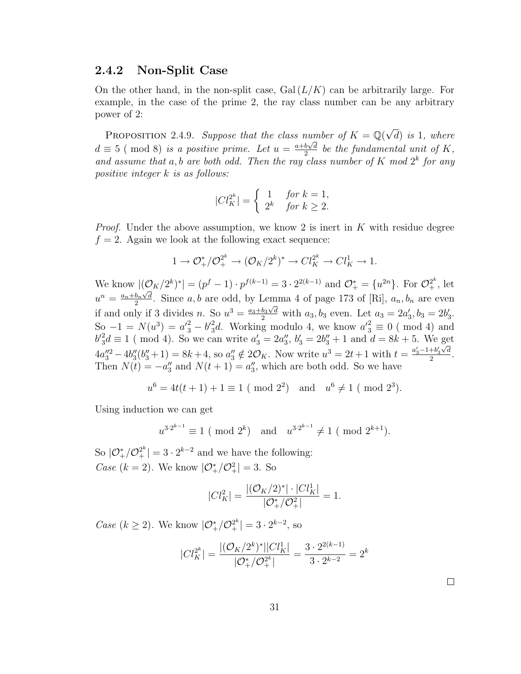#### 2.4.2 Non-Split Case

On the other hand, in the non-split case,  $Gal(L/K)$  can be arbitrarily large. For example, in the case of the prime 2, the ray class number can be any arbitrary power of 2:

PROPOSITION 2.4.9. Suppose that the class number of  $K = \mathbb{Q}(\sqrt{\frac{2\pi}{N}})$ umber of  $K = \mathbb{Q}(\sqrt{d})$  is 1, where  $d \equiv 5 \ (\text{mod } 8)$  is a positive prime. Let  $u = \frac{a+b\sqrt{d}}{2}$  $\frac{b\sqrt{d}}{2}$  be the fundamental unit of K, and assume that a, b are both odd. Then the ray class number of K mod  $2^k$  for any positive integer k is as follows:

$$
|Cl_K^{2^k}| = \begin{cases} 1 & \text{for } k = 1, \\ 2^k & \text{for } k \ge 2. \end{cases}
$$

*Proof.* Under the above assumption, we know 2 is inert in  $K$  with residue degree  $f = 2$ . Again we look at the following exact sequence:

$$
1 \to \mathcal{O}_{+}^*/\mathcal{O}_{+}^{2^k} \to (\mathcal{O}_K/2^k)^* \to Cl_K^{2^k} \to Cl_K^1 \to 1.
$$

We know  $|(\mathcal{O}_K/2^k)^*| = (p^f - 1) \cdot p^{f(k-1)} = 3 \cdot 2^{2(k-1)}$  and  $\mathcal{O}_+^* = \{u^{2n}\}\$ . For  $\mathcal{O}_+^{2^k}$ , let  $u^n = \frac{a_n + b_n \sqrt{d}}{2}$  $\frac{b_n \vee d}{2}$ . Since a, b are odd, by Lemma 4 of page 173 of [Ri],  $a_n, b_n$  are even if and only if 3 divides n. So  $u^3 = \frac{a_3 + b_3\sqrt{d}}{2}$  with  $a_3, b_3$  even. Let  $a_3 = 2a'_3, b_3 = 2b'_3$ . So  $-1 = N(u^3) = a'^2 - b'^2_3d$ . Working modulo 4, we know  $a'^2_3 \equiv 0 \pmod{4}$  and  $b_3^2 d \equiv 1 \pmod{4}$ . So we can write  $a_3' = 2a_3''$ ,  $b_3' = 2b_3'' + 1$  and  $d = 8k + 5$ . We get  $4a_3''^2 - 4b_3''(b_3'' + 1) = 8k + 4$ , so  $a_3'' \notin 2\mathcal{O}_K$ . Now write  $u^3 = 2t + 1$  with  $t = \frac{a_3' - 1 + b_3'\sqrt{d}}{2}$  $\frac{+v_3\vee u}{2}.$ Then  $N(t) = -a_3''$  and  $N(t + 1) = a_3''$ , which are both odd. So we have

$$
u^6 = 4t(t+1) + 1 \equiv 1 \pmod{2^2}
$$
 and  $u^6 \neq 1 \pmod{2^3}$ .

Using induction we can get

$$
u^{3\cdot 2^{k-1}} \equiv 1 \pmod{2^k}
$$
 and  $u^{3\cdot 2^{k-1}} \neq 1 \pmod{2^{k+1}}$ .

So  $|\mathcal{O}_{+}^*/\mathcal{O}_{+}^{2^k}| = 3 \cdot 2^{k-2}$  and we have the following: *Case* ( $k = 2$ ). We know  $|\mathcal{O}_{+}^{*}/\mathcal{O}_{+}^{2}| = 3$ . So

$$
|Cl_K^2| = \frac{|(\mathcal{O}_K/2)^*| \cdot |Cl_K^1|}{|\mathcal{O}_+^*/\mathcal{O}_+^2|} = 1.
$$

*Case* ( $k \ge 2$ ). We know  $|\mathcal{O}_{+}^{*}/\mathcal{O}_{+}^{2^{k}}| = 3 \cdot 2^{k-2}$ , so

$$
|Cl_K^{2^k}| = \frac{|(\mathcal{O}_K/2^k)^*||Cl_K^1|}{|\mathcal{O}_+^*/\mathcal{O}_+^{2^k}|} = \frac{3 \cdot 2^{2(k-1)}}{3 \cdot 2^{k-2}} = 2^k
$$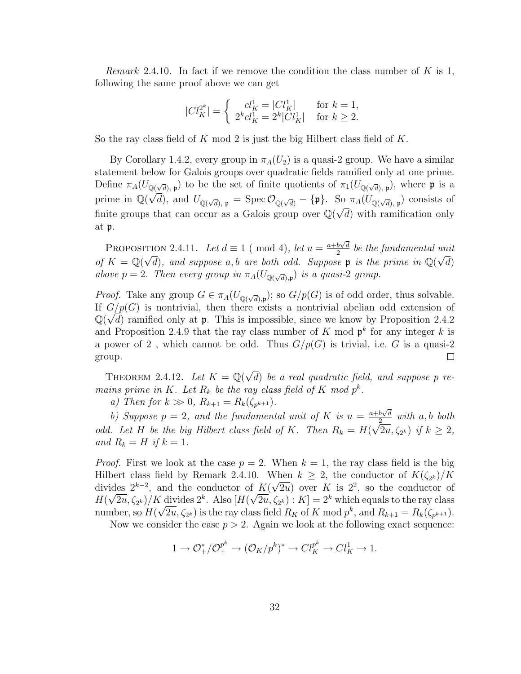*Remark* 2.4.10. In fact if we remove the condition the class number of K is 1, following the same proof above we can get

$$
|Cl_K^{2^k}| = \begin{cases} cl_K^1 = |Cl_K^1| & \text{for } k = 1, \\ 2^k cl_K^1 = 2^k |Cl_K^1| & \text{for } k \ge 2. \end{cases}
$$

So the ray class field of K mod 2 is just the big Hilbert class field of  $K$ .

By Corollary 1.4.2, every group in  $\pi_A(U_2)$  is a quasi-2 group. We have a similar statement below for Galois groups over quadratic fields ramified only at one prime. Define  $\pi_A(U_{\mathbb{Q}(\sqrt{d}),p})$  to be the set of finite quotients of  $\pi_1(U_{\mathbb{Q}(\sqrt{d}),p})$ , where p is a prime in  $\mathbb{Q}(\sqrt{d})$ , and  $U_{\mathbb{Q}(\sqrt{d})}$ ,  $_{\mathfrak{p}} = \operatorname{Spec} \mathcal{O}_{\mathbb{Q}(\sqrt{d})} - \{\mathfrak{p}\}\$ . So  $\pi_A(U_{\mathbb{Q}(\sqrt{d})}, \mathfrak{p})$  consists of finite groups that can occur as a Galois group over  $\mathbb{Q}(\sqrt{d})$  with ramification only at p.

PROPOSITION 2.4.11. Let  $d \equiv 1 \pmod{4}$ , let  $u = \frac{a+b\sqrt{d}}{2}$ TION 2.4.11. Let  $d \equiv 1 \pmod{4}$ , let  $u = \frac{a+b\sqrt{d}}{2}$  be the fundamental unit of  $K = \mathbb{Q}(\sqrt{d})$ , and suppose a, b are both odd. Suppose p is the prime in  $\mathbb{Q}(\sqrt{d})$ above  $p = 2$ . Then every group in  $\pi_A(U_{\mathbb{Q}(\sqrt{d}), \mathfrak{p}})$  is a quasi-2 group.

*Proof.* Take any group  $G \in \pi_A(U_{\mathbb{Q}(\sqrt{d}),p})$ ; so  $G/p(G)$  is of odd order, thus solvable. If  $G/p(G)$  is nontrivial, then there exists a nontrivial abelian odd extension of  $\mathbb{Q}(\sqrt{d})$  ramified only at **p**. This is impossible, since we know by Proposition 2.4.2 and Proposition 2.4.9 that the ray class number of K mod  $p^k$  for any integer k is a power of 2, which cannot be odd. Thus  $G/p(G)$  is trivial, i.e. G is a quasi-2  $\Box$ group.

THEOREM 2.4.12. Let  $K = \mathbb{Q}(\sqrt{2})$ d) be a real quadratic field, and suppose p remains prime in K. Let  $R_k$  be the ray class field of K mod  $p^k$ .

a) Then for  $k \gg 0$ ,  $R_{k+1} = R_k(\zeta_{p^{k+1}})$ .

b) Suppose  $p = 2$ , and the fundamental unit of K is  $u = \frac{a+b\sqrt{d}}{2}$  $rac{b\sqrt{d}}{2}$  with a, b both odd. Let H be the big Hilbert class field of K. Then  $R_k = H(k)$ √  $(2u,\zeta_{2^k})$  if  $k\geq 2$ , and  $R_k = H$  if  $k = 1$ .

*Proof.* First we look at the case  $p = 2$ . When  $k = 1$ , the ray class field is the big Hilbert class field by Remark 2.4.10. When  $k \geq 2$ , the conductor of  $K(\zeta_{2^k})/K$ divides  $2^{k-2}$ , and the conductor of  $K(\sqrt{2u})$  over K is  $2^2$ , so the conductor of  $H(\sqrt{2u}, \zeta_{2^k})/K$  divides  $2^k$ . Also  $[H(\sqrt{2u}, \zeta_{2^k}): K] = 2^k$  which equals to the ray class number, so  $H(\sqrt{2u}, \zeta_{2^k})$  is the ray class field  $R_K$  of K mod  $p^k$ , and  $R_{k+1} = R_k(\zeta_{p^{k+1}})$ .

Now we consider the case  $p > 2$ . Again we look at the following exact sequence:

$$
1 \to \mathcal{O}_{+}^*/\mathcal{O}_{+}^{p^k} \to (\mathcal{O}_K/p^k)^* \to Cl_K^{p^k} \to Cl_K^1 \to 1.
$$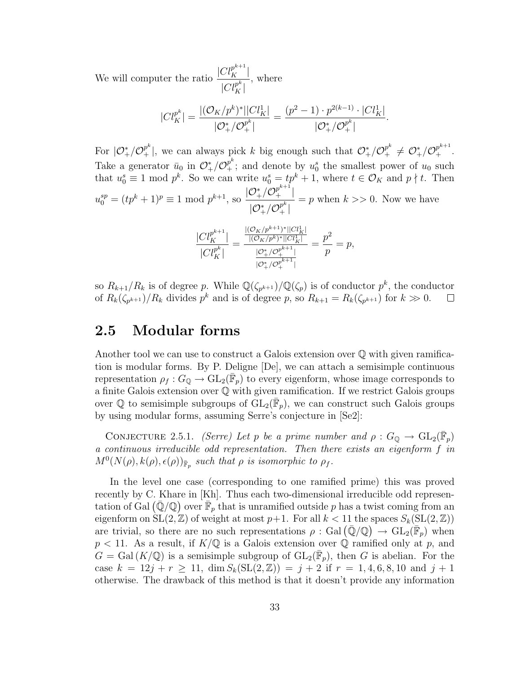We will computer the ratio  $\frac{|Cl_K^{p^{k+1}}|}{r^k}$  $|Cl_K^{p^k}|$ , where

$$
|Cl_K^{p^k}| = \frac{|(\mathcal{O}_K/p^k)^*||Cl_K^1|}{|\mathcal{O}_+^*/\mathcal{O}_+^{p^k}|} = \frac{(p^2 - 1) \cdot p^{2(k-1)} \cdot |Cl_K^1|}{|\mathcal{O}_+^*/\mathcal{O}_+^{p^k}|}.
$$

For  $|\mathcal{O}_{+}^{*}/\mathcal{O}_{+}^{p^k}|$ , we can always pick k big enough such that  $\mathcal{O}_{+}^{*}/\mathcal{O}_{+}^{p^k} \neq \mathcal{O}_{+}^{*}/\mathcal{O}_{+}^{p^{k+1}}$ . Take a generator  $\bar{u}_0$  in  $\mathcal{O}^*_+/\mathcal{O}^{p^k}_+$ ; and denote by  $u_0^s$  the smallest power of  $u_0$  such that  $u_0^s \equiv 1 \mod p^k$ . So we can write  $u_0^s = tp^k + 1$ , where  $t \in \mathcal{O}_K$  and  $p \nmid t$ . Then  $u_0^{sp} = (tp^k + 1)^p \equiv 1 \text{ mod } p^{k+1}, \text{ so}$  $|\mathcal{O}^*_+/\mathcal{O}^{p^{k+1}}_+|$  $|\mathcal{O}^*_+/\mathcal{O}^{p^k}_+|$  $=p$  when  $k >> 0$ . Now we have

$$
\frac{|Cl_K^{p^{k+1}}|}{|Cl_K^{p^k}|} = \frac{\frac{|(O_K/p^{k+1})^*||Cl_K^1|}{|(O_K/p^k)^*||Cl_K^1|}}{\frac{|O_+^*/O_+^{p^{k+1}}|}} = \frac{p^2}{p} = p,
$$

so  $R_{k+1}/R_k$  is of degree p. While  $\mathbb{Q}(\zeta_{p^{k+1}})/\mathbb{Q}(\zeta_p)$  is of conductor  $p^k$ , the conductor of  $R_k(\zeta_{p^{k+1}})/R_k$  divides  $p^k$  and is of degree p, so  $R_{k+1} = R_k(\zeta_{p^{k+1}})$  for  $k \gg 0$ .  $\Box$ 

## 2.5 Modular forms

Another tool we can use to construct a Galois extension over Q with given ramification is modular forms. By P. Deligne [De], we can attach a semisimple continuous representation  $\rho_f: G_{\mathbb{Q}} \to \mathrm{GL}_2(\overline{\mathbb{F}}_p)$  to every eigenform, whose image corresponds to a finite Galois extension over Q with given ramification. If we restrict Galois groups over  $\mathbb Q$  to semisimple subgroups of  $\tilde{GL}_2(\overline{\mathbb F}_p)$ , we can construct such Galois groups by using modular forms, assuming Serre's conjecture in [Se2]:

CONJECTURE 2.5.1. (Serre) Let p be a prime number and  $\rho: G_{\mathbb{Q}} \to GL_2(\overline{\mathbb{F}}_p)$ a continuous irreducible odd representation. Then there exists an eigenform f in  $M^0(N(\rho), k(\rho), \epsilon(\rho))_{\bar{\mathbb{F}}_p}$  such that  $\rho$  is isomorphic to  $\rho_f$ .

In the level one case (corresponding to one ramified prime) this was proved recently by C. Khare in [Kh]. Thus each two-dimensional irreducible odd representation of Gal  $(\bar{\mathbb{Q}}/\mathbb{Q})$  over  $\bar{\mathbb{F}}_p$  that is unramified outside p has a twist coming from an eigenform on  $SL(2, \mathbb{Z})$  of weight at most  $p+1$ . For all  $k < 11$  the spaces  $S_k(SL(2, \mathbb{Z}))$ are trivial, so there are no such representations  $\rho : \text{Gal}(\overline{\mathbb{Q}}/\mathbb{Q}) \to \text{GL}_2(\overline{\mathbb{F}}_p)$  when  $p < 11$ . As a result, if  $K/\mathbb{Q}$  is a Galois extension over  $\mathbb Q$  ramified only at p, and  $G = \text{Gal}(K/\mathbb{Q})$  is a semisimple subgroup of  $\text{GL}_2(\overline{\mathbb{F}}_p)$ , then G is abelian. For the case  $k = 12j + r \ge 11$ ,  $\dim S_k(SL(2, \mathbb{Z})) = j + 2$  if  $r = 1, 4, 6, 8, 10$  and  $j + 1$ otherwise. The drawback of this method is that it doesn't provide any information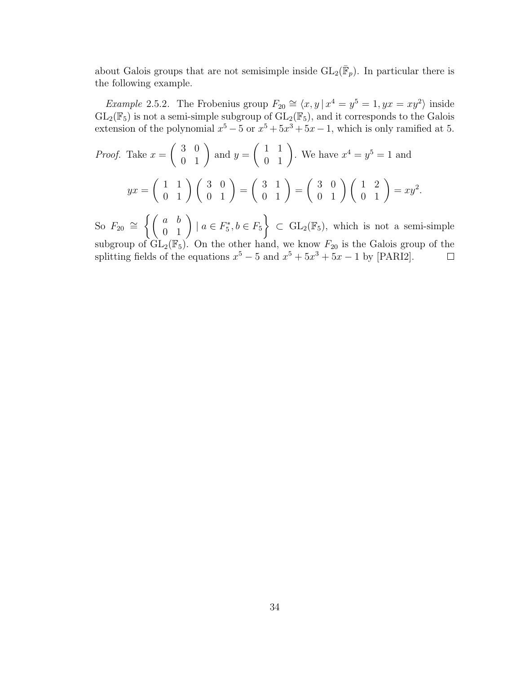about Galois groups that are not semisimple inside  $GL_2(\bar{F}_p)$ . In particular there is the following example.

*Example 2.5.2.* The Frobenius group  $F_{20} \cong \langle x, y | x^4 = y^5 = 1, yx = xy^2 \rangle$  inside  $GL_2(\mathbb{F}_5)$  is not a semi-simple subgroup of  $GL_2(\mathbb{F}_5)$ , and it corresponds to the Galois extension of the polynomial  $x^5 - 5$  or  $x^5 + 5x^3 + 5x - 1$ , which is only ramified at 5.

*Proof.* Take 
$$
x = \begin{pmatrix} 3 & 0 \ 0 & 1 \end{pmatrix}
$$
 and  $y = \begin{pmatrix} 1 & 1 \ 0 & 1 \end{pmatrix}$ . We have  $x^4 = y^5 = 1$  and 
$$
yx = \begin{pmatrix} 1 & 1 \ 0 & 1 \end{pmatrix} \begin{pmatrix} 3 & 0 \ 0 & 1 \end{pmatrix} = \begin{pmatrix} 3 & 1 \ 0 & 1 \end{pmatrix} = \begin{pmatrix} 3 & 0 \ 0 & 1 \end{pmatrix} \begin{pmatrix} 1 & 2 \ 0 & 1 \end{pmatrix} = xy^2.
$$

So  $F_{20} \cong \left\{ \left( \begin{array}{cc} a & b \\ 0 & 1 \end{array} \right) \mid a \in F_5^*, b \in F_5 \right\}$  $\Big\} \subset GL_2(\mathbb{F}_5)$ , which is not a semi-simple subgroup of  $GL_2(\mathbb{F}_5)$ . On the other hand, we know  $F_{20}$  is the Galois group of the splitting fields of the equations  $x^5 - 5$  and  $x^5 + 5x^3 + 5x - 1$  by [PARI2].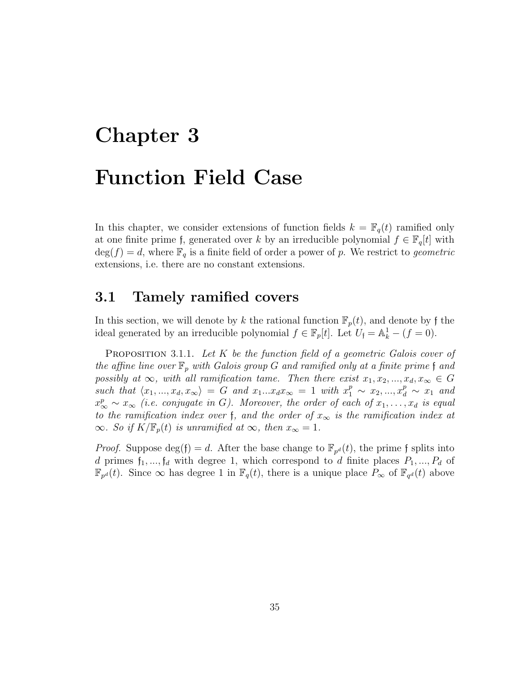# Chapter 3 Function Field Case

In this chapter, we consider extensions of function fields  $k = \mathbb{F}_q(t)$  ramified only at one finite prime f, generated over k by an irreducible polynomial  $f \in \mathbb{F}_q[t]$  with  $deg(f) = d$ , where  $\mathbb{F}_q$  is a finite field of order a power of p. We restrict to *geometric* extensions, i.e. there are no constant extensions.

## 3.1 Tamely ramified covers

In this section, we will denote by k the rational function  $\mathbb{F}_p(t)$ , and denote by f the ideal generated by an irreducible polynomial  $f \in \mathbb{F}_p[t]$ . Let  $U_f = \mathbb{A}_k^1 - (f = 0)$ .

**PROPOSITION** 3.1.1. Let  $K$  be the function field of a geometric Galois cover of the affine line over  $\mathbb{F}_p$  with Galois group G and ramified only at a finite prime f and possibly at  $\infty$ , with all ramification tame. Then there exist  $x_1, x_2, ..., x_d, x_\infty \in G$ such that  $\langle x_1, ..., x_d, x_\infty \rangle = G$  and  $x_1...x_d x_\infty = 1$  with  $x_1^p \sim x_2, ..., x_d^p \sim x_1$  and  $x_{\infty}^p \sim x_{\infty}$  (i.e. conjugate in G). Moreover, the order of each of  $x_1, \ldots, x_d$  is equal to the ramification index over f, and the order of  $x_{\infty}$  is the ramification index at  $\infty$ . So if  $K/\mathbb{F}_p(t)$  is unramified at  $\infty$ , then  $x_\infty = 1$ .

*Proof.* Suppose  $deg(f) = d$ . After the base change to  $\mathbb{F}_{p^d}(t)$ , the prime f splits into d primes  $f_1, ..., f_d$  with degree 1, which correspond to d finite places  $P_1, ..., P_d$  of  $\mathbb{F}_{p^d}(t)$ . Since  $\infty$  has degree 1 in  $\mathbb{F}_q(t)$ , there is a unique place  $P_{\infty}$  of  $\mathbb{F}_{q^d}(t)$  above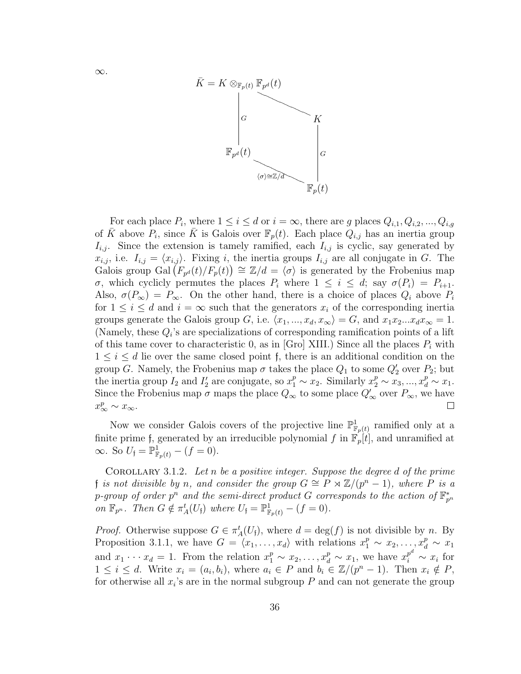

For each place  $P_i$ , where  $1 \leq i \leq d$  or  $i = \infty$ , there are g places  $Q_{i,1}, Q_{i,2}, ..., Q_{i,g}$ of  $\bar{K}$  above  $P_i$ , since  $\bar{K}$  is Galois over  $\mathbb{F}_p(t)$ . Each place  $Q_{i,j}$  has an inertia group  $I_{i,j}$ . Since the extension is tamely ramified, each  $I_{i,j}$  is cyclic, say generated by  $x_{i,j}$ , i.e.  $I_{i,j} = \langle x_{i,j} \rangle$ . Fixing i, the inertia groups  $I_{i,j}$  are all conjugate in G. The Galois group Gal  $(F_{p^d}(t)/F_p(t)) \cong \mathbb{Z}/d = \langle \sigma \rangle$  is generated by the Frobenius map σ, which cyclicly permutes the places  $P_i$  where  $1 \leq i \leq d$ ; say  $\sigma(P_i) = P_{i+1}$ . Also,  $\sigma(P_{\infty}) = P_{\infty}$ . On the other hand, there is a choice of places  $Q_i$  above  $P_i$ for  $1 \leq i \leq d$  and  $i = \infty$  such that the generators  $x_i$  of the corresponding inertia groups generate the Galois group G, i.e.  $\langle x_1, ..., x_d, x_\infty \rangle = G$ , and  $x_1x_2...x_dx_\infty = 1$ . (Namely, these  $Q_i$ 's are specializations of corresponding ramification points of a lift of this tame cover to characteristic 0, as in [Gro] XIII.) Since all the places  $P_i$  with  $1 \leq i \leq d$  lie over the same closed point f, there is an additional condition on the group G. Namely, the Frobenius map  $\sigma$  takes the place  $Q_1$  to some  $Q'_2$  over  $P_2$ ; but the inertia group  $I_2$  and  $I'_2$  are conjugate, so  $x_1^p \sim x_2$ . Similarly  $x_2^p \sim x_3, ..., x_d^p \sim x_1$ . Since the Frobenius map  $\sigma$  maps the place  $Q_{\infty}$  to some place  $Q'_{\infty}$  over  $P_{\infty}$ , we have  $x_{\infty}^p \sim x_{\infty}$ .  $\Box$ 

Now we consider Galois covers of the projective line  $\mathbb{P}^1_{\mathbb{F}_p(t)}$  ramified only at a finite prime f, generated by an irreducible polynomial f in  $\mathbb{F}_p[t]$ , and unramified at  $\infty$ . So  $U_{\mathfrak{f}} = \mathbb{P}^1_{\mathbb{F}_p(t)} - (f = 0)$ .

COROLLARY 3.1.2. Let n be a positive integer. Suppose the degree d of the prime f is not divisible by n, and consider the group  $G \cong P \rtimes \mathbb{Z}/(p^n-1)$ , where P is a p-group of order  $p^n$  and the semi-direct product G corresponds to the action of  $\mathbb{F}_{p^n}^*$ on  $\mathbb{F}_{p^n}$ . Then  $G \notin \pi_A^t(U_{\mathfrak{f}})$  where  $U_{\mathfrak{f}} = \mathbb{P}_{\mathbb{F}_p(t)}^1 - (f = 0)$ .

*Proof.* Otherwise suppose  $G \in \pi_A^t(U_f)$ , where  $d = \deg(f)$  is not divisible by n. By Proposition 3.1.1, we have  $G = \langle x_1, \ldots, x_d \rangle$  with relations  $x_1^p \sim x_2, \ldots, x_d^p \sim x_1$ and  $x_1 \cdots x_d = 1$ . From the relation  $x_1^p \sim x_2, \ldots, x_d^p \sim x_1$ , we have  $x_i^{p^d} \sim x_i$  for  $1 \leq i \leq d$ . Write  $x_i = (a_i, b_i)$ , where  $a_i \in P$  and  $b_i \in \mathbb{Z}/(p^n - 1)$ . Then  $x_i \notin P$ , for otherwise all  $x_i$ 's are in the normal subgroup  $P$  and can not generate the group

∞.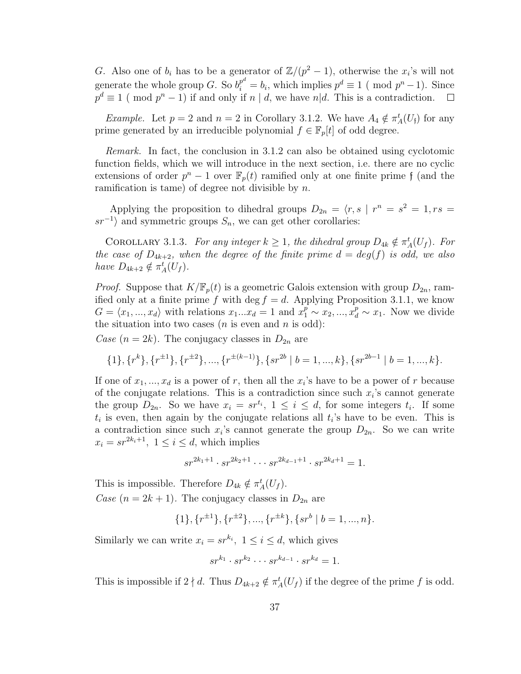G. Also one of  $b_i$  has to be a generator of  $\mathbb{Z}/(p^2-1)$ , otherwise the  $x_i$ 's will not generate the whole group G. So  $b_i^{p^d} = b_i$ , which implies  $p^d \equiv 1 \pmod{p^n - 1}$ . Since  $p^d \equiv 1 \pmod{p^n - 1}$  if and only if  $n \mid d$ , we have  $n \mid d$ . This is a contradiction.  $\overline{\phantom{a}}$ 

*Example.* Let  $p = 2$  and  $n = 2$  in Corollary 3.1.2. We have  $A_4 \notin \pi_A^t(U_f)$  for any prime generated by an irreducible polynomial  $f \in \mathbb{F}_p[t]$  of odd degree.

Remark. In fact, the conclusion in 3.1.2 can also be obtained using cyclotomic function fields, which we will introduce in the next section, i.e. there are no cyclic extensions of order  $p^{n} - 1$  over  $\mathbb{F}_{p}(t)$  ramified only at one finite prime f (and the ramification is tame) of degree not divisible by  $n$ .

Applying the proposition to dihedral groups  $D_{2n} = \langle r, s \mid r^n = s^2 = 1, rs = 1 \rangle$  $sr^{-1}$  and symmetric groups  $S_n$ , we can get other corollaries:

COROLLARY 3.1.3. For any integer  $k \geq 1$ , the dihedral group  $D_{4k} \notin \pi_A^t(U_f)$ . For the case of  $D_{4k+2}$ , when the degree of the finite prime  $d = deg(f)$  is odd, we also have  $D_{4k+2} \notin \pi_A^t(U_f)$ .

*Proof.* Suppose that  $K/\mathbb{F}_p(t)$  is a geometric Galois extension with group  $D_{2n}$ , ramified only at a finite prime f with deg  $f = d$ . Applying Proposition 3.1.1, we know  $G = \langle x_1, ..., x_d \rangle$  with relations  $x_1...x_d = 1$  and  $x_1^p \sim x_2, ..., x_d^p \sim x_1$ . Now we divide the situation into two cases  $(n \text{ is even and } n \text{ is odd})$ :

Case  $(n = 2k)$ . The conjugacy classes in  $D_{2n}$  are

$$
\{1\}, \{r^k\}, \{r^{\pm 1}\}, \{r^{\pm 2}\}, \dots, \{r^{\pm (k-1)}\}, \{sr^{2b} \mid b = 1, \dots, k\}, \{sr^{2b-1} \mid b = 1, \dots, k\}.
$$

If one of  $x_1, ..., x_d$  is a power of r, then all the  $x_i$ 's have to be a power of r because of the conjugate relations. This is a contradiction since such  $x_i$ 's cannot generate the group  $D_{2n}$ . So we have  $x_i = s r^{t_i}$ ,  $1 \leq i \leq d$ , for some integers  $t_i$ . If some  $t_i$  is even, then again by the conjugate relations all  $t_i$ 's have to be even. This is a contradiction since such  $x_i$ 's cannot generate the group  $D_{2n}$ . So we can write  $x_i = sr^{2k_i+1}, 1 \leq i \leq d$ , which implies

$$
sr^{2k_1+1} \cdot sr^{2k_2+1} \cdot \cdot \cdot sr^{2k_{d-1}+1} \cdot sr^{2k_d+1} = 1.
$$

This is impossible. Therefore  $D_{4k} \notin \pi_A^t(U_f)$ . Case  $(n = 2k + 1)$ . The conjugacy classes in  $D_{2n}$  are

 $\{1\}, \{r^{\pm 1}\}, \{r^{\pm 2}\}, ..., \{r^{\pm k}\}, \{sr^b \mid b = 1, ..., n\}.$ 

Similarly we can write  $x_i = sr^{k_i}$ ,  $1 \le i \le d$ , which gives

$$
sr^{k_1} \cdot sr^{k_2} \cdot \cdot \cdot sr^{k_{d-1}} \cdot sr^{k_d} = 1.
$$

This is impossible if  $2 \nmid d$ . Thus  $D_{4k+2} \notin \pi_A^t(U_f)$  if the degree of the prime f is odd.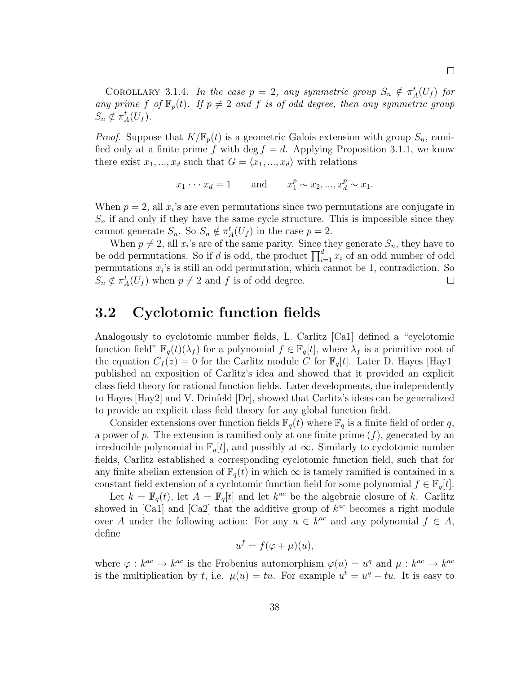COROLLARY 3.1.4. In the case  $p = 2$ , any symmetric group  $S_n \notin \pi_A^t(U_f)$  for any prime f of  $\mathbb{F}_p(t)$ . If  $p \neq 2$  and f is of odd degree, then any symmetric group  $S_n \notin \pi_A^t(U_f).$ 

*Proof.* Suppose that  $K/\mathbb{F}_p(t)$  is a geometric Galois extension with group  $S_n$ , ramified only at a finite prime f with deg  $f = d$ . Applying Proposition 3.1.1, we know there exist  $x_1, ..., x_d$  such that  $G = \langle x_1, ..., x_d \rangle$  with relations

$$
x_1 \cdots x_d = 1
$$
 and  $x_1^p \sim x_2, ..., x_d^p \sim x_1$ .

When  $p = 2$ , all  $x_i$ 's are even permutations since two permutations are conjugate in  $S_n$  if and only if they have the same cycle structure. This is impossible since they cannot generate  $S_n$ . So  $S_n \notin \pi_A^t(U_f)$  in the case  $p = 2$ .

When  $p \neq 2$ , all  $x_i$ 's are of the same parity. Since they generate  $S_n$ , they have to be odd permutations. So if d is odd, the product  $\prod_{i=1}^{d} x_i$  of an odd number of odd permutations  $x_i$ 's is still an odd permutation, which cannot be 1, contradiction. So  $S_n \notin \pi_A^t(U_f)$  when  $p \neq 2$  and f is of odd degree.  $\Box$ 

## 3.2 Cyclotomic function fields

Analogously to cyclotomic number fields, L. Carlitz [Ca1] defined a "cyclotomic function field"  $\mathbb{F}_q(t)(\lambda_f)$  for a polynomial  $f \in \mathbb{F}_q[t]$ , where  $\lambda_f$  is a primitive root of the equation  $C_f(z) = 0$  for the Carlitz module C for  $\mathbb{F}_q[t]$ . Later D. Hayes [Hay1] published an exposition of Carlitz's idea and showed that it provided an explicit class field theory for rational function fields. Later developments, due independently to Hayes [Hay2] and V. Drinfeld [Dr], showed that Carlitz's ideas can be generalized to provide an explicit class field theory for any global function field.

Consider extensions over function fields  $\mathbb{F}_q(t)$  where  $\mathbb{F}_q$  is a finite field of order q, a power of p. The extension is ramified only at one finite prime  $(f)$ , generated by an irreducible polynomial in  $\mathbb{F}_q[t]$ , and possibly at  $\infty$ . Similarly to cyclotomic number fields, Carlitz established a corresponding cyclotomic function field, such that for any finite abelian extension of  $\mathbb{F}_q(t)$  in which  $\infty$  is tamely ramified is contained in a constant field extension of a cyclotomic function field for some polynomial  $f \in \mathbb{F}_q[t]$ .

Let  $k = \mathbb{F}_q(t)$ , let  $A = \mathbb{F}_q[t]$  and let  $k^{ac}$  be the algebraic closure of k. Carlitz showed in [Ca1] and [Ca2] that the additive group of  $k^{ac}$  becomes a right module over A under the following action: For any  $u \in k^{ac}$  and any polynomial  $f \in A$ , define

$$
u^f = f(\varphi + \mu)(u),
$$

where  $\varphi : k^{ac} \to k^{ac}$  is the Frobenius automorphism  $\varphi(u) = u^q$  and  $\mu : k^{ac} \to k^{ac}$ is the multiplication by t, i.e.  $\mu(u) = tu$ . For example  $u^t = u^q + tu$ . It is easy to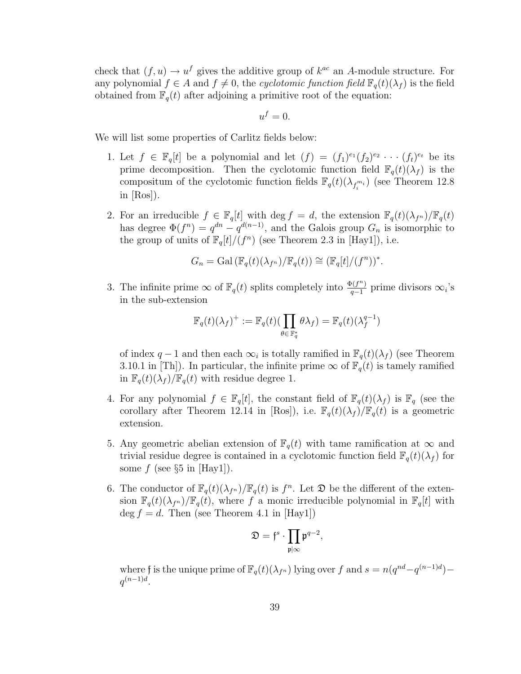check that  $(f, u) \to u^f$  gives the additive group of  $k^{ac}$  an A-module structure. For any polynomial  $f \in A$  and  $f \neq 0$ , the cyclotomic function field  $\mathbb{F}_q(t)(\lambda_f)$  is the field obtained from  $\mathbb{F}_q(t)$  after adjoining a primitive root of the equation:

$$
u^f=0.
$$

We will list some properties of Carlitz fields below:

- 1. Let  $f \in \mathbb{F}_q[t]$  be a polynomial and let  $(f) = (f_1)^{e_1}(f_2)^{e_2} \cdots (f_t)^{e_t}$  be its prime decomposition. Then the cyclotomic function field  $\mathbb{F}_q(t)(\lambda_f)$  is the compositum of the cyclotomic function fields  $\mathbb{F}_q(t)(\lambda_{f_i^{m_i}})$  (see Theorem 12.8) in [Ros]).
- 2. For an irreducible  $f \in \mathbb{F}_q[t]$  with  $\deg f = d$ , the extension  $\mathbb{F}_q(t)(\lambda_{f^n})/\mathbb{F}_q(t)$ has degree  $\Phi(f^n) = q^{dn} - q^{d(n-1)}$ , and the Galois group  $G_n$  is isomorphic to the group of units of  $\mathbb{F}_q[t]/(f^n)$  (see Theorem 2.3 in [Hay1]), i.e.

$$
G_n = \mathrm{Gal}(\mathbb{F}_q(t)(\lambda_{f^n})/\mathbb{F}_q(t)) \cong (\mathbb{F}_q[t]/(f^n))^*.
$$

3. The infinite prime  $\infty$  of  $\mathbb{F}_q(t)$  splits completely into  $\frac{\Phi(f^n)}{q-1}$  $\frac{\rho(f^n)}{q-1}$  prime divisors  $\infty_i$ 's in the sub-extension

$$
\mathbb{F}_q(t)(\lambda_f)^+ := \mathbb{F}_q(t)(\prod_{\theta \in \mathbb{F}_q^*} \theta \lambda_f) = \mathbb{F}_q(t)(\lambda_f^{q-1})
$$

of index q – 1 and then each  $\infty_i$  is totally ramified in  $\mathbb{F}_q(t)(\lambda_f)$  (see Theorem 3.10.1 in [Th]). In particular, the infinite prime  $\infty$  of  $\mathbb{F}_q(t)$  is tamely ramified in  $\mathbb{F}_q(t)(\lambda_f)/\mathbb{F}_q(t)$  with residue degree 1.

- 4. For any polynomial  $f \in \mathbb{F}_q[t]$ , the constant field of  $\mathbb{F}_q(t)(\lambda_f)$  is  $\mathbb{F}_q$  (see the corollary after Theorem 12.14 in [Ros]), i.e.  $\mathbb{F}_q(t)(\lambda_f)/\mathbb{F}_q(t)$  is a geometric extension.
- 5. Any geometric abelian extension of  $\mathbb{F}_q(t)$  with tame ramification at  $\infty$  and trivial residue degree is contained in a cyclotomic function field  $\mathbb{F}_q(t)(\lambda_f)$  for some f (see  $\S5$  in [Hay1]).
- 6. The conductor of  $\mathbb{F}_q(t)(\lambda_{f^n})/\mathbb{F}_q(t)$  is  $f^n$ . Let  $\mathfrak D$  be the different of the extension  $\mathbb{F}_q(t)(\lambda_{f^n})/\mathbb{F}_q(t)$ , where f a monic irreducible polynomial in  $\mathbb{F}_q[t]$  with  $\deg f = d$ . Then (see Theorem 4.1 in [Hay1])

$$
\mathfrak{D}=\mathfrak{f}^s\cdot\prod_{\mathfrak{p}\mid \infty}\mathfrak{p}^{q-2},
$$

where f is the unique prime of  $\mathbb{F}_q(t)(\lambda_{f^n})$  lying over f and  $s = n(q^{nd}-q^{(n-1)d})$  $q^{(n-1)d}$ .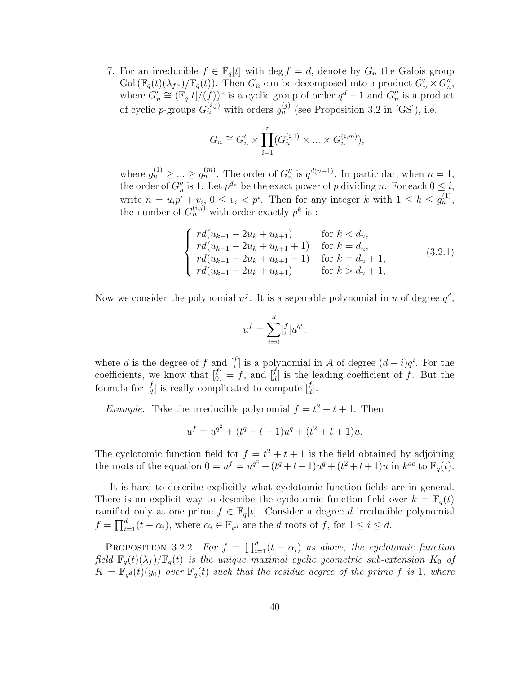7. For an irreducible  $f \in \mathbb{F}_q[t]$  with  $\deg f = d$ , denote by  $G_n$  the Galois group Gal  $(\mathbb{F}_q(t)(\lambda_{f^n})/\mathbb{F}_q(t))$ . Then  $G_n$  can be decomposed into a product  $G'_n \times G''_n$ , where  $G'_n \cong (\mathbb{F}_q[t]/(f))^*$  is a cyclic group of order  $q^d-1$  and  $G''_n$  is a product of cyclic *p*-groups  $G_n^{(i,j)}$  with orders  $g_n^{(j)}$  (see Proposition 3.2 in [GS]), i.e.

$$
G_n \cong G_n' \times \prod_{i=1}^r (G_n^{(i,1)} \times \ldots \times G_n^{(i,m)}),
$$

where  $g_n^{(1)} \geq ... \geq g_n^{(m)}$ . The order of  $G_n''$  is  $q^{d(n-1)}$ . In particular, when  $n = 1$ , the order of  $G''_n$  is 1. Let  $p^{d_n}$  be the exact power of p dividing n. For each  $0 \leq i$ , write  $n = u_i p^i + v_i$ ,  $0 \le v_i < p^i$ . Then for any integer k with  $1 \le k \le g_n^{(1)}$ , the number of  $G_n^{(i,j)}$  with order exactly  $p^k$  is :

$$
\begin{cases}\nrd(u_{k-1} - 2u_k + u_{k+1}) & \text{for } k < d_n, \\
rd(u_{k-1} - 2u_k + u_{k+1} + 1) & \text{for } k = d_n, \\
rd(u_{k-1} - 2u_k + u_{k+1} - 1) & \text{for } k = d_n + 1, \\
rd(u_{k-1} - 2u_k + u_{k+1}) & \text{for } k > d_n + 1,\n\end{cases}
$$
\n(3.2.1)

Now we consider the polynomial  $u^f$ . It is a separable polynomial in u of degree  $q^d$ ,

$$
u^f = \sum_{i=0}^d [f_i] u^{q^i},
$$

where d is the degree of f and  $\begin{bmatrix} f \\ i \end{bmatrix}$  is a polynomial in A of degree  $(d-i)q^i$ . For the coefficients, we know that  $\begin{bmatrix} f \\ 0 \end{bmatrix} = f$ , and  $\begin{bmatrix} f \\ d \end{bmatrix}$  is the leading coefficient of f. But the formula for  $\begin{bmatrix} f \\ d \end{bmatrix}$  is really complicated to compute  $\begin{bmatrix} f \\ d \end{bmatrix}$ .

*Example*. Take the irreducible polynomial  $f = t^2 + t + 1$ . Then

$$
u^f = u^{q^2} + (t^q + t + 1)u^q + (t^2 + t + 1)u.
$$

The cyclotomic function field for  $f = t^2 + t + 1$  is the field obtained by adjoining the roots of the equation  $0 = u^f = u^{q^2} + (t^q + t + 1)u^q + (t^2 + t + 1)u$  in  $k^{ac}$  to  $\mathbb{F}_q(t)$ .

It is hard to describe explicitly what cyclotomic function fields are in general. There is an explicit way to describe the cyclotomic function field over  $k = \mathbb{F}_q(t)$ ramified only at one prime  $f \in \mathbb{F}_q[t]$ . Consider a degree d irreducible polynomial  $f = \prod_{i=1}^{d} (t - \alpha_i)$ , where  $\alpha_i \in \mathbb{F}_{q^d}$  are the d roots of f, for  $1 \leq i \leq d$ .

PROPOSITION 3.2.2. For  $f = \prod_{i=1}^{d} (t - \alpha_i)$  as above, the cyclotomic function field  $\mathbb{F}_q(t)(\lambda_f)/\mathbb{F}_q(t)$  is the unique maximal cyclic geometric sub-extension  $K_0$  of  $K = \mathbb{F}_{q^d}(t)(y_0)$  over  $\mathbb{F}_q(t)$  such that the residue degree of the prime f is 1, where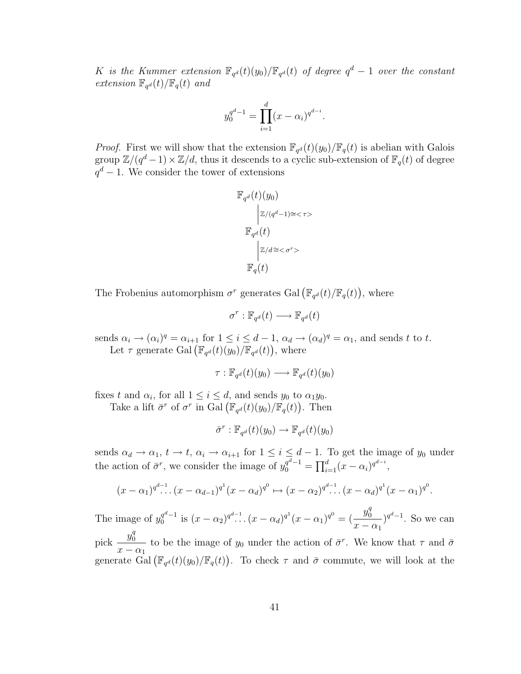K is the Kummer extension  $\mathbb{F}_{q^d}(t)(y_0)/\mathbb{F}_{q^d}(t)$  of degree  $q^d-1$  over the constant extension  $\mathbb{F}_{q^d}(t)/\mathbb{F}_q(t)$  and

$$
y_0^{q^d - 1} = \prod_{i=1}^d (x - \alpha_i)^{q^{d-i}}.
$$

*Proof.* First we will show that the extension  $\mathbb{F}_{q^d}(t)(y_0)/\mathbb{F}_q(t)$  is abelian with Galois group  $\mathbb{Z}/(q^d-1)\times\mathbb{Z}/d$ , thus it descends to a cyclic sub-extension of  $\mathbb{F}_q(t)$  of degree  $q<sup>d</sup> - 1$ . We consider the tower of extensions

$$
\mathbb{F}_{q^d}(t)(y_0)
$$
\n
$$
|z/(q^d-1)\cong < \tau>
$$
\n
$$
\mathbb{F}_{q^d}(t)
$$
\n
$$
|z/d \cong < \sigma^r>
$$
\n
$$
\mathbb{F}_q(t)
$$

The Frobenius automorphism  $\sigma^r$  generates Gal  $(\mathbb{F}_{q^d}(t)/\mathbb{F}_q(t))$ , where

$$
\sigma^r : \mathbb{F}_{q^d}(t) \longrightarrow \mathbb{F}_{q^d}(t)
$$

sends  $\alpha_i \to (\alpha_i)^q = \alpha_{i+1}$  for  $1 \leq i \leq d-1$ ,  $\alpha_d \to (\alpha_d)^q = \alpha_1$ , and sends t to t. Let  $\tau$  generate Gal  $(\mathbb{F}_{q^d}(t)(y_0)/\mathbb{F}_{q^d}(t))$ , where

$$
\tau : \mathbb{F}_{q^d}(t)(y_0) \longrightarrow \mathbb{F}_{q^d}(t)(y_0)
$$

fixes t and  $\alpha_i$ , for all  $1 \leq i \leq d$ , and sends  $y_0$  to  $\alpha_1 y_0$ .

Take a lift  $\bar{\sigma}^r$  of  $\sigma^r$  in Gal  $(\mathbb{F}_{q^d}(t)(y_0)/\mathbb{F}_q(t))$ . Then

$$
\bar{\sigma}^r : \mathbb{F}_{q^d}(t)(y_0) \to \mathbb{F}_{q^d}(t)(y_0)
$$

sends  $\alpha_d \to \alpha_1$ ,  $t \to t$ ,  $\alpha_i \to \alpha_{i+1}$  for  $1 \leq i \leq d-1$ . To get the image of  $y_0$  under the action of  $\bar{\sigma}^r$ , we consider the image of  $y_0^{q^d-1} = \prod_{i=1}^d (x - \alpha_i)^{q^{d-i}}$ ,

$$
(x - \alpha_1)^{q^{d-1}} \cdot (x - \alpha_{d-1})^{q^1} (x - \alpha_d)^{q^0} \mapsto (x - \alpha_2)^{q^{d-1}} \cdot (x - \alpha_d)^{q^1} (x - \alpha_1)^{q^0}.
$$

The image of  $y_0^{q^d-1}$  $\int_0^{q^d-1}$  is  $(x-\alpha_2)^{q^d-1}$ .  $(x-\alpha_d)^{q^1}(x-\alpha_1)^{q^0} = \left(\frac{y_0^q}{x}\right)^{q^d}$ 0  $x - \alpha_1$  $)$ <sup>q<sup>d</sup>-1. So we can</sup>

pick  $\frac{y_0^q}{\sqrt{y_0^q}}$ 0  $x - \alpha_1$ to be the image of  $y_0$  under the action of  $\bar{\sigma}^r$ . We know that  $\tau$  and  $\bar{\sigma}$ generate  $\tilde{Gal}(\mathbb{F}_{q^d}(t)(y_0)/\mathbb{F}_q(t))$ . To check  $\tau$  and  $\bar{\sigma}$  commute, we will look at the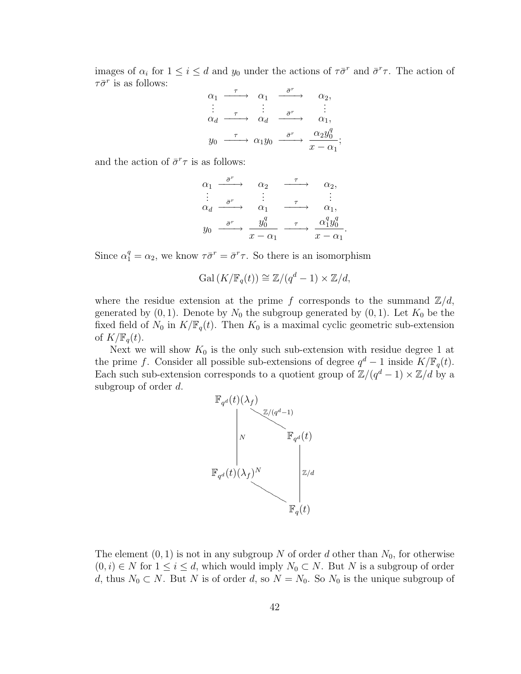images of  $\alpha_i$  for  $1 \leq i \leq d$  and  $y_0$  under the actions of  $\tau \bar{\sigma}^r$  and  $\bar{\sigma}^r \tau$ . The action of  $\tau \bar{\sigma}^r$  is as follows:

$$
\begin{array}{cccc}\n\alpha_1 & \xrightarrow{\tau} & \alpha_1 & \xrightarrow{\bar{\sigma}^r} & \alpha_2, \\
\vdots & \vdots & \vdots & \vdots \\
\alpha_d & \xrightarrow{\tau} & \alpha_d & \xrightarrow{\bar{\sigma}^r} & \alpha_1, \\
y_0 & \xrightarrow{\tau} & \alpha_1 y_0 & \xrightarrow{\bar{\sigma}^r} & \xrightarrow{\alpha_2 y_0^q} \\
\vdots & \vdots & \vdots & \ddots & \vdots \\
y_0 & \xrightarrow{\tau} & \alpha_1 y_0 & \xrightarrow{\bar{\sigma}^r} & \xrightarrow{\alpha_2 y_0^q} \\
\end{array}
$$

and the action of  $\bar{\sigma}^r \tau$  is as follows:

$$
\begin{array}{cccc}\n\alpha_1 & \xrightarrow{\bar{\sigma}^r} & \alpha_2 & \xrightarrow{\tau} & \alpha_2, \\
\vdots & \vdots & \vdots & \vdots \\
\alpha_d & \xrightarrow{\bar{\sigma}^r} & \alpha_1 & \xrightarrow{\tau} & \alpha_1, \\
y_0 & \xrightarrow{\bar{\sigma}^r} & \frac{y_0^q}{x - \alpha_1} & \xrightarrow{\tau} & \frac{\alpha_1^q y_0^q}{x - \alpha_1}\n\end{array}
$$

.

Since  $\alpha_1^q = \alpha_2$ , we know  $\tau \bar{\sigma}^r = \bar{\sigma}^r \tau$ . So there is an isomorphism

$$
Gal (K/\mathbb{F}_q(t)) \cong \mathbb{Z}/(q^d-1) \times \mathbb{Z}/d,
$$

where the residue extension at the prime f corresponds to the summand  $\mathbb{Z}/d$ , generated by  $(0, 1)$ . Denote by  $N_0$  the subgroup generated by  $(0, 1)$ . Let  $K_0$  be the fixed field of  $N_0$  in  $K/\mathbb{F}_q(t)$ . Then  $K_0$  is a maximal cyclic geometric sub-extension of  $K/\mathbb{F}_q(t)$ .

Next we will show  $K_0$  is the only such sub-extension with residue degree 1 at the prime f. Consider all possible sub-extensions of degree  $q^d - 1$  inside  $K/\mathbb{F}_q(t)$ . Each such sub-extension corresponds to a quotient group of  $\mathbb{Z}/(q^d-1) \times \mathbb{Z}/d$  by a subgroup of order d.



The element  $(0, 1)$  is not in any subgroup N of order d other than  $N_0$ , for otherwise  $(0, i) \in N$  for  $1 \le i \le d$ , which would imply  $N_0 \subset N$ . But N is a subgroup of order d, thus  $N_0 \subset N$ . But N is of order d, so  $N = N_0$ . So  $N_0$  is the unique subgroup of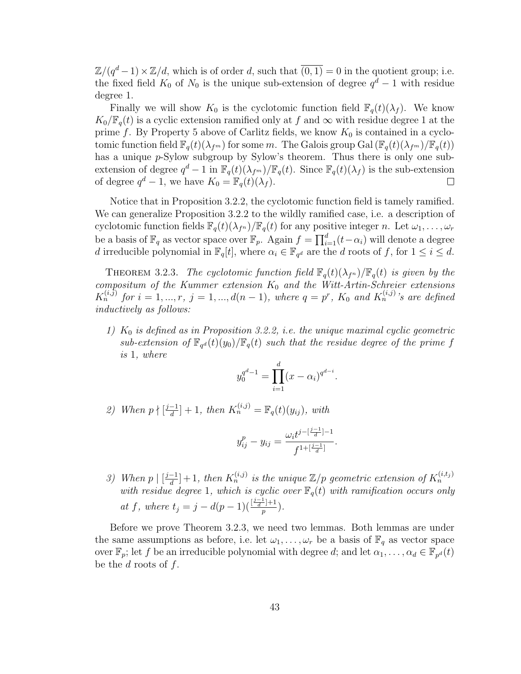$\mathbb{Z}/(q^d-1)\times\mathbb{Z}/d$ , which is of order d, such that  $\overline{(0,1)}=0$  in the quotient group; i.e. the fixed field  $K_0$  of  $N_0$  is the unique sub-extension of degree  $q^d-1$  with residue degree 1.

Finally we will show  $K_0$  is the cyclotomic function field  $\mathbb{F}_q(t)(\lambda_f)$ . We know  $K_0/\mathbb{F}_q(t)$  is a cyclic extension ramified only at f and  $\infty$  with residue degree 1 at the prime f. By Property 5 above of Carlitz fields, we know  $K_0$  is contained in a cyclotomic function field  $\mathbb{F}_q(t)(\lambda_{f^m})$  for some m. The Galois group Gal  $(\mathbb{F}_q(t)(\lambda_{f^m})/\mathbb{F}_q(t))$ has a unique p-Sylow subgroup by Sylow's theorem. Thus there is only one subextension of degree  $q^d-1$  in  $\mathbb{F}_q(t)(\lambda_{f^m})/\mathbb{F}_q(t)$ . Since  $\mathbb{F}_q(t)(\lambda_f)$  is the sub-extension of degree  $q^d-1$ , we have  $K_0 = \mathbb{F}_q(t)(\lambda_f)$ .  $\Box$ 

Notice that in Proposition 3.2.2, the cyclotomic function field is tamely ramified. We can generalize Proposition 3.2.2 to the wildly ramified case, i.e. a description of cyclotomic function fields  $\mathbb{F}_q(t)(\lambda_{f^n})/\mathbb{F}_q(t)$  for any positive integer n. Let  $\omega_1, \ldots, \omega_r$ be a basis of  $\mathbb{F}_q$  as vector space over  $\mathbb{F}_p$ . Again  $f = \prod_{i=1}^d (t - \alpha_i)$  will denote a degree d irreducible polynomial in  $\mathbb{F}_q[t]$ , where  $\alpha_i \in \mathbb{F}_{q^d}$  are the d roots of f, for  $1 \leq i \leq d$ .

THEOREM 3.2.3. The cyclotomic function field  $\mathbb{F}_q(t)(\lambda_{f^n})/\mathbb{F}_q(t)$  is given by the compositum of the Kummer extension  $K_0$  and the Witt-Artin-Schreier extensions  $K_n^{(i,j)}$  for  $i = 1, ..., r$ ,  $j = 1, ..., d(n-1)$ , where  $q = p^r$ ,  $K_0$  and  $K_n^{(i,j)}$ 's are defined inductively as follows:

1)  $K_0$  is defined as in Proposition 3.2.2, i.e. the unique maximal cyclic geometric  $sub-extension$  of  $\mathbb{F}_{q^d}(t)(y_0)/\mathbb{F}_q(t)$  such that the residue degree of the prime f is 1, where

$$
y_0^{q^d-1} = \prod_{i=1}^d (x - \alpha_i)^{q^{d-i}}.
$$

2) When  $p \nmid \left[\frac{j-1}{d}\right]$  $\frac{-1}{d}]+1$ , then  $K_n^{(i,j)} = \mathbb{F}_q(t)(y_{ij}),$  with

$$
y_{ij}^p - y_{ij} = \frac{\omega_i t^{j - \left[\frac{j-1}{d}\right] - 1}}{f^{1 + \left[\frac{j-1}{d}\right]}}.
$$

3) When  $p \mid \left[\frac{j-1}{d}\right]$  $\frac{d-1}{d}]+1$ , then  $K_n^{(i,j)}$  is the unique  $\mathbb{Z}/p$  geometric extension of  $K_n^{(i,t_j)}$ with residue degree 1, which is cyclic over  $\mathbb{F}_q(t)$  with ramification occurs only at f, where  $t_j = j - d(p-1)(\frac{\frac{j-1}{d}+1}{n})$  $\frac{-j+1}{p}$ ).

Before we prove Theorem 3.2.3, we need two lemmas. Both lemmas are under the same assumptions as before, i.e. let  $\omega_1, \ldots, \omega_r$  be a basis of  $\mathbb{F}_q$  as vector space over  $\mathbb{F}_p$ ; let f be an irreducible polynomial with degree d; and let  $\alpha_1, \ldots, \alpha_d \in \mathbb{F}_{p^d}(t)$ be the d roots of  $f$ .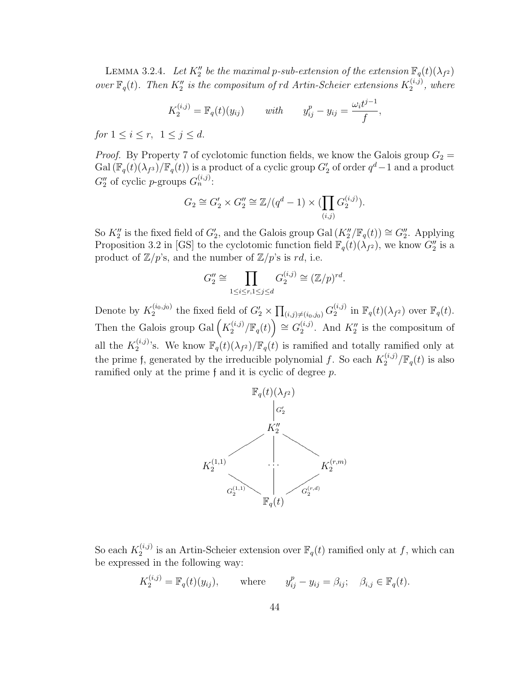LEMMA 3.2.4. Let  $K_2''$  be the maximal p-sub-extension of the extension  $\mathbb{F}_q(t)(\lambda_{f^2})$ over  $\mathbb{F}_q(t)$ . Then  $K_2''$  is the compositum of rd Artin-Scheier extensions  $K_2^{(i,j)}$  $x_2^{(i,j)}$ , where

$$
K_2^{(i,j)} = \mathbb{F}_q(t)(y_{ij})
$$
 with  $y_{ij}^p - y_{ij} = \frac{\omega_i t^{j-1}}{f}$ ,

for  $1 \le i \le r$ ,  $1 \le j \le d$ .

*Proof.* By Property 7 of cyclotomic function fields, we know the Galois group  $G_2 =$ Gal  $(\mathbb{F}_q(t)(\lambda_{f^3})/\mathbb{F}_q(t))$  is a product of a cyclic group  $G_2'$  of order  $q^d-1$  and a product  $G_2''$  of cyclic *p*-groups  $G_n^{(i,j)}$ :

$$
G_2 \cong G_2' \times G_2'' \cong \mathbb{Z}/(q^d - 1) \times (\prod_{(i,j)} G_2^{(i,j)}).
$$

So  $K_2''$  is the fixed field of  $G_2'$ , and the Galois group Gal  $(K_2''/\mathbb{F}_q(t)) \cong G_2''$ . Applying Proposition 3.2 in [GS] to the cyclotomic function field  $\mathbb{F}_q(t)(\lambda_{f^2})$ , we know  $G_2''$  is a product of  $\mathbb{Z}/p$ 's, and the number of  $\mathbb{Z}/p$ 's is rd, i.e.

$$
G_2'' \cong \prod_{1 \le i \le r, 1 \le j \le d} G_2^{(i,j)} \cong (\mathbb{Z}/p)^{rd}.
$$

Denote by  $K_2^{(i_0,j_0)}$  $\sum_{2}^{(i_0,j_0)}$  the fixed field of  $G'_2 \times \prod_{(i,j) \neq (i_0,j_0)} G_2^{(i,j)}$  $\mathbb{F}_q(t)(\lambda_{f^2})$  over  $\mathbb{F}_q(t)$ . Then the Galois group Gal $\left(K_2^{(i,j)}\right)$  $\mathbb{F}_q^{(i,j)}/\mathbb{F}_q(t)$   $\cong G_2^{(i,j)}$  $\chi_2^{(i,j)}$ . And  $K_2''$  is the compositum of all the  $K_2^{(i,j)}$  $\mathbb{F}_q(t)(\lambda_{f^2})/\mathbb{F}_q(t)$  is ramified and totally ramified only at the prime f, generated by the irreducible polynomial f. So each  $K_2^{(i,j)}$  $\int_2^{(i,j)}/\mathbb{F}_q(t)$  is also ramified only at the prime f and it is cyclic of degree p.



So each  $K_2^{(i,j)}$  $\mathbb{F}_q^{(i,j)}$  is an Artin-Scheier extension over  $\mathbb{F}_q(t)$  ramified only at f, which can be expressed in the following way:

$$
K_2^{(i,j)} = \mathbb{F}_q(t)(y_{ij}), \quad \text{where} \quad y_{ij}^p - y_{ij} = \beta_{ij}; \quad \beta_{i,j} \in \mathbb{F}_q(t).
$$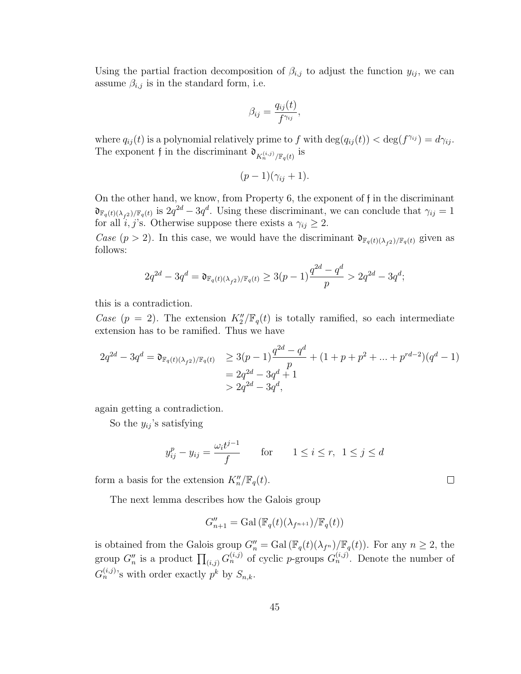Using the partial fraction decomposition of  $\beta_{i,j}$  to adjust the function  $y_{ij}$ , we can assume  $\beta_{i,j}$  is in the standard form, i.e.

$$
\beta_{ij} = \frac{q_{ij}(t)}{f^{\gamma_{ij}}},
$$

where  $q_{ij}(t)$  is a polynomial relatively prime to f with  $\deg(q_{ij}(t)) < \deg(f^{\gamma_{ij}}) = d\gamma_{ij}$ . The exponent f in the discriminant  $\mathfrak{d}_{K_n^{(i,j)}/\mathbb{F}_q(t)}$  is

$$
(p-1)(\gamma_{ij}+1).
$$

On the other hand, we know, from Property 6, the exponent of f in the discriminant  $\mathfrak{d}_{\mathbb{F}_q(t)(\lambda_{f^2})/\mathbb{F}_q(t)}$  is  $2q^{2d} - 3q^d$ . Using these discriminant, we can conclude that  $\gamma_{ij} = 1$ for all  $i, j$ 's. Otherwise suppose there exists a  $\gamma_{ij} \geq 2$ .

Case  $(p > 2)$ . In this case, we would have the discriminant  $\mathfrak{d}_{\mathbb{F}_q(t)(\lambda_{f^2})/\mathbb{F}_q(t)}$  given as follows:

$$
2q^{2d} - 3q^d = \mathfrak{d}_{\mathbb{F}_q(t)(\lambda_{f^2})/\mathbb{F}_q(t)} \ge 3(p-1)\frac{q^{2d} - q^d}{p} > 2q^{2d} - 3q^d;
$$

this is a contradiction.

Case  $(p = 2)$ . The extension  $K_2''/\mathbb{F}_q(t)$  is totally ramified, so each intermediate extension has to be ramified. Thus we have

$$
2q^{2d} - 3q^d = \mathfrak{d}_{\mathbb{F}_q(t)(\lambda_{f^2})/\mathbb{F}_q(t)} \ge 3(p-1)\frac{q^{2d} - q^d}{p} + (1+p+p^2+\dots+p^{rd-2})(q^d-1)
$$
  
=  $2q^{2d} - 3q^d + 1$   
>  $2q^{2d} - 3q^d$ ,

again getting a contradiction.

So the  $y_{ij}$ 's satisfying

$$
y_{ij}^p - y_{ij} = \frac{\omega_i t^{j-1}}{f} \quad \text{for} \quad 1 \le i \le r, \ 1 \le j \le d
$$

form a basis for the extension  $K_n''/\mathbb{F}_q(t)$ .

The next lemma describes how the Galois group

$$
G''_{n+1} = \text{Gal}\left(\mathbb{F}_q(t)(\lambda_{f^{n+1}})/\mathbb{F}_q(t)\right)
$$

is obtained from the Galois group  $G''_n = \text{Gal}(\mathbb{F}_q(t)(\lambda_{f^n})/\mathbb{F}_q(t))$ . For any  $n \geq 2$ , the group  $G''_n$  is a product  $\prod_{(i,j)} G_n^{(i,j)}$  of cyclic p-groups  $G_n^{(i,j)}$ . Denote the number of  $G_n^{(i,j)}$ 's with order exactly  $p^k$  by  $S_{n,k}$ .

 $\Box$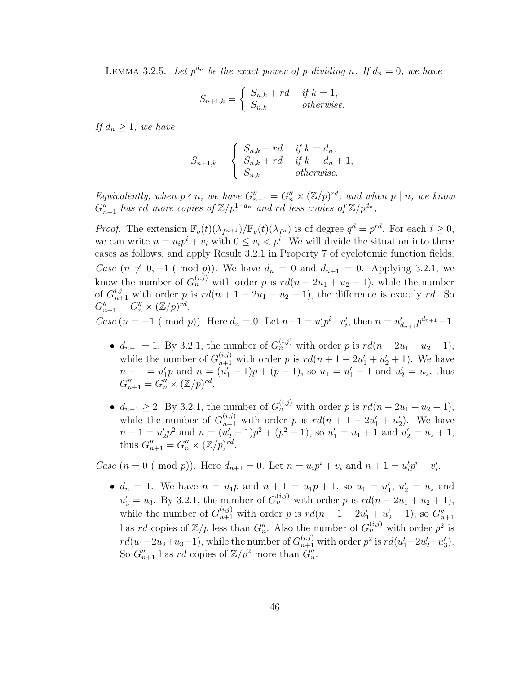LEMMA 3.2.5. Let  $p^{d_n}$  be the exact power of p dividing n. If  $d_n = 0$ , we have

$$
S_{n+1,k} = \begin{cases} S_{n,k} + rd & \text{if } k = 1, \\ S_{n,k} & \text{otherwise.} \end{cases}
$$

If  $d_n \geq 1$ , we have

$$
S_{n+1,k} = \begin{cases} S_{n,k} - rd & \text{if } k = d_n, \\ S_{n,k} + rd & \text{if } k = d_n + 1, \\ S_{n,k} & \text{otherwise.} \end{cases}
$$

Equivalently, when  $p \nmid n$ , we have  $G''_{n+1} = G''_n \times (\mathbb{Z}/p)^{rd}$ ; and when  $p \mid n$ , we know  $G_{n+1}''$  has rd more copies of  $\mathbb{Z}/p^{1+d_n}$  and rd less copies of  $\mathbb{Z}/p^{d_n}$ ,

*Proof.* The extension  $\mathbb{F}_q(t)(\lambda_{f^{n+1}})/\mathbb{F}_q(t)(\lambda_{f^n})$  is of degree  $q^d = p^{rd}$ . For each  $i \geq 0$ , we can write  $n = u_i p^i + v_i$  with  $0 \le v_i < p^i$ . We will divide the situation into three cases as follows, and apply Result 3.2.1 in Property 7 of cyclotomic function fields. *Case*  $(n \neq 0, -1 \pmod{p})$ . We have  $d_n = 0$  and  $d_{n+1} = 0$ . Applying 3.2.1, we know the number of  $G_n^{(i,j)}$  with order p is  $rd(n-2u_1+u_2-1)$ , while the number of  $G_{n+1}^{i,j}$  with order p is  $rd(n+1-2u_1+u_2-1)$ , the difference is exactly rd. So  $G''_{n+1} = G''_n \times (\mathbb{Z}/p)^{rd}.$ 

Case  $(n = -1 \pmod{p})$ . Here  $d_n = 0$ . Let  $n+1 = u'_i p^i + v'_i$ , then  $n = u'_{d_{n+1}} p^{d_{n+1}} - 1$ .

- $d_{n+1} = 1$ . By 3.2.1, the number of  $G_n^{(i,j)}$  with order p is  $rd(n 2u_1 + u_2 1)$ , while the number of  $G_{n+1}^{(i,j)}$  with order p is  $rd(n+1-2u'_1+u'_2+1)$ . We have  $n+1 = u'_1p$  and  $n = (u'_1 - 1)p + (p - 1)$ , so  $u_1 = u'_1 - 1$  and  $u'_2 = u_2$ , thus  $G''_{n+1} = G''_n \times (\mathbb{Z}/p)^{rd}.$
- $d_{n+1} \geq 2$ . By 3.2.1, the number of  $G_n^{(i,j)}$  with order p is  $rd(n-2u_1+u_2-1)$ , while the number of  $G_{n+1}^{(i,j)}$  with order p is  $rd(n+1-2u'_1+u'_2)$ . We have  $n+1 = u_2'p^2$  and  $n = (u_2'-1)p^2 + (p^2-1)$ , so  $u_1' = u_1 + 1$  and  $u_2' = u_2 + 1$ , thus  $G''_{n+1} = G''_n \times (\mathbb{Z}/p)^{rd}$ .

*Case*  $(n = 0 \ (\text{mod } p))$ . Here  $d_{n+1} = 0$ . Let  $n = u_i p^i + v_i$  and  $n + 1 = u'_i p^i + v'_i$ .

•  $d_n = 1$ . We have  $n = u_1 p$  and  $n + 1 = u_1 p + 1$ , so  $u_1 = u'_1$ ,  $u'_2 = u_2$  and  $u'_3 = u_3$ . By 3.2.1, the number of  $G_n^{(i,j)}$  with order p is  $rd(n - 2u_1 + u_2 + 1)$ , while the number of  $G_{n+1}^{(i,j)}$  with order p is  $rd(n+1-2u'_1+u'_2-1)$ , so  $G_{n+1}''$ has rd copies of  $\mathbb{Z}/p$  less than  $G''_n$ . Also the number of  $G_n^{(i,j)}$  with order  $p^2$  is  $rd(u_1-2u_2+u_3-1)$ , while the number of  $G_{n+1}^{(i,j)}$  with order  $p^2$  is  $rd(u'_1-2u'_2+u'_3)$ . So  $G''_{n+1}$  has rd copies of  $\mathbb{Z}/p^2$  more than  $G''_n$ .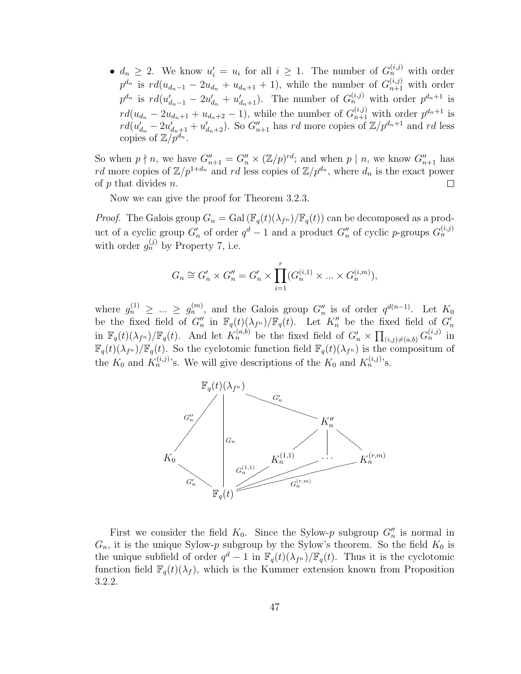•  $d_n \geq 2$ . We know  $u'_i = u_i$  for all  $i \geq 1$ . The number of  $G_n^{(i,j)}$  with order  $p^{d_n}$  is  $rd(u_{d_n-1}-2u_{d_n}+u_{d_n+1}+1)$ , while the number of  $G_{n+1}^{(i,j)}$  with order  $p^{d_n}$  is  $rd(u'_{d_n-1} - 2u'_{d_n} + u'_{d_n+1})$ . The number of  $G_n^{(i,j)}$  with order  $p^{d_n+1}$  is  $rd(u_{d_n}-2u_{d_n+1}+u_{d_n+2}-1)$ , while the number of  $G_{n+1}^{(i,j)}$  with order  $p^{d_n+1}$  is  $rd(u'_{d_n}-2u'_{d_n+1}+u'_{d_n+2})$ . So  $G''_{n+1}$  has rd more copies of  $\mathbb{Z}/p^{d_n+1}$  and rd less copies of  $\mathbb{Z}/p^{d_n}$ .

So when  $p \nmid n$ , we have  $G''_{n+1} = G''_n \times (\mathbb{Z}/p)^{rd}$ ; and when  $p \mid n$ , we know  $G''_{n+1}$  has rd more copies of  $\mathbb{Z}/p^{1+d_n}$  and rd less copies of  $\mathbb{Z}/p^{d_n}$ , where  $d_n$  is the exact power of  $p$  that divides  $n$ .  $\Box$ 

Now we can give the proof for Theorem 3.2.3.

*Proof.* The Galois group  $G_n = \text{Gal}(\mathbb{F}_q(t)(\lambda_{f^n})/\mathbb{F}_q(t))$  can be decomposed as a product of a cyclic group  $G'_n$  of order  $q^d-1$  and a product  $G''_n$  of cyclic p-groups  $G^{(i,j)}_n$ with order  $g_n^{(j)}$  by Property 7, i.e.

$$
G_n \cong G'_n \times G''_n = G'_n \times \prod_{i=1}^r (G_n^{(i,1)} \times \dots \times G_n^{(i,m)}),
$$

where  $g_n^{(1)} \geq ... \geq g_n^{(m)}$ , and the Galois group  $G_n''$  is of order  $q^{d(n-1)}$ . Let  $K_0$ be the fixed field of  $G''_n$  in  $\mathbb{F}_q(t)(\lambda_{f^n})/\mathbb{F}_q(t)$ . Let  $K''_n$  be the fixed field of  $G'_n$ in  $\mathbb{F}_q(t)(\lambda_{f^n})/\mathbb{F}_q(t)$ . And let  $K_n^{(a,b)}$  be the fixed field of  $G'_n \times \prod_{(i,j)\neq (a,b)} G_n^{(i,j)}$  in  $\mathbb{F}_q(t)(\lambda_{f^n})/\mathbb{F}_q(t)$ . So the cyclotomic function field  $\mathbb{F}_q(t)(\lambda_{f^n})$  is the compositum of the  $K_0$  and  $K_n^{(i,j)}$ 's. We will give descriptions of the  $K_0$  and  $K_n^{(i,j)}$ 's.



First we consider the field  $K_0$ . Since the Sylow-p subgroup  $G''_n$  is normal in  $G_n$ , it is the unique Sylow-p subgroup by the Sylow's theorem. So the field  $K_0$  is the unique subfield of order  $q^d-1$  in  $\mathbb{F}_q(t)(\lambda_{f^n})/\mathbb{F}_q(t)$ . Thus it is the cyclotomic function field  $\mathbb{F}_q(t)(\lambda_f)$ , which is the Kummer extension known from Proposition 3.2.2.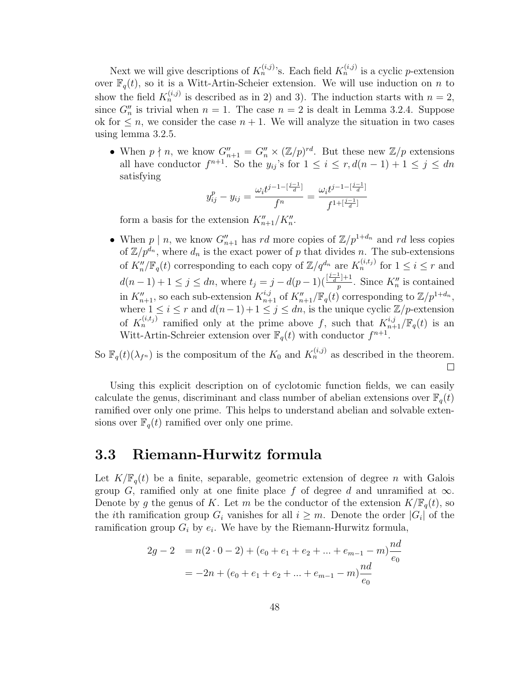Next we will give descriptions of  $K_n^{(i,j)}$ 's. Each field  $K_n^{(i,j)}$  is a cyclic p-extension over  $\mathbb{F}_q(t)$ , so it is a Witt-Artin-Scheier extension. We will use induction on n to show the field  $K_n^{(i,j)}$  is described as in 2) and 3). The induction starts with  $n=2$ , since  $G''_n$  is trivial when  $n = 1$ . The case  $n = 2$  is dealt in Lemma 3.2.4. Suppose ok for  $\leq n$ , we consider the case  $n + 1$ . We will analyze the situation in two cases using lemma 3.2.5.

• When  $p \nmid n$ , we know  $G''_{n+1} = G''_n \times (\mathbb{Z}/p)^{rd}$ . But these new  $\mathbb{Z}/p$  extensions all have conductor  $f^{n+1}$ . So the  $y_{ij}$ 's for  $1 \leq i \leq r$ ,  $d(n-1)+1 \leq j \leq dn$ satisfying

$$
y_{ij}^p - y_{ij} = \frac{\omega_i t^{j-1 - \left[\frac{j-1}{d}\right]}}{f^n} = \frac{\omega_i t^{j-1 - \left[\frac{j-1}{d}\right]}}{f^{1 + \left[\frac{j-1}{d}\right]}}
$$

form a basis for the extension  $K''_{n+1}/K''_n$ .

• When  $p \mid n$ , we know  $G''_{n+1}$  has rd more copies of  $\mathbb{Z}/p^{1+d_n}$  and rd less copies of  $\mathbb{Z}/p^{d_n}$ , where  $d_n$  is the exact power of p that divides n. The sub-extensions of  $K''_n/\mathbb{F}_q(t)$  corresponding to each copy of  $\mathbb{Z}/q^{d_n}$  are  $K^{(i,t_j)}_n$  for  $1 \leq i \leq r$  and  $d(n-1)+1 \leq j \leq dn$ , where  $t_j = j - d(p-1)(\frac{j-j+1}{n})$  $\frac{p}{p}$ . Since  $K_n''$  is contained in  $K_{n+1}''$ , so each sub-extension  $K_{n+1}^{i,j}$  of  $K_{n+1}''/\mathbb{F}_q(t)$  corresponding to  $\mathbb{Z}/p^{1+d_n}$ , where  $1 \leq i \leq r$  and  $d(n-1)+1 \leq j \leq dn$ , is the unique cyclic  $\mathbb{Z}/p$ -extension of  $K_n^{(i,t_j)}$  ramified only at the prime above f, such that  $K_{n+1}^{i,j}/\mathbb{F}_q(t)$  is an Witt-Artin-Schreier extension over  $\mathbb{F}_q(t)$  with conductor  $f^{n+1}$ .

So  $\mathbb{F}_q(t)(\lambda_{f^n})$  is the compositum of the  $K_0$  and  $K_n^{(i,j)}$  as described in the theorem.  $\Box$ 

Using this explicit description on of cyclotomic function fields, we can easily calculate the genus, discriminant and class number of abelian extensions over  $\mathbb{F}_q(t)$ ramified over only one prime. This helps to understand abelian and solvable extensions over  $\mathbb{F}_q(t)$  ramified over only one prime.

#### 3.3 Riemann-Hurwitz formula

Let  $K/\mathbb{F}_{q}(t)$  be a finite, separable, geometric extension of degree n with Galois group G, ramified only at one finite place f of degree d and unramified at  $\infty$ . Denote by g the genus of K. Let m be the conductor of the extension  $K/\mathbb{F}_q(t)$ , so the *i*th ramification group  $G_i$  vanishes for all  $i \geq m$ . Denote the order  $|G_i|$  of the ramification group  $G_i$  by  $e_i$ . We have by the Riemann-Hurwitz formula,

$$
2g - 2 = n(2 \cdot 0 - 2) + (e_0 + e_1 + e_2 + \dots + e_{m-1} - m) \frac{nd}{e_0}
$$
  
= -2n + (e\_0 + e\_1 + e\_2 + \dots + e\_{m-1} - m) \frac{nd}{e\_0}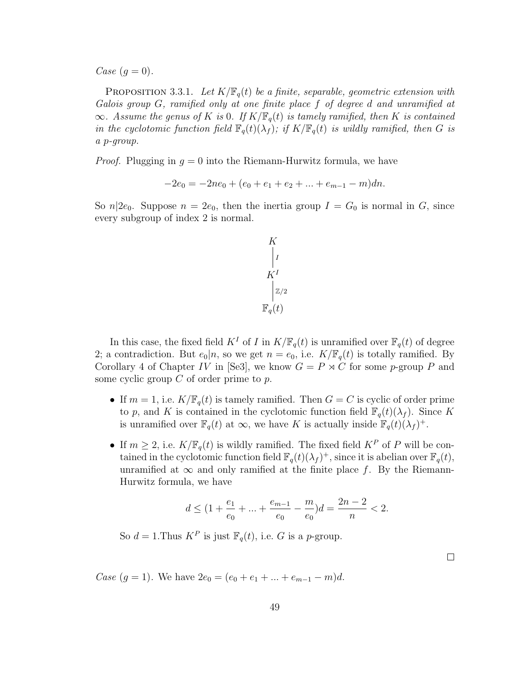Case  $(q = 0)$ .

**PROPOSITION 3.3.1.** Let  $K/\mathbb{F}_q(t)$  be a finite, separable, geometric extension with Galois group G, ramified only at one finite place f of degree d and unramified at  $\infty$ . Assume the genus of K is 0. If  $K/\mathbb{F}_q(t)$  is tamely ramified, then K is contained in the cyclotomic function field  $\mathbb{F}_q(t)(\lambda_f)$ ; if  $K/\mathbb{F}_q(t)$  is wildly ramified, then G is a p-group.

*Proof.* Plugging in  $q = 0$  into the Riemann-Hurwitz formula, we have

$$
-2e_0 = -2ne_0 + (e_0 + e_1 + e_2 + \dots + e_{m-1} - m)dn.
$$

So  $n|2e_0$ . Suppose  $n = 2e_0$ , then the inertia group  $I = G_0$  is normal in G, since every subgroup of index 2 is normal.

$$
K \nvert_I\nu_I\nu_I\nu_I\nu_I\nu_I\nu_I
$$

In this case, the fixed field  $K^I$  of I in  $K/\mathbb{F}_q(t)$  is unramified over  $\mathbb{F}_q(t)$  of degree 2; a contradiction. But  $e_0|n$ , so we get  $n = e_0$ , i.e.  $K/\mathbb{F}_q(t)$  is totally ramified. By Corollary 4 of Chapter IV in [Se3], we know  $G = P \rtimes C$  for some p-group P and some cyclic group  $C$  of order prime to  $p$ .

- If  $m = 1$ , i.e.  $K/\mathbb{F}_q(t)$  is tamely ramified. Then  $G = C$  is cyclic of order prime to p, and K is contained in the cyclotomic function field  $\mathbb{F}_q(t)(\lambda_f)$ . Since K is unramified over  $\mathbb{F}_q(t)$  at  $\infty$ , we have K is actually inside  $\mathbb{F}_q(t)(\lambda_f)^+$ .
- If  $m \geq 2$ , i.e.  $K/\mathbb{F}_q(t)$  is wildly ramified. The fixed field  $K^P$  of P will be contained in the cyclotomic function field  $\mathbb{F}_q(t)(\lambda_f)^+$ , since it is abelian over  $\mathbb{F}_q(t)$ , unramified at  $\infty$  and only ramified at the finite place f. By the Riemann-Hurwitz formula, we have

$$
d \le (1 + \frac{e_1}{e_0} + \dots + \frac{e_{m-1}}{e_0} - \frac{m}{e_0})d = \frac{2n-2}{n} < 2.
$$

 $\Box$ 

So  $d = 1$ . Thus  $K^P$  is just  $\mathbb{F}_q(t)$ , i.e. G is a p-group.

Case  $(g = 1)$ . We have  $2e_0 = (e_0 + e_1 + ... + e_{m-1} - m)d$ .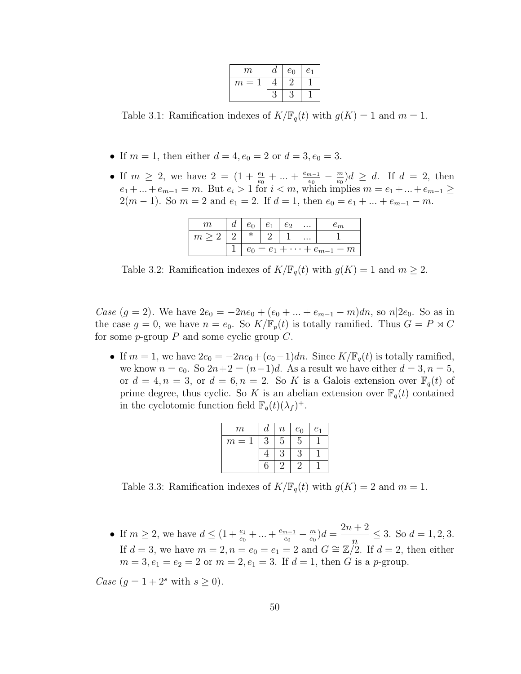| m      | đ   | $e_0$ | e <sub>1</sub> |
|--------|-----|-------|----------------|
| m<br>= |     |       |                |
|        | ر ، |       |                |

Table 3.1: Ramification indexes of  $K/\mathbb{F}_q(t)$  with  $g(K) = 1$  and  $m = 1$ .

- If  $m = 1$ , then either  $d = 4, e_0 = 2$  or  $d = 3, e_0 = 3$ .
- If  $m \geq 2$ , we have  $2 = (1 + \frac{e_1}{e_0} + ... + \frac{e_{m-1}}{e_0})$  $\frac{n-1}{e_0} - \frac{m}{e_0}$  $\frac{m}{e_0}$  $\big)d \geq d$ . If  $d = 2$ , then  $e_1 + ... + e_{m-1} = m$ . But  $e_i > 1$  for  $i < m$ , which implies  $m = e_1 + ... + e_{m-1} \ge$  $2(m-1)$ . So  $m=2$  and  $e_1=2$ . If  $d=1$ , then  $e_0=e_1+\ldots+e_{m-1}-m$ .

| m     | и |                                        |  | еŋ | $\cdots$ |  |  |
|-------|---|----------------------------------------|--|----|----------|--|--|
| $m$ . |   |                                        |  |    | $\cdots$ |  |  |
|       |   | $e_0 = e_1 + \cdots + e_{m-1}$<br>$-m$ |  |    |          |  |  |

Table 3.2: Ramification indexes of  $K/\mathbb{F}_q(t)$  with  $g(K) = 1$  and  $m \geq 2$ .

*Case*  $(g = 2)$ . We have  $2e_0 = -2ne_0 + (e_0 + ... + e_{m-1} - m)dn$ , so  $n|2e_0$ . So as in the case  $g = 0$ , we have  $n = e_0$ . So  $K/\mathbb{F}_p(t)$  is totally ramified. Thus  $G = P \rtimes C$ for some  $p$ -group  $P$  and some cyclic group  $C$ .

• If  $m = 1$ , we have  $2e_0 = -2ne_0+(e_0-1)dn$ . Since  $K/\mathbb{F}_q(t)$  is totally ramified, we know  $n = e_0$ . So  $2n+2 = (n-1)d$ . As a result we have either  $d = 3, n = 5$ , or  $d = 4, n = 3$ , or  $d = 6, n = 2$ . So K is a Galois extension over  $\mathbb{F}_q(t)$  of prime degree, thus cyclic. So K is an abelian extension over  $\mathbb{F}_q(t)$  contained in the cyclotomic function field  $\mathbb{F}_q(t)(\lambda_f)^+$ .

| $\,m$ | d | $\boldsymbol{n}$ | $e_0$ | e <sub>1</sub> |
|-------|---|------------------|-------|----------------|
| $m =$ | 3 | 5                | 5     |                |
|       |   | 3                |       |                |
|       | 6 |                  |       |                |

Table 3.3: Ramification indexes of  $K/\mathbb{F}_q(t)$  with  $g(K) = 2$  and  $m = 1$ .

• If  $m \ge 2$ , we have  $d \le (1 + \frac{e_1}{e_0} + ... + \frac{e_{m-1}}{e_0})$  $\frac{n-1}{e_0} - \frac{m}{e_0}$  $\frac{m}{e_0}$ ) $d =$  $2n + 2$  $\eta$  $\leq$  3. So  $d = 1, 2, 3$ . If  $d = 3$ , we have  $m = 2, n = e_0 = e_1 = 2$  and  $G \cong \mathbb{Z}/2$ . If  $d = 2$ , then either  $m = 3, e_1 = e_2 = 2$  or  $m = 2, e_1 = 3$ . If  $d = 1$ , then G is a p-group.

Case  $(g = 1 + 2<sup>s</sup>$  with  $s \ge 0$ ).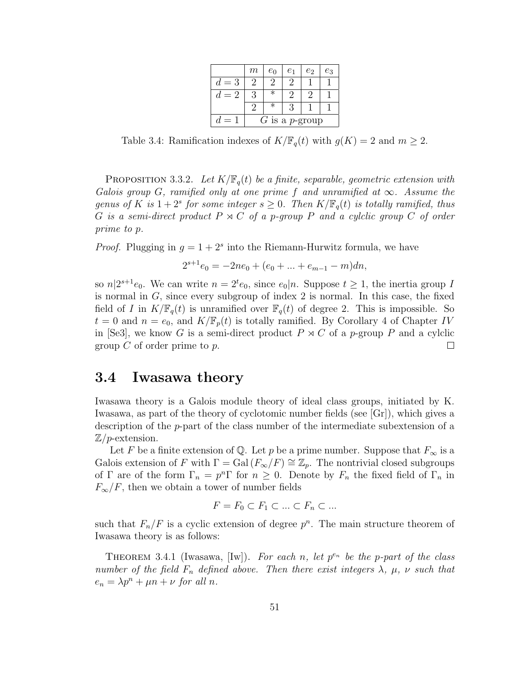|             | $m\,$            | $e_0$  | e <sub>1</sub> | e <sub>2</sub> | $e_3$ |  |
|-------------|------------------|--------|----------------|----------------|-------|--|
| $=$ 3<br>d. | ')               |        |                |                |       |  |
| $= 2$       | З                | $\ast$ |                |                |       |  |
|             | 9                | $\ast$ |                |                |       |  |
|             | $G$ is a p-group |        |                |                |       |  |

Table 3.4: Ramification indexes of  $K/\mathbb{F}_q(t)$  with  $g(K) = 2$  and  $m \geq 2$ .

**PROPOSITION 3.3.2.** Let  $K/\mathbb{F}_q(t)$  be a finite, separable, geometric extension with Galois group G, ramified only at one prime f and unramified at  $\infty$ . Assume the genus of K is  $1+2^s$  for some integer  $s\geq 0$ . Then  $K/\mathbb{F}_q(t)$  is totally ramified, thus G is a semi-direct product  $P \rtimes C$  of a p-group P and a cylclic group C of order prime to p.

*Proof.* Plugging in  $g = 1 + 2<sup>s</sup>$  into the Riemann-Hurwitz formula, we have

$$
2^{s+1}e_0 = -2ne_0 + (e_0 + \dots + e_{m-1} - m)dn,
$$

so  $n|2^{s+1}e_0$ . We can write  $n=2^t e_0$ , since  $e_0|n$ . Suppose  $t \geq 1$ , the inertia group I is normal in  $G$ , since every subgroup of index  $2$  is normal. In this case, the fixed field of I in  $K/\mathbb{F}_q(t)$  is unramified over  $\mathbb{F}_q(t)$  of degree 2. This is impossible. So  $t = 0$  and  $n = e_0$ , and  $K/\mathbb{F}_p(t)$  is totally ramified. By Corollary 4 of Chapter IV in [Se3], we know G is a semi-direct product  $P \rtimes C$  of a p-group P and a cylclic group  $C$  of order prime to  $p$ .  $\Box$ 

#### 3.4 Iwasawa theory

Iwasawa theory is a Galois module theory of ideal class groups, initiated by K. Iwasawa, as part of the theory of cyclotomic number fields (see [Gr]), which gives a description of the p-part of the class number of the intermediate subextension of a  $\mathbb{Z}/p$ -extension.

Let F be a finite extension of Q. Let p be a prime number. Suppose that  $F_{\infty}$  is a Galois extension of F with  $\Gamma = \text{Gal}(F_{\infty}/F) \cong \mathbb{Z}_p$ . The nontrivial closed subgroups of  $\Gamma$  are of the form  $\Gamma_n = p^n \Gamma$  for  $n \geq 0$ . Denote by  $F_n$  the fixed field of  $\Gamma_n$  in  $F_{\infty}/F$ , then we obtain a tower of number fields

$$
F = F_0 \subset F_1 \subset \ldots \subset F_n \subset \ldots
$$

such that  $F_n/F$  is a cyclic extension of degree  $p^n$ . The main structure theorem of Iwasawa theory is as follows:

THEOREM 3.4.1 (Iwasawa, [Iw]). For each n, let  $p^{e_n}$  be the p-part of the class number of the field  $F_n$  defined above. Then there exist integers  $\lambda$ ,  $\mu$ ,  $\nu$  such that  $e_n = \lambda p^n + \mu n + \nu$  for all n.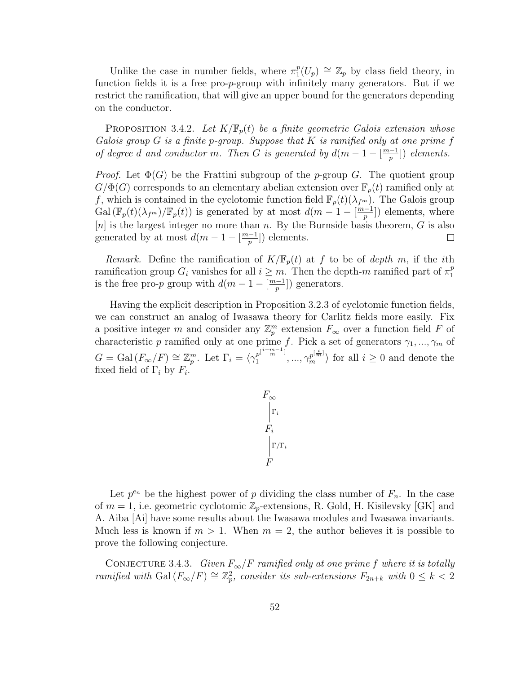Unlike the case in number fields, where  $\pi_1^p$  $_1^p(U_p) \cong \mathbb{Z}_p$  by class field theory, in function fields it is a free pro-p-group with infinitely many generators. But if we restrict the ramification, that will give an upper bound for the generators depending on the conductor.

**PROPOSITION** 3.4.2. Let  $K/\mathbb{F}_{p}(t)$  be a finite geometric Galois extension whose Galois group  $G$  is a finite p-group. Suppose that  $K$  is ramified only at one prime  $f$ of degree d and conductor m. Then G is generated by  $d(m-1-\frac{m-1}{n})$  $\frac{(-1)}{p}]$ ) elements.

*Proof.* Let  $\Phi(G)$  be the Frattini subgroup of the p-group G. The quotient group  $G/\Phi(G)$  corresponds to an elementary abelian extension over  $\mathbb{F}_p(t)$  ramified only at f, which is contained in the cyclotomic function field  $\mathbb{F}_p(t)(\lambda_{f^m})$ . The Galois group Gal  $(\mathbb{F}_p(t)(\lambda_{f^m})/\mathbb{F}_p(t))$  is generated by at most  $d(m-1-\lfloor \frac{m-1}{n}\rfloor)$  $\frac{-1}{p}$ ) elements, where [n] is the largest integer no more than n. By the Burnside basis theorem,  $G$  is also generated by at most  $d(m-1-\frac{m-1}{n})$  $\frac{(-1)}{p}]$  elements.  $\Box$ 

Remark. Define the ramification of  $K/\mathbb{F}_p(t)$  at f to be of depth m, if the ith ramification group  $G_i$  vanishes for all  $i \geq m$ . Then the depth-m ramified part of  $\pi_1^p$ 1 is the free pro-p group with  $d(m-1-\lceil \frac{m-1}{n} \rceil)$  $\frac{(-1)}{p}]$ ) generators.

Having the explicit description in Proposition 3.2.3 of cyclotomic function fields, we can construct an analog of Iwasawa theory for Carlitz fields more easily. Fix a positive integer m and consider any  $\mathbb{Z}_p^m$  extension  $F_{\infty}$  over a function field F of characteristic p ramified only at one prime f. Pick a set of generators  $\gamma_1, ..., \gamma_m$  of  $G = \text{Gal}(F_{\infty}/F) \cong \mathbb{Z}_p^m$ . Let  $\Gamma_i = \langle \gamma_1^{p^{[\frac{i+m-1}{m}]} }$  $\gamma_1^{p[\frac{i+m-1}{m}]},...,\gamma_m^{p[\frac{i}{m}]}\rangle$  for all  $i\geq 0$  and denote the fixed field of  $\Gamma_i$  by  $F_i$ .

$$
F_{\infty} \n\begin{array}{c}\n\Gamma_i \\
\Gamma_i \\
\Gamma/\Gamma_i \\
F\n\end{array}
$$

Let  $p^{e_n}$  be the highest power of p dividing the class number of  $F_n$ . In the case of  $m = 1$ , i.e. geometric cyclotomic  $\mathbb{Z}_p$ -extensions, R. Gold, H. Kisilevsky [GK] and A. Aiba [Ai] have some results about the Iwasawa modules and Iwasawa invariants. Much less is known if  $m > 1$ . When  $m = 2$ , the author believes it is possible to prove the following conjecture.

CONJECTURE 3.4.3. Given  $F_{\infty}/F$  ramified only at one prime f where it is totally ramified with Gal  $(F_{\infty}/F) \cong \mathbb{Z}_p^2$ , consider its sub-extensions  $F_{2n+k}$  with  $0 \leq k < 2$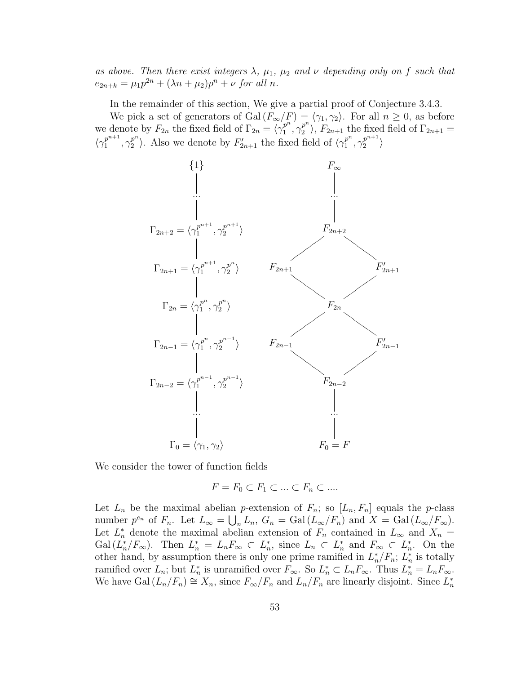as above. Then there exist integers  $\lambda$ ,  $\mu_1$ ,  $\mu_2$  and  $\nu$  depending only on f such that  $e_{2n+k} = \mu_1 p^{2n} + (\lambda n + \mu_2) p^n + \nu \text{ for all } n.$ 

In the remainder of this section, We give a partial proof of Conjecture 3.4.3.

We pick a set of generators of Gal $(F_{\infty}/F) = \langle \gamma_1, \gamma_2 \rangle$ . For all  $n \geq 0$ , as before we denote by  $F_{2n}$  the fixed field of  $\Gamma_{2n} = \langle \gamma_1^{p^n} \rangle$  $p^n\brack 1,\gamma_2^{p^n}$  $\binom{p^n}{2}$ ,  $F_{2n+1}$  the fixed field of  $\Gamma_{2n+1} =$  $\langle \gamma_1^{p^{n+1}}$  $\frac{p^{n+1}}{1}, \gamma_2^{p^n}$  $\binom{p^n}{2}$ . Also we denote by  $F'_{2n+1}$  the fixed field of  $\langle \gamma_1^{p^n} \rangle$  $\frac{p^n}{1}, \gamma_2^{p^{n+1}}$  $\binom{p^{n+1}}{2}$ 



We consider the tower of function fields

$$
F = F_0 \subset F_1 \subset \ldots \subset F_n \subset \ldots
$$

Let  $L_n$  be the maximal abelian p-extension of  $F_n$ ; so  $[L_n, F_n]$  equals the p-class number  $p^{e_n}$  of  $F_n$ . Let  $L_\infty = \bigcup_n L_n$ ,  $G_n = \text{Gal}(L_\infty/F_n)$  and  $X = \text{Gal}(L_\infty/F_\infty)$ . Let  $L_n^*$  denote the maximal abelian extension of  $F_n$  contained in  $L_{\infty}$  and  $X_n =$  $Gal (L_n^*/F_\infty)$ . Then  $L_n^* = L_n F_\infty \subset L_n^*$ , since  $L_n \subset L_n^*$  and  $F_\infty \subset L_n^*$ . On the other hand, by assumption there is only one prime ramified in  $L_n^*/F_n$ ;  $L_n^*$  is totally ramified over  $L_n$ ; but  $L_n^*$  is unramified over  $F_{\infty}$ . So  $L_n^* \subset L_n F_{\infty}$ . Thus  $L_n^* = L_n F_{\infty}$ . We have Gal  $(L_n/F_n) \cong X_n$ , since  $F_{\infty}/F_n$  and  $L_n/F_n$  are linearly disjoint. Since  $L_n^*$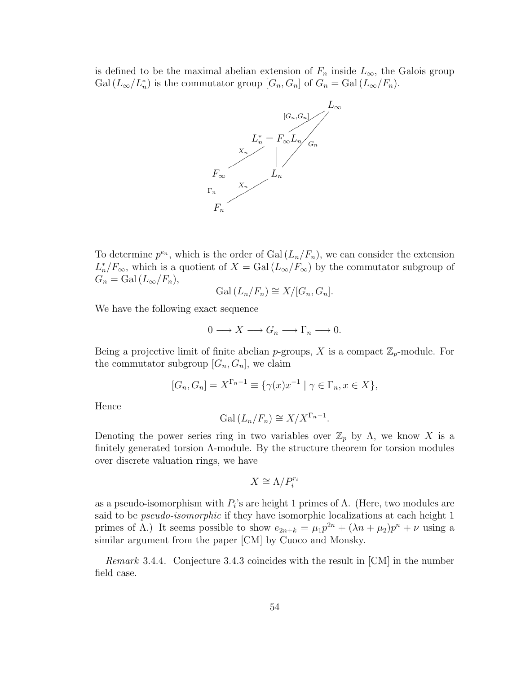is defined to be the maximal abelian extension of  $F_n$  inside  $L_{\infty}$ , the Galois group  $Gal (L_{\infty}/L_n^*)$  is the commutator group  $[G_n, G_n]$  of  $G_n = Gal (L_{\infty}/F_n)$ .



To determine  $p^{e_n}$ , which is the order of Gal  $(L_n/F_n)$ , we can consider the extension  $L_n^*/F_\infty$ , which is a quotient of  $X = \text{Gal}(L_\infty/F_\infty)$  by the commutator subgroup of  $G_n = \text{Gal}(L_\infty/F_n),$ 

$$
Gal (L_n / F_n) \cong X / [G_n, G_n].
$$

We have the following exact sequence

$$
0 \longrightarrow X \longrightarrow G_n \longrightarrow \Gamma_n \longrightarrow 0.
$$

Being a projective limit of finite abelian *p*-groups, X is a compact  $\mathbb{Z}_p$ -module. For the commutator subgroup  $[G_n, G_n]$ , we claim

$$
[G_n, G_n] = X^{\Gamma_n - 1} \equiv \{ \gamma(x) x^{-1} \mid \gamma \in \Gamma_n, x \in X \},
$$

Hence

$$
Gal (L_n / F_n) \cong X / X^{\Gamma_n - 1}.
$$

Denoting the power series ring in two variables over  $\mathbb{Z}_p$  by Λ, we know X is a finitely generated torsion Λ-module. By the structure theorem for torsion modules over discrete valuation rings, we have

$$
X \cong \Lambda / P_i^{r_i}
$$

as a pseudo-isomorphism with  $P_i$ 's are height 1 primes of  $\Lambda$ . (Here, two modules are said to be pseudo-isomorphic if they have isomorphic localizations at each height 1 primes of  $\Lambda$ .) It seems possible to show  $e_{2n+k} = \mu_1 p^{2n} + (\lambda n + \mu_2) p^n + \nu$  using a similar argument from the paper [CM] by Cuoco and Monsky.

Remark 3.4.4. Conjecture 3.4.3 coincides with the result in [CM] in the number field case.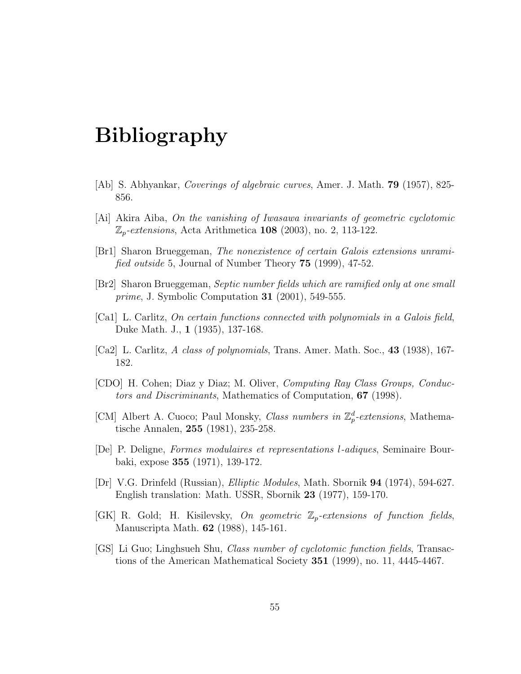# Bibliography

- [Ab] S. Abhyankar, Coverings of algebraic curves, Amer. J. Math. 79 (1957), 825- 856.
- [Ai] Akira Aiba, On the vanishing of Iwasawa invariants of geometric cyclotomic  $\mathbb{Z}_p$ -extensions, Acta Arithmetica 108 (2003), no. 2, 113-122.
- [Br1] Sharon Brueggeman, The nonexistence of certain Galois extensions unramified outside 5, Journal of Number Theory 75 (1999), 47-52.
- [Br2] Sharon Brueggeman, Septic number fields which are ramified only at one small *prime*, J. Symbolic Computation  $31$  (2001), 549-555.
- [Ca1] L. Carlitz, On certain functions connected with polynomials in a Galois field, Duke Math. J., 1 (1935), 137-168.
- [Ca2] L. Carlitz, A class of polynomials, Trans. Amer. Math. Soc., 43 (1938), 167-182.
- [CDO] H. Cohen; Diaz y Diaz; M. Oliver, Computing Ray Class Groups, Conductors and Discriminants, Mathematics of Computation, 67 (1998).
- [CM] Albert A. Cuoco; Paul Monsky, Class numbers in  $\mathbb{Z}_p^d$ -extensions, Mathematische Annalen, 255 (1981), 235-258.
- [De] P. Deligne, Formes modulaires et representations l-adiques, Seminaire Bourbaki, expose 355 (1971), 139-172.
- [Dr] V.G. Drinfeld (Russian), Elliptic Modules, Math. Sbornik 94 (1974), 594-627. English translation: Math. USSR, Sbornik 23 (1977), 159-170.
- [GK] R. Gold; H. Kisilevsky, On geometric  $\mathbb{Z}_p$ -extensions of function fields, Manuscripta Math. 62 (1988), 145-161.
- [GS] Li Guo; Linghsueh Shu, Class number of cyclotomic function fields, Transactions of the American Mathematical Society 351 (1999), no. 11, 4445-4467.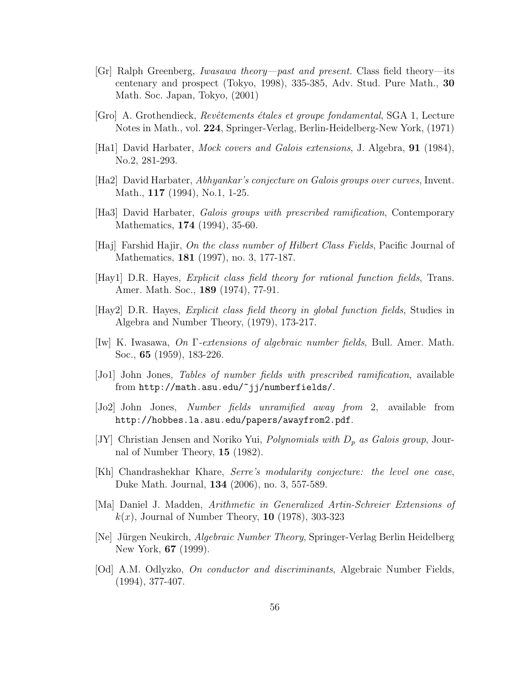- [Gr] Ralph Greenberg, Iwasawa theory—past and present. Class field theory—its centenary and prospect (Tokyo, 1998), 335-385, Adv. Stud. Pure Math., 30 Math. Soc. Japan, Tokyo, (2001)
- [Gro] A. Grothendieck, Revˆetements ´etales et groupe fondamental, SGA 1, Lecture Notes in Math., vol. 224, Springer-Verlag, Berlin-Heidelberg-New York, (1971)
- [Ha1] David Harbater, Mock covers and Galois extensions, J. Algebra, 91 (1984), No.2, 281-293.
- [Ha2] David Harbater, Abhyankar's conjecture on Galois groups over curves, Invent. Math., 117 (1994), No.1, 1-25.
- [Ha3] David Harbater, Galois groups with prescribed ramification, Contemporary Mathematics, 174 (1994), 35-60.
- [Haj] Farshid Hajir, On the class number of Hilbert Class Fields, Pacific Journal of Mathematics, 181 (1997), no. 3, 177-187.
- [Hay1] D.R. Hayes, Explicit class field theory for rational function fields, Trans. Amer. Math. Soc., 189 (1974), 77-91.
- [Hay2] D.R. Hayes, Explicit class field theory in global function fields, Studies in Algebra and Number Theory, (1979), 173-217.
- [Iw] K. Iwasawa, On Γ-extensions of algebraic number fields, Bull. Amer. Math. Soc., 65 (1959), 183-226.
- [Jo1] John Jones, Tables of number fields with prescribed ramification, available from http://math.asu.edu/~jj/numberfields/.
- [Jo2] John Jones, Number fields unramified away from 2, available from http://hobbes.la.asu.edu/papers/awayfrom2.pdf.
- [JY] Christian Jensen and Noriko Yui, *Polynomials with*  $D_p$  as Galois group, Journal of Number Theory, 15 (1982).
- [Kh] Chandrashekhar Khare, Serre's modularity conjecture: the level one case, Duke Math. Journal, 134 (2006), no. 3, 557-589.
- [Ma] Daniel J. Madden, Arithmetic in Generalized Artin-Schreier Extensions of  $k(x)$ , Journal of Number Theory, 10 (1978), 303-323
- [Ne] Jürgen Neukirch, *Algebraic Number Theory*, Springer-Verlag Berlin Heidelberg New York, 67 (1999).
- [Od] A.M. Odlyzko, On conductor and discriminants, Algebraic Number Fields, (1994), 377-407.